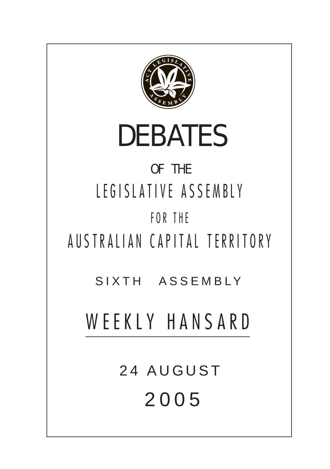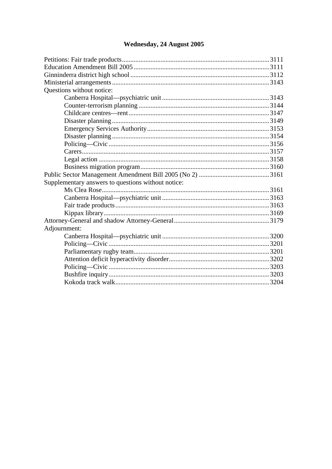# Wednesday, 24 August 2005

| Questions without notice:                          |  |  |
|----------------------------------------------------|--|--|
|                                                    |  |  |
|                                                    |  |  |
|                                                    |  |  |
|                                                    |  |  |
|                                                    |  |  |
|                                                    |  |  |
|                                                    |  |  |
|                                                    |  |  |
|                                                    |  |  |
|                                                    |  |  |
|                                                    |  |  |
| Supplementary answers to questions without notice: |  |  |
|                                                    |  |  |
|                                                    |  |  |
|                                                    |  |  |
|                                                    |  |  |
|                                                    |  |  |
| Adjournment:                                       |  |  |
|                                                    |  |  |
|                                                    |  |  |
|                                                    |  |  |
|                                                    |  |  |
|                                                    |  |  |
|                                                    |  |  |
|                                                    |  |  |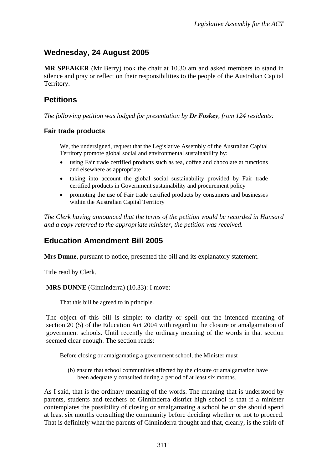## <span id="page-2-0"></span>**Wednesday, 24 August 2005**

**MR SPEAKER** (Mr Berry) took the chair at 10.30 am and asked members to stand in silence and pray or reflect on their responsibilities to the people of the Australian Capital Territory.

## **Petitions**

*The following petition was lodged for presentation by Dr Foskey, from 124 residents:* 

#### **Fair trade products**

We, the undersigned, request that the Legislative Assembly of the Australian Capital Territory promote global social and environmental sustainability by:

- using Fair trade certified products such as tea, coffee and chocolate at functions and elsewhere as appropriate
- taking into account the global social sustainability provided by Fair trade certified products in Government sustainability and procurement policy
- promoting the use of Fair trade certified products by consumers and businesses within the Australian Capital Territory

*The Clerk having announced that the terms of the petition would be recorded in Hansard and a copy referred to the appropriate minister, the petition was received.* 

### **Education Amendment Bill 2005**

**Mrs Dunne**, pursuant to notice, presented the bill and its explanatory statement.

Title read by Clerk.

**MRS DUNNE** (Ginninderra) (10.33): I move:

That this bill be agreed to in principle.

The object of this bill is simple: to clarify or spell out the intended meaning of section 20 (5) of the Education Act 2004 with regard to the closure or amalgamation of government schools. Until recently the ordinary meaning of the words in that section seemed clear enough. The section reads:

Before closing or amalgamating a government school, the Minister must—

(b) ensure that school communities affected by the closure or amalgamation have been adequately consulted during a period of at least six months.

As I said, that is the ordinary meaning of the words. The meaning that is understood by parents, students and teachers of Ginninderra district high school is that if a minister contemplates the possibility of closing or amalgamating a school he or she should spend at least six months consulting the community before deciding whether or not to proceed. That is definitely what the parents of Ginninderra thought and that, clearly, is the spirit of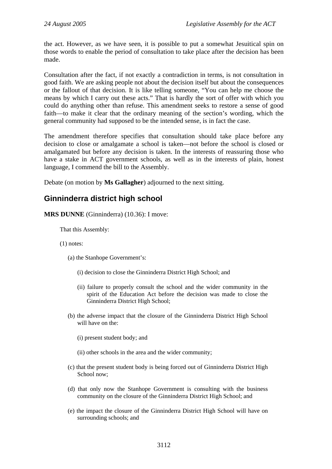<span id="page-3-0"></span>the act. However, as we have seen, it is possible to put a somewhat Jesuitical spin on those words to enable the period of consultation to take place after the decision has been made.

Consultation after the fact, if not exactly a contradiction in terms, is not consultation in good faith. We are asking people not about the decision itself but about the consequences or the fallout of that decision. It is like telling someone, "You can help me choose the means by which I carry out these acts." That is hardly the sort of offer with which you could do anything other than refuse. This amendment seeks to restore a sense of good faith—to make it clear that the ordinary meaning of the section's wording, which the general community had supposed to be the intended sense, is in fact the case.

The amendment therefore specifies that consultation should take place before any decision to close or amalgamate a school is taken—not before the school is closed or amalgamated but before any decision is taken. In the interests of reassuring those who have a stake in ACT government schools, as well as in the interests of plain, honest language, I commend the bill to the Assembly.

Debate (on motion by **Ms Gallagher**) adjourned to the next sitting.

### **Ginninderra district high school**

**MRS DUNNE** (Ginninderra) (10.36): I move:

That this Assembly:

(1) notes:

- (a) the Stanhope Government's:
	- (i) decision to close the Ginninderra District High School; and
	- (ii) failure to properly consult the school and the wider community in the spirit of the Education Act before the decision was made to close the Ginninderra District High School;
- (b) the adverse impact that the closure of the Ginninderra District High School will have on the
	- (i) present student body; and

(ii) other schools in the area and the wider community;

- (c) that the present student body is being forced out of Ginninderra District High School now;
- (d) that only now the Stanhope Government is consulting with the business community on the closure of the Ginninderra District High School; and
- (e) the impact the closure of the Ginninderra District High School will have on surrounding schools; and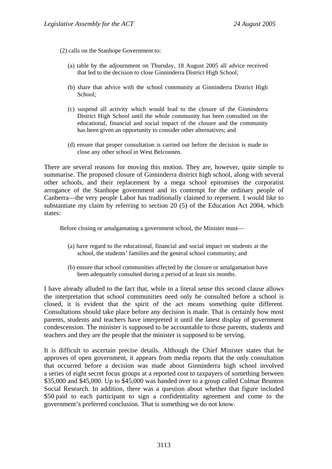(2) calls on the Stanhope Government to:

- (a) table by the adjournment on Thursday, 18 August 2005 all advice received that led to the decision to close Ginninderra District High School;
- (b) share that advice with the school community at Ginninderra District High School;
- (c) suspend all activity which would lead to the closure of the Ginninderra District High School until the whole community has been consulted on the educational, financial and social impact of the closure and the community has been given an opportunity to consider other alternatives; and
- (d) ensure that proper consultation is carried out before the decision is made to close any other school in West Belconnen.

There are several reasons for moving this motion. They are, however, quite simple to summarise. The proposed closure of Ginninderra district high school, along with several other schools, and their replacement by a mega school epitomises the corporatist arrogance of the Stanhope government and its contempt for the ordinary people of Canberra—the very people Labor has traditionally claimed to represent. I would like to substantiate my claim by referring to section 20 (5) of the Education Act 2004, which states:

Before closing or amalgamating a government school, the Minister must—

- (a) have regard to the educational, financial and social impact on students at the school, the students' families and the general school community; and
- (b) ensure that school communities affected by the closure or amalgamation have been adequately consulted during a period of at least six months.

I have already alluded to the fact that, while in a literal sense this second clause allows the interpretation that school communities need only be consulted before a school is closed, it is evident that the spirit of the act means something quite different. Consultations should take place before any decision is made. That is certainly how most parents, students and teachers have interpreted it until the latest display of government condescension. The minister is supposed to be accountable to those parents, students and teachers and they are the people that the minister is supposed to be serving.

It is difficult to ascertain precise details. Although the Chief Minister states that he approves of open government, it appears from media reports that the only consultation that occurred before a decision was made about Ginninderra high school involved a series of eight secret focus groups at a reported cost to taxpayers of something between \$35,000 and \$45,000. Up to \$45,000 was handed over to a group called Colmar Brunton Social Research. In addition, there was a question about whether that figure included \$50 paid to each participant to sign a confidentiality agreement and come to the government's preferred conclusion. That is something we do not know.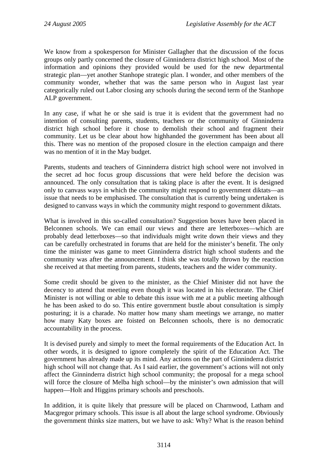We know from a spokesperson for Minister Gallagher that the discussion of the focus groups only partly concerned the closure of Ginninderra district high school. Most of the information and opinions they provided would be used for the new departmental strategic plan—yet another Stanhope strategic plan. I wonder, and other members of the community wonder, whether that was the same person who in August last year categorically ruled out Labor closing any schools during the second term of the Stanhope ALP government.

In any case, if what he or she said is true it is evident that the government had no intention of consulting parents, students, teachers or the community of Ginninderra district high school before it chose to demolish their school and fragment their community. Let us be clear about how highhanded the government has been about all this. There was no mention of the proposed closure in the election campaign and there was no mention of it in the May budget.

Parents, students and teachers of Ginninderra district high school were not involved in the secret ad hoc focus group discussions that were held before the decision was announced. The only consultation that is taking place is after the event. It is designed only to canvass ways in which the community might respond to government diktats—an issue that needs to be emphasised. The consultation that is currently being undertaken is designed to canvass ways in which the community might respond to government diktats.

What is involved in this so-called consultation? Suggestion boxes have been placed in Belconnen schools. We can email our views and there are letterboxes—which are probably dead letterboxes—so that individuals might write down their views and they can be carefully orchestrated in forums that are held for the minister's benefit. The only time the minister was game to meet Ginninderra district high school students and the community was after the announcement. I think she was totally thrown by the reaction she received at that meeting from parents, students, teachers and the wider community.

Some credit should be given to the minister, as the Chief Minister did not have the decency to attend that meeting even though it was located in his electorate. The Chief Minister is not willing or able to debate this issue with me at a public meeting although he has been asked to do so. This entire government bustle about consultation is simply posturing; it is a charade. No matter how many sham meetings we arrange, no matter how many Katy boxes are foisted on Belconnen schools, there is no democratic accountability in the process.

It is devised purely and simply to meet the formal requirements of the Education Act. In other words, it is designed to ignore completely the spirit of the Education Act. The government has already made up its mind. Any actions on the part of Ginninderra district high school will not change that. As I said earlier, the government's actions will not only affect the Ginninderra district high school community; the proposal for a mega school will force the closure of Melba high school—by the minister's own admission that will happen—Holt and Higgins primary schools and preschools.

In addition, it is quite likely that pressure will be placed on Charnwood, Latham and Macgregor primary schools. This issue is all about the large school syndrome. Obviously the government thinks size matters, but we have to ask: Why? What is the reason behind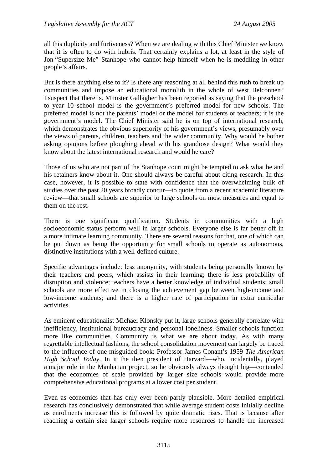all this duplicity and furtiveness? When we are dealing with this Chief Minister we know that it is often to do with hubris. That certainly explains a lot, at least in the style of Jon "Supersize Me" Stanhope who cannot help himself when he is meddling in other people's affairs.

But is there anything else to it? Is there any reasoning at all behind this rush to break up communities and impose an educational monolith in the whole of west Belconnen? I suspect that there is. Minister Gallagher has been reported as saying that the preschool to year 10 school model is the government's preferred model for new schools. The preferred model is not the parents' model or the model for students or teachers; it is the government's model. The Chief Minister said he is on top of international research, which demonstrates the obvious superiority of his government's views, presumably over the views of parents, children, teachers and the wider community. Why would he bother asking opinions before ploughing ahead with his grandiose design? What would they know about the latest international research and would he care?

Those of us who are not part of the Stanhope court might be tempted to ask what he and his retainers know about it. One should always be careful about citing research. In this case, however, it is possible to state with confidence that the overwhelming bulk of studies over the past 20 years broadly concur—to quote from a recent academic literature review—that small schools are superior to large schools on most measures and equal to them on the rest.

There is one significant qualification. Students in communities with a high socioeconomic status perform well in larger schools. Everyone else is far better off in a more intimate learning community. There are several reasons for that, one of which can be put down as being the opportunity for small schools to operate as autonomous, distinctive institutions with a well-defined culture.

Specific advantages include: less anonymity, with students being personally known by their teachers and peers, which assists in their learning; there is less probability of disruption and violence; teachers have a better knowledge of individual students; small schools are more effective in closing the achievement gap between high-income and low-income students; and there is a higher rate of participation in extra curricular activities.

As eminent educationalist Michael Klonsky put it, large schools generally correlate with inefficiency, institutional bureaucracy and personal loneliness. Smaller schools function more like communities. Community is what we are about today. As with many regrettable intellectual fashions, the school consolidation movement can largely be traced to the influence of one misguided book: Professor James Conant's 1959 *The American High School Today*. In it the then president of Harvard—who, incidentally, played a major role in the Manhattan project, so he obviously always thought big—contended that the economies of scale provided by larger size schools would provide more comprehensive educational programs at a lower cost per student.

Even as economics that has only ever been partly plausible. More detailed empirical research has conclusively demonstrated that while average student costs initially decline as enrolments increase this is followed by quite dramatic rises. That is because after reaching a certain size larger schools require more resources to handle the increased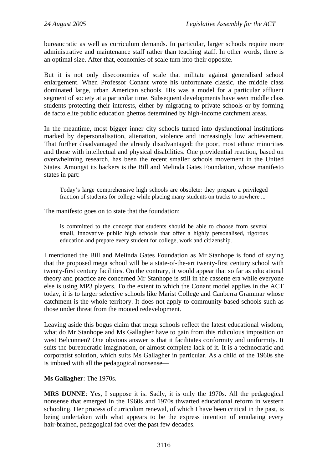bureaucratic as well as curriculum demands. In particular, larger schools require more administrative and maintenance staff rather than teaching staff. In other words, there is an optimal size. After that, economies of scale turn into their opposite.

But it is not only diseconomies of scale that militate against generalised school enlargement. When Professor Conant wrote his unfortunate classic, the middle class dominated large, urban American schools. His was a model for a particular affluent segment of society at a particular time. Subsequent developments have seen middle class students protecting their interests, either by migrating to private schools or by forming de facto elite public education ghettos determined by high-income catchment areas.

In the meantime, most bigger inner city schools turned into dysfunctional institutions marked by depersonalisation, alienation, violence and increasingly low achievement. That further disadvantaged the already disadvantaged: the poor, most ethnic minorities and those with intellectual and physical disabilities. One providential reaction, based on overwhelming research, has been the recent smaller schools movement in the United States. Amongst its backers is the Bill and Melinda Gates Foundation, whose manifesto states in part:

Today's large comprehensive high schools are obsolete: they prepare a privileged fraction of students for college while placing many students on tracks to nowhere ...

The manifesto goes on to state that the foundation:

is committed to the concept that students should be able to choose from several small, innovative public high schools that offer a highly personalised, rigorous education and prepare every student for college, work and citizenship.

I mentioned the Bill and Melinda Gates Foundation as Mr Stanhope is fond of saying that the proposed mega school will be a state-of-the-art twenty-first century school with twenty-first century facilities. On the contrary, it would appear that so far as educational theory and practice are concerned Mr Stanhope is still in the cassette era while everyone else is using MP3 players. To the extent to which the Conant model applies in the ACT today, it is to larger selective schools like Marist College and Canberra Grammar whose catchment is the whole territory. It does not apply to community-based schools such as those under threat from the mooted redevelopment.

Leaving aside this bogus claim that mega schools reflect the latest educational wisdom, what do Mr Stanhope and Ms Gallagher have to gain from this ridiculous imposition on west Belconnen? One obvious answer is that it facilitates conformity and uniformity. It suits the bureaucratic imagination, or almost complete lack of it. It is a technocratic and corporatist solution, which suits Ms Gallagher in particular. As a child of the 1960s she is imbued with all the pedagogical nonsense—

#### **Ms Gallagher**: The 1970s.

**MRS DUNNE**: Yes, I suppose it is. Sadly, it is only the 1970s. All the pedagogical nonsense that emerged in the 1960s and 1970s thwarted educational reform in western schooling. Her process of curriculum renewal, of which I have been critical in the past, is being undertaken with what appears to be the express intention of emulating every hair-brained, pedagogical fad over the past few decades.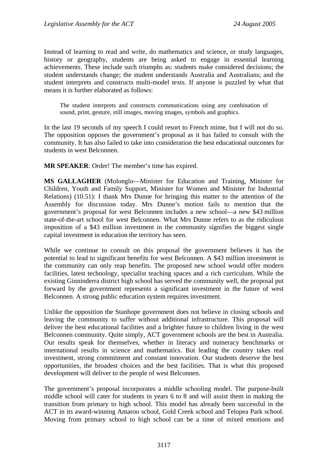Instead of learning to read and write, do mathematics and science, or study languages, history or geography, students are being asked to engage in essential learning achievements. These include such triumphs as: students make considered decisions; the student understands change; the student understands Australia and Australians; and the student interprets and constructs multi-model texts. If anyone is puzzled by what that means it is further elaborated as follows:

The student interprets and constructs communications using any combination of sound, print, gesture, still images, moving images, symbols and graphics.

In the last 19 seconds of my speech I could resort to French mime, but I will not do so. The opposition opposes the government's proposal as it has failed to consult with the community. It has also failed to take into consideration the best educational outcomes for students in west Belconnen.

**MR SPEAKER**: Order! The member's time has expired.

**MS GALLAGHER** (Molonglo—Minister for Education and Training, Minister for Children, Youth and Family Support, Minister for Women and Minister for Industrial Relations) (10.51): I thank Mrs Dunne for bringing this matter to the attention of the Assembly for discussion today. Mrs Dunne's motion fails to mention that the government's proposal for west Belconnen includes a new school—a new \$43 million state-of-the-art school for west Belconnen. What Mrs Dunne refers to as the ridiculous imposition of a \$43 million investment in the community signifies the biggest single capital investment in education the territory has seen.

While we continue to consult on this proposal the government believes it has the potential to lead to significant benefits for west Belconnen. A \$43 million investment in the community can only reap benefits. The proposed new school would offer modern facilities, latest technology, specialist teaching spaces and a rich curriculum. While the existing Ginninderra district high school has served the community well, the proposal put forward by the government represents a significant investment in the future of west Belconnen. A strong public education system requires investment.

Unlike the opposition the Stanhope government does not believe in closing schools and leaving the community to suffer without additional infrastructure. This proposal will deliver the best educational facilities and a brighter future to children living in the west Belconnen community. Quite simply, ACT government schools are the best in Australia. Our results speak for themselves, whether in literacy and numeracy benchmarks or international results in science and mathematics. But leading the country takes real investment, strong commitment and constant innovation. Our students deserve the best opportunities, the broadest choices and the best facilities. That is what this proposed development will deliver to the people of west Belconnen.

The government's proposal incorporates a middle schooling model. The purpose-built middle school will cater for students in years 6 to 8 and will assist them in making the transition from primary to high school. This model has already been successful in the ACT in its award-winning Amaroo school, Gold Creek school and Telopea Park school. Moving from primary school to high school can be a time of mixed emotions and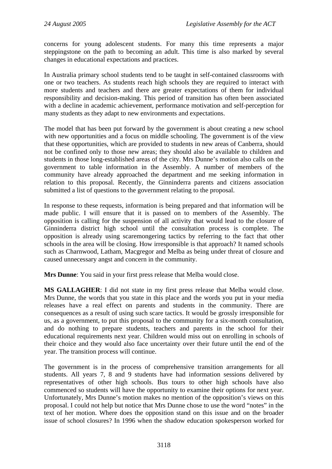concerns for young adolescent students. For many this time represents a major steppingstone on the path to becoming an adult. This time is also marked by several changes in educational expectations and practices.

In Australia primary school students tend to be taught in self-contained classrooms with one or two teachers. As students reach high schools they are required to interact with more students and teachers and there are greater expectations of them for individual responsibility and decision-making. This period of transition has often been associated with a decline in academic achievement, performance motivation and self-perception for many students as they adapt to new environments and expectations.

The model that has been put forward by the government is about creating a new school with new opportunities and a focus on middle schooling. The government is of the view that these opportunities, which are provided to students in new areas of Canberra, should not be confined only to those new areas; they should also be available to children and students in those long-established areas of the city. Mrs Dunne's motion also calls on the government to table information in the Assembly. A number of members of the community have already approached the department and me seeking information in relation to this proposal. Recently, the Ginninderra parents and citizens association submitted a list of questions to the government relating to the proposal.

In response to these requests, information is being prepared and that information will be made public. I will ensure that it is passed on to members of the Assembly. The opposition is calling for the suspension of all activity that would lead to the closure of Ginninderra district high school until the consultation process is complete. The opposition is already using scaremongering tactics by referring to the fact that other schools in the area will be closing. How irresponsible is that approach? It named schools such as Charnwood, Latham, Macgregor and Melba as being under threat of closure and caused unnecessary angst and concern in the community.

**Mrs Dunne**: You said in your first press release that Melba would close.

**MS GALLAGHER**: I did not state in my first press release that Melba would close. Mrs Dunne, the words that you state in this place and the words you put in your media releases have a real effect on parents and students in the community. There are consequences as a result of using such scare tactics. It would be grossly irresponsible for us, as a government, to put this proposal to the community for a six-month consultation, and do nothing to prepare students, teachers and parents in the school for their educational requirements next year. Children would miss out on enrolling in schools of their choice and they would also face uncertainty over their future until the end of the year. The transition process will continue.

The government is in the process of comprehensive transition arrangements for all students. All years 7, 8 and 9 students have had information sessions delivered by representatives of other high schools. Bus tours to other high schools have also commenced so students will have the opportunity to examine their options for next year. Unfortunately, Mrs Dunne's motion makes no mention of the opposition's views on this proposal. I could not help but notice that Mrs Dunne chose to use the word "notes" in the text of her motion. Where does the opposition stand on this issue and on the broader issue of school closures? In 1996 when the shadow education spokesperson worked for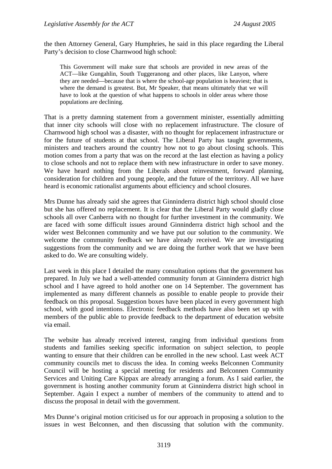the then Attorney General, Gary Humphries, he said in this place regarding the Liberal Party's decision to close Charnwood high school:

This Government will make sure that schools are provided in new areas of the ACT—like Gungahlin, South Tuggeranong and other places, like Lanyon, where they are needed—because that is where the school-age population is heaviest; that is where the demand is greatest. But, Mr Speaker, that means ultimately that we will have to look at the question of what happens to schools in older areas where those populations are declining.

That is a pretty damning statement from a government minister, essentially admitting that inner city schools will close with no replacement infrastructure. The closure of Charnwood high school was a disaster, with no thought for replacement infrastructure or for the future of students at that school. The Liberal Party has taught governments, ministers and teachers around the country how not to go about closing schools. This motion comes from a party that was on the record at the last election as having a policy to close schools and not to replace them with new infrastructure in order to save money. We have heard nothing from the Liberals about reinvestment, forward planning, consideration for children and young people, and the future of the territory. All we have heard is economic rationalist arguments about efficiency and school closures.

Mrs Dunne has already said she agrees that Ginninderra district high school should close but she has offered no replacement. It is clear that the Liberal Party would gladly close schools all over Canberra with no thought for further investment in the community. We are faced with some difficult issues around Ginninderra district high school and the wider west Belconnen community and we have put our solution to the community. We welcome the community feedback we have already received. We are investigating suggestions from the community and we are doing the further work that we have been asked to do. We are consulting widely.

Last week in this place I detailed the many consultation options that the government has prepared. In July we had a well-attended community forum at Ginninderra district high school and I have agreed to hold another one on 14 September. The government has implemented as many different channels as possible to enable people to provide their feedback on this proposal. Suggestion boxes have been placed in every government high school, with good intentions. Electronic feedback methods have also been set up with members of the public able to provide feedback to the department of education website via email.

The website has already received interest, ranging from individual questions from students and families seeking specific information on subject selection, to people wanting to ensure that their children can be enrolled in the new school. Last week ACT community councils met to discuss the idea. In coming weeks Belconnen Community Council will be hosting a special meeting for residents and Belconnen Community Services and Uniting Care Kippax are already arranging a forum. As I said earlier, the government is hosting another community forum at Ginninderra district high school in September. Again I expect a number of members of the community to attend and to discuss the proposal in detail with the government.

Mrs Dunne's original motion criticised us for our approach in proposing a solution to the issues in west Belconnen, and then discussing that solution with the community.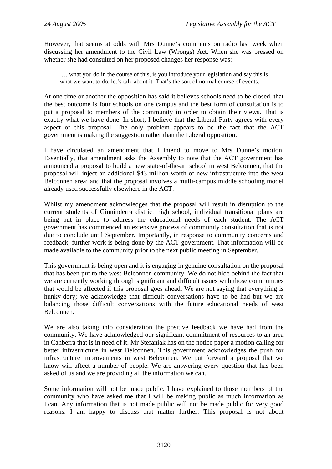However, that seems at odds with Mrs Dunne's comments on radio last week when discussing her amendment to the Civil Law (Wrongs) Act. When she was pressed on whether she had consulted on her proposed changes her response was:

 … what you do in the course of this, is you introduce your legislation and say this is what we want to do, let's talk about it. That's the sort of normal course of events.

At one time or another the opposition has said it believes schools need to be closed, that the best outcome is four schools on one campus and the best form of consultation is to put a proposal to members of the community in order to obtain their views. That is exactly what we have done. In short, I believe that the Liberal Party agrees with every aspect of this proposal. The only problem appears to be the fact that the ACT government is making the suggestion rather than the Liberal opposition.

I have circulated an amendment that I intend to move to Mrs Dunne's motion. Essentially, that amendment asks the Assembly to note that the ACT government has announced a proposal to build a new state-of-the-art school in west Belconnen, that the proposal will inject an additional \$43 million worth of new infrastructure into the west Belconnen area; and that the proposal involves a multi-campus middle schooling model already used successfully elsewhere in the ACT.

Whilst my amendment acknowledges that the proposal will result in disruption to the current students of Ginninderra district high school, individual transitional plans are being put in place to address the educational needs of each student. The ACT government has commenced an extensive process of community consultation that is not due to conclude until September. Importantly, in response to community concerns and feedback, further work is being done by the ACT government. That information will be made available to the community prior to the next public meeting in September.

This government is being open and it is engaging in genuine consultation on the proposal that has been put to the west Belconnen community. We do not hide behind the fact that we are currently working through significant and difficult issues with those communities that would be affected if this proposal goes ahead. We are not saying that everything is hunky-dory; we acknowledge that difficult conversations have to be had but we are balancing those difficult conversations with the future educational needs of west Belconnen.

We are also taking into consideration the positive feedback we have had from the community. We have acknowledged our significant commitment of resources to an area in Canberra that is in need of it. Mr Stefaniak has on the notice paper a motion calling for better infrastructure in west Belconnen. This government acknowledges the push for infrastructure improvements in west Belconnen. We put forward a proposal that we know will affect a number of people. We are answering every question that has been asked of us and we are providing all the information we can.

Some information will not be made public. I have explained to those members of the community who have asked me that I will be making public as much information as I can. Any information that is not made public will not be made public for very good reasons. I am happy to discuss that matter further. This proposal is not about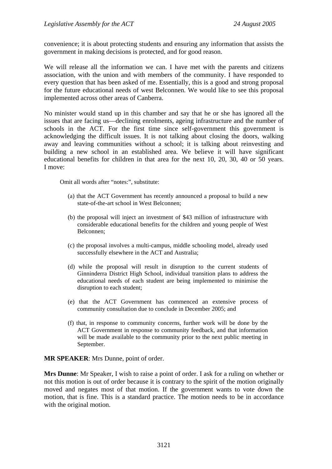convenience; it is about protecting students and ensuring any information that assists the government in making decisions is protected, and for good reason.

We will release all the information we can. I have met with the parents and citizens association, with the union and with members of the community. I have responded to every question that has been asked of me. Essentially, this is a good and strong proposal for the future educational needs of west Belconnen. We would like to see this proposal implemented across other areas of Canberra.

No minister would stand up in this chamber and say that he or she has ignored all the issues that are facing us—declining enrolments, ageing infrastructure and the number of schools in the ACT. For the first time since self-government this government is acknowledging the difficult issues. It is not talking about closing the doors, walking away and leaving communities without a school; it is talking about reinvesting and building a new school in an established area. We believe it will have significant educational benefits for children in that area for the next 10, 20, 30, 40 or 50 years. I move:

Omit all words after "notes:", substitute:

- (a) that the ACT Government has recently announced a proposal to build a new state-of-the-art school in West Belconnen;
- (b) the proposal will inject an investment of \$43 million of infrastructure with considerable educational benefits for the children and young people of West Belconnen;
- (c) the proposal involves a multi-campus, middle schooling model, already used successfully elsewhere in the ACT and Australia;
- (d) while the proposal will result in disruption to the current students of Ginninderra District High School, individual transition plans to address the educational needs of each student are being implemented to minimise the disruption to each student;
- (e) that the ACT Government has commenced an extensive process of community consultation due to conclude in December 2005; and
- (f) that, in response to community concerns, further work will be done by the ACT Government in response to community feedback, and that information will be made available to the community prior to the next public meeting in September.

**MR SPEAKER**: Mrs Dunne, point of order.

**Mrs Dunne**: Mr Speaker, I wish to raise a point of order. I ask for a ruling on whether or not this motion is out of order because it is contrary to the spirit of the motion originally moved and negates most of that motion. If the government wants to vote down the motion, that is fine. This is a standard practice. The motion needs to be in accordance with the original motion.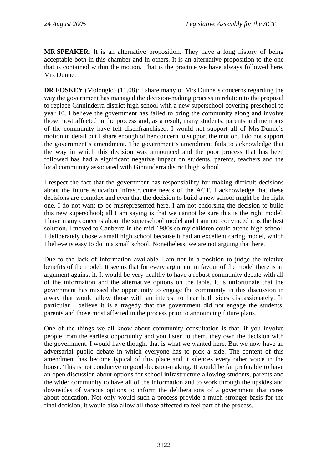**MR SPEAKER**: It is an alternative proposition. They have a long history of being acceptable both in this chamber and in others. It is an alternative proposition to the one that is contained within the motion. That is the practice we have always followed here, Mrs Dunne.

**DR FOSKEY** (Molonglo) (11.08): I share many of Mrs Dunne's concerns regarding the way the government has managed the decision-making process in relation to the proposal to replace Ginninderra district high school with a new superschool covering preschool to year 10. I believe the government has failed to bring the community along and involve those most affected in the process and, as a result, many students, parents and members of the community have felt disenfranchised. I would not support all of Mrs Dunne's motion in detail but I share enough of her concern to support the motion. I do not support the government's amendment. The government's amendment fails to acknowledge that the way in which this decision was announced and the poor process that has been followed has had a significant negative impact on students, parents, teachers and the local community associated with Ginninderra district high school.

I respect the fact that the government has responsibility for making difficult decisions about the future education infrastructure needs of the ACT. I acknowledge that these decisions are complex and even that the decision to build a new school might be the right one. I do not want to be misrepresented here. I am not endorsing the decision to build this new superschool; all I am saying is that we cannot be sure this is the right model. I have many concerns about the superschool model and I am not convinced it is the best solution. I moved to Canberra in the mid-1980s so my children could attend high school. I deliberately chose a small high school because it had an excellent caring model, which I believe is easy to do in a small school. Nonetheless, we are not arguing that here.

Due to the lack of information available I am not in a position to judge the relative benefits of the model. It seems that for every argument in favour of the model there is an argument against it. It would be very healthy to have a robust community debate with all of the information and the alternative options on the table. It is unfortunate that the government has missed the opportunity to engage the community in this discussion in a way that would allow those with an interest to hear both sides dispassionately. In particular I believe it is a tragedy that the government did not engage the students, parents and those most affected in the process prior to announcing future plans.

One of the things we all know about community consultation is that, if you involve people from the earliest opportunity and you listen to them, they own the decision with the government. I would have thought that is what we wanted here. But we now have an adversarial public debate in which everyone has to pick a side. The content of this amendment has become typical of this place and it silences every other voice in the house. This is not conducive to good decision-making. It would be far preferable to have an open discussion about options for school infrastructure allowing students, parents and the wider community to have all of the information and to work through the upsides and downsides of various options to inform the deliberations of a government that cares about education. Not only would such a process provide a much stronger basis for the final decision, it would also allow all those affected to feel part of the process.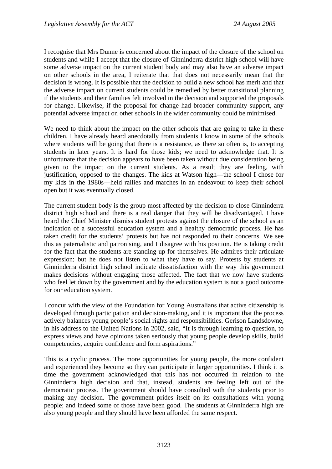I recognise that Mrs Dunne is concerned about the impact of the closure of the school on students and while I accept that the closure of Ginninderra district high school will have some adverse impact on the current student body and may also have an adverse impact on other schools in the area, I reiterate that that does not necessarily mean that the decision is wrong. It is possible that the decision to build a new school has merit and that the adverse impact on current students could be remedied by better transitional planning if the students and their families felt involved in the decision and supported the proposals for change. Likewise, if the proposal for change had broader community support, any potential adverse impact on other schools in the wider community could be minimised.

We need to think about the impact on the other schools that are going to take in these children. I have already heard anecdotally from students I know in some of the schools where students will be going that there is a resistance, as there so often is, to accepting students in later years. It is hard for those kids; we need to acknowledge that. It is unfortunate that the decision appears to have been taken without due consideration being given to the impact on the current students. As a result they are feeling, with justification, opposed to the changes. The kids at Watson high—the school I chose for my kids in the 1980s—held rallies and marches in an endeavour to keep their school open but it was eventually closed.

The current student body is the group most affected by the decision to close Ginninderra district high school and there is a real danger that they will be disadvantaged. I have heard the Chief Minister dismiss student protests against the closure of the school as an indication of a successful education system and a healthy democratic process. He has taken credit for the students' protests but has not responded to their concerns. We see this as paternalistic and patronising, and I disagree with his position. He is taking credit for the fact that the students are standing up for themselves. He admires their articulate expression; but he does not listen to what they have to say. Protests by students at Ginninderra district high school indicate dissatisfaction with the way this government makes decisions without engaging those affected. The fact that we now have students who feel let down by the government and by the education system is not a good outcome for our education system.

I concur with the view of the Foundation for Young Australians that active citizenship is developed through participation and decision-making, and it is important that the process actively balances young people's social rights and responsibilities. Gerison Landsdowne, in his address to the United Nations in 2002, said, "It is through learning to question, to express views and have opinions taken seriously that young people develop skills, build competencies, acquire confidence and form aspirations."

This is a cyclic process. The more opportunities for young people, the more confident and experienced they become so they can participate in larger opportunities. I think it is time the government acknowledged that this has not occurred in relation to the Ginninderra high decision and that, instead, students are feeling left out of the democratic process. The government should have consulted with the students prior to making any decision. The government prides itself on its consultations with young people; and indeed some of those have been good. The students at Ginninderra high are also young people and they should have been afforded the same respect.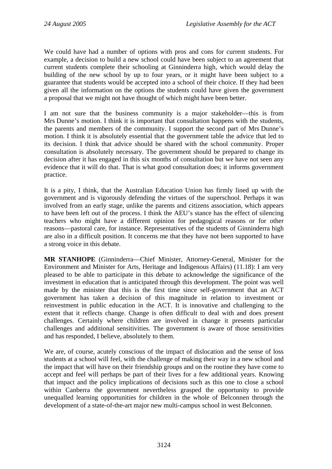We could have had a number of options with pros and cons for current students. For example, a decision to build a new school could have been subject to an agreement that current students complete their schooling at Ginninderra high, which would delay the building of the new school by up to four years, or it might have been subject to a guarantee that students would be accepted into a school of their choice. If they had been given all the information on the options the students could have given the government a proposal that we might not have thought of which might have been better.

I am not sure that the business community is a major stakeholder—this is from Mrs Dunne's motion. I think it is important that consultation happens with the students, the parents and members of the community. I support the second part of Mrs Dunne's motion. I think it is absolutely essential that the government table the advice that led to its decision. I think that advice should be shared with the school community. Proper consultation is absolutely necessary. The government should be prepared to change its decision after it has engaged in this six months of consultation but we have not seen any evidence that it will do that. That is what good consultation does; it informs government practice.

It is a pity, I think, that the Australian Education Union has firmly lined up with the government and is vigorously defending the virtues of the superschool. Perhaps it was involved from an early stage, unlike the parents and citizens association, which appears to have been left out of the process. I think the AEU's stance has the effect of silencing teachers who might have a different opinion for pedagogical reasons or for other reasons—pastoral care, for instance. Representatives of the students of Ginninderra high are also in a difficult position. It concerns me that they have not been supported to have a strong voice in this debate.

**MR STANHOPE** (Ginninderra—Chief Minister, Attorney-General, Minister for the Environment and Minister for Arts, Heritage and Indigenous Affairs) (11.18): I am very pleased to be able to participate in this debate to acknowledge the significance of the investment in education that is anticipated through this development. The point was well made by the minister that this is the first time since self-government that an ACT government has taken a decision of this magnitude in relation to investment or reinvestment in public education in the ACT. It is innovative and challenging to the extent that it reflects change. Change is often difficult to deal with and does present challenges. Certainly where children are involved in change it presents particular challenges and additional sensitivities. The government is aware of those sensitivities and has responded, I believe, absolutely to them.

We are, of course, acutely conscious of the impact of dislocation and the sense of loss students at a school will feel, with the challenge of making their way in a new school and the impact that will have on their friendship groups and on the routine they have come to accept and feel will perhaps be part of their lives for a few additional years. Knowing that impact and the policy implications of decisions such as this one to close a school within Canberra the government nevertheless grasped the opportunity to provide unequalled learning opportunities for children in the whole of Belconnen through the development of a state-of-the-art major new multi-campus school in west Belconnen.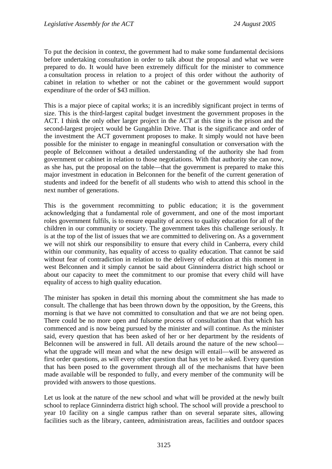To put the decision in context, the government had to make some fundamental decisions before undertaking consultation in order to talk about the proposal and what we were prepared to do. It would have been extremely difficult for the minister to commence a consultation process in relation to a project of this order without the authority of cabinet in relation to whether or not the cabinet or the government would support expenditure of the order of \$43 million.

This is a major piece of capital works; it is an incredibly significant project in terms of size. This is the third-largest capital budget investment the government proposes in the ACT. I think the only other larger project in the ACT at this time is the prison and the second-largest project would be Gungahlin Drive. That is the significance and order of the investment the ACT government proposes to make. It simply would not have been possible for the minister to engage in meaningful consultation or conversation with the people of Belconnen without a detailed understanding of the authority she had from government or cabinet in relation to those negotiations. With that authority she can now, as she has, put the proposal on the table—that the government is prepared to make this major investment in education in Belconnen for the benefit of the current generation of students and indeed for the benefit of all students who wish to attend this school in the next number of generations.

This is the government recommitting to public education; it is the government acknowledging that a fundamental role of government, and one of the most important roles government fulfils, is to ensure equality of access to quality education for all of the children in our community or society. The government takes this challenge seriously. It is at the top of the list of issues that we are committed to delivering on. As a government we will not shirk our responsibility to ensure that every child in Canberra, every child within our community, has equality of access to quality education. That cannot be said without fear of contradiction in relation to the delivery of education at this moment in west Belconnen and it simply cannot be said about Ginninderra district high school or about our capacity to meet the commitment to our promise that every child will have equality of access to high quality education.

The minister has spoken in detail this morning about the commitment she has made to consult. The challenge that has been thrown down by the opposition, by the Greens, this morning is that we have not committed to consultation and that we are not being open. There could be no more open and fulsome process of consultation than that which has commenced and is now being pursued by the minister and will continue. As the minister said, every question that has been asked of her or her department by the residents of Belconnen will be answered in full. All details around the nature of the new school what the upgrade will mean and what the new design will entail—will be answered as first order questions, as will every other question that has yet to be asked. Every question that has been posed to the government through all of the mechanisms that have been made available will be responded to fully, and every member of the community will be provided with answers to those questions.

Let us look at the nature of the new school and what will be provided at the newly built school to replace Ginninderra district high school. The school will provide a preschool to year 10 facility on a single campus rather than on several separate sites, allowing facilities such as the library, canteen, administration areas, facilities and outdoor spaces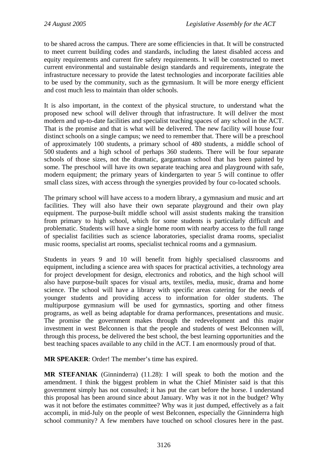to be shared across the campus. There are some efficiencies in that. It will be constructed to meet current building codes and standards, including the latest disabled access and equity requirements and current fire safety requirements. It will be constructed to meet current environmental and sustainable design standards and requirements, integrate the infrastructure necessary to provide the latest technologies and incorporate facilities able to be used by the community, such as the gymnasium. It will be more energy efficient and cost much less to maintain than older schools.

It is also important, in the context of the physical structure, to understand what the proposed new school will deliver through that infrastructure. It will deliver the most modern and up-to-date facilities and specialist teaching spaces of any school in the ACT. That is the promise and that is what will be delivered. The new facility will house four distinct schools on a single campus; we need to remember that. There will be a preschool of approximately 100 students, a primary school of 480 students, a middle school of 500 students and a high school of perhaps 360 students. There will be four separate schools of those sizes, not the dramatic, gargantuan school that has been painted by some. The preschool will have its own separate teaching area and playground with safe, modern equipment; the primary years of kindergarten to year 5 will continue to offer small class sizes, with access through the synergies provided by four co-located schools.

The primary school will have access to a modern library, a gymnasium and music and art facilities. They will also have their own separate playground and their own play equipment. The purpose-built middle school will assist students making the transition from primary to high school, which for some students is particularly difficult and problematic. Students will have a single home room with nearby access to the full range of specialist facilities such as science laboratories, specialist drama rooms, specialist music rooms, specialist art rooms, specialist technical rooms and a gymnasium.

Students in years 9 and 10 will benefit from highly specialised classrooms and equipment, including a science area with spaces for practical activities, a technology area for project development for design, electronics and robotics, and the high school will also have purpose-built spaces for visual arts, textiles, media, music, drama and home science. The school will have a library with specific areas catering for the needs of younger students and providing access to information for older students. The multipurpose gymnasium will be used for gymnastics, sporting and other fitness programs, as well as being adaptable for drama performances, presentations and music. The promise the government makes through the redevelopment and this major investment in west Belconnen is that the people and students of west Belconnen will, through this process, be delivered the best school, the best learning opportunities and the best teaching spaces available to any child in the ACT. I am enormously proud of that.

**MR SPEAKER**: Order! The member's time has expired.

**MR STEFANIAK** (Ginninderra) (11.28): I will speak to both the motion and the amendment. I think the biggest problem in what the Chief Minister said is that this government simply has not consulted; it has put the cart before the horse. I understand this proposal has been around since about January. Why was it not in the budget? Why was it not before the estimates committee? Why was it just dumped, effectively as a fait accompli, in mid-July on the people of west Belconnen, especially the Ginninderra high school community? A few members have touched on school closures here in the past.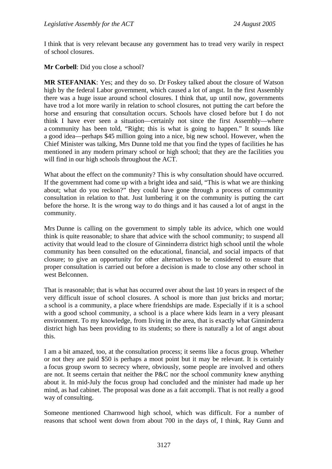I think that is very relevant because any government has to tread very warily in respect of school closures.

**Mr Corbell**: Did you close a school?

**MR STEFANIAK**: Yes; and they do so. Dr Foskey talked about the closure of Watson high by the federal Labor government, which caused a lot of angst. In the first Assembly there was a huge issue around school closures. I think that, up until now, governments have trod a lot more warily in relation to school closures, not putting the cart before the horse and ensuring that consultation occurs. Schools have closed before but I do not think I have ever seen a situation—certainly not since the first Assembly—where a community has been told, "Right; this is what is going to happen." It sounds like a good idea—perhaps \$45 million going into a nice, big new school. However, when the Chief Minister was talking, Mrs Dunne told me that you find the types of facilities he has mentioned in any modern primary school or high school; that they are the facilities you will find in our high schools throughout the ACT.

What about the effect on the community? This is why consultation should have occurred. If the government had come up with a bright idea and said, "This is what we are thinking about; what do you reckon?" they could have gone through a process of community consultation in relation to that. Just lumbering it on the community is putting the cart before the horse. It is the wrong way to do things and it has caused a lot of angst in the community.

Mrs Dunne is calling on the government to simply table its advice, which one would think is quite reasonable; to share that advice with the school community; to suspend all activity that would lead to the closure of Ginninderra district high school until the whole community has been consulted on the educational, financial, and social impacts of that closure; to give an opportunity for other alternatives to be considered to ensure that proper consultation is carried out before a decision is made to close any other school in west Belconnen.

That is reasonable; that is what has occurred over about the last 10 years in respect of the very difficult issue of school closures. A school is more than just bricks and mortar; a school is a community, a place where friendships are made. Especially if it is a school with a good school community, a school is a place where kids learn in a very pleasant environment. To my knowledge, from living in the area, that is exactly what Ginninderra district high has been providing to its students; so there is naturally a lot of angst about this.

I am a bit amazed, too, at the consultation process; it seems like a focus group. Whether or not they are paid \$50 is perhaps a moot point but it may be relevant. It is certainly a focus group sworn to secrecy where, obviously, some people are involved and others are not. It seems certain that neither the P&C nor the school community knew anything about it. In mid-July the focus group had concluded and the minister had made up her mind, as had cabinet. The proposal was done as a fait accompli. That is not really a good way of consulting.

Someone mentioned Charnwood high school, which was difficult. For a number of reasons that school went down from about 700 in the days of, I think, Ray Gunn and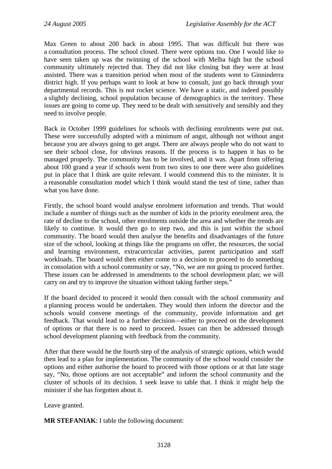Max Green to about 200 back in about 1995. That was difficult but there was a consultation process. The school closed. There were options too. One I would like to have seen taken up was the twinning of the school with Melba high but the school community ultimately rejected that. They did not like closing but they were at least assisted. There was a transition period when most of the students went to Ginninderra district high. If you perhaps want to look at how to consult, just go back through your departmental records. This is not rocket science. We have a static, and indeed possibly a slightly declining, school population because of demographics in the territory. These issues are going to come up. They need to be dealt with sensitively and sensibly and they need to involve people.

Back in October 1999 guidelines for schools with declining enrolments were put out. These were successfully adopted with a minimum of angst, although not without angst because you are always going to get angst. There are always people who do not want to see their school close, for obvious reasons. If the process is to happen it has to be managed properly. The community has to be involved, and it was. Apart from offering about 100 grand a year if schools went from two sites to one there were also guidelines put in place that I think are quite relevant. I would commend this to the minister. It is a reasonable consultation model which I think would stand the test of time, rather than what you have done.

Firstly, the school board would analyse enrolment information and trends. That would include a number of things such as the number of kids in the priority enrolment area, the rate of decline to the school, other enrolments outside the area and whether the trends are likely to continue. It would then go to step two, and this is just within the school community. The board would then analyse the benefits and disadvantages of the future size of the school, looking at things like the programs on offer, the resources, the social and learning environment, extracurricular activities, parent participation and staff workloads. The board would then either come to a decision to proceed to do something in consolation with a school community or say, "No, we are not going to proceed further. These issues can be addressed in amendments to the school development plan; we will carry on and try to improve the situation without taking further steps."

If the board decided to proceed it would then consult with the school community and a planning process would be undertaken. They would then inform the director and the schools would convene meetings of the community, provide information and get feedback. That would lead to a further decision—either to proceed on the development of options or that there is no need to proceed. Issues can then be addressed through school development planning with feedback from the community.

After that there would be the fourth step of the analysis of strategic options, which would then lead to a plan for implementation. The community of the school would consider the options and either authorise the board to proceed with those options or at that late stage say, "No, those options are not acceptable" and inform the school community and the cluster of schools of its decision. I seek leave to table that. I think it might help the minister if she has forgotten about it.

Leave granted.

**MR STEFANIAK**: I table the following document: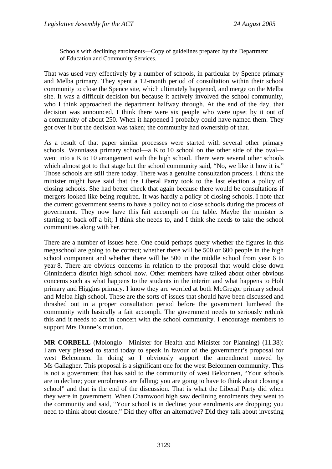Schools with declining enrolments—Copy of guidelines prepared by the Department of Education and Community Services.

That was used very effectively by a number of schools, in particular by Spence primary and Melba primary. They spent a 12-month period of consultation within their school community to close the Spence site, which ultimately happened, and merge on the Melba site. It was a difficult decision but because it actively involved the school community, who I think approached the department halfway through. At the end of the day, that decision was announced. I think there were six people who were upset by it out of a community of about 250. When it happened I probably could have named them. They got over it but the decision was taken; the community had ownership of that.

As a result of that paper similar processes were started with several other primary schools. Wanniassa primary school—a K to 10 school on the other side of the oval went into a K to 10 arrangement with the high school. There were several other schools which almost got to that stage but the school community said, "No, we like it how it is." Those schools are still there today. There was a genuine consultation process. I think the minister might have said that the Liberal Party took to the last election a policy of closing schools. She had better check that again because there would be consultations if mergers looked like being required. It was hardly a policy of closing schools. I note that the current government seems to have a policy not to close schools during the process of government. They now have this fait accompli on the table. Maybe the minister is starting to back off a bit; I think she needs to, and I think she needs to take the school communities along with her.

There are a number of issues here. One could perhaps query whether the figures in this megaschool are going to be correct; whether there will be 500 or 600 people in the high school component and whether there will be 500 in the middle school from year 6 to year 8. There are obvious concerns in relation to the proposal that would close down Ginninderra district high school now. Other members have talked about other obvious concerns such as what happens to the students in the interim and what happens to Holt primary and Higgins primary. I know they are worried at both McGregor primary school and Melba high school. These are the sorts of issues that should have been discussed and thrashed out in a proper consultation period before the government lumbered the community with basically a fait accompli. The government needs to seriously rethink this and it needs to act in concert with the school community. I encourage members to support Mrs Dunne's motion.

**MR CORBELL** (Molonglo—Minister for Health and Minister for Planning) (11.38): I am very pleased to stand today to speak in favour of the government's proposal for west Belconnen. In doing so I obviously support the amendment moved by Ms Gallagher. This proposal is a significant one for the west Belconnen community. This is not a government that has said to the community of west Belconnen, "Your schools are in decline; your enrolments are falling; you are going to have to think about closing a school" and that is the end of the discussion. That is what the Liberal Party did when they were in government. When Charnwood high saw declining enrolments they went to the community and said, "Your school is in decline; your enrolments are dropping; you need to think about closure." Did they offer an alternative? Did they talk about investing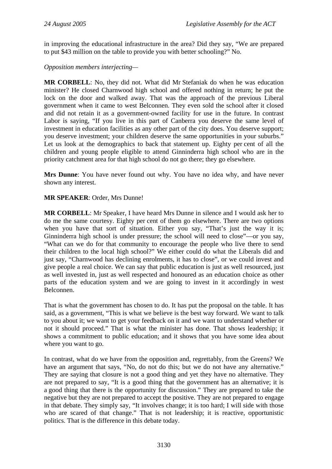in improving the educational infrastructure in the area? Did they say, "We are prepared to put \$43 million on the table to provide you with better schooling?" No.

#### *Opposition members interjecting—*

**MR CORBELL**: No, they did not. What did Mr Stefaniak do when he was education minister? He closed Charnwood high school and offered nothing in return; he put the lock on the door and walked away. That was the approach of the previous Liberal government when it came to west Belconnen. They even sold the school after it closed and did not retain it as a government-owned facility for use in the future. In contrast Labor is saying, "If you live in this part of Canberra you deserve the same level of investment in education facilities as any other part of the city does. You deserve support; you deserve investment; your children deserve the same opportunities in your suburbs." Let us look at the demographics to back that statement up. Eighty per cent of all the children and young people eligible to attend Ginninderra high school who are in the priority catchment area for that high school do not go there; they go elsewhere.

**Mrs Dunne**: You have never found out why. You have no idea why, and have never shown any interest.

### **MR SPEAKER**: Order, Mrs Dunne!

**MR CORBELL**: Mr Speaker, I have heard Mrs Dunne in silence and I would ask her to do me the same courtesy. Eighty per cent of them go elsewhere. There are two options when you have that sort of situation. Either you say, "That's just the way it is; Ginninderra high school is under pressure; the school will need to close"—or you say, "What can we do for that community to encourage the people who live there to send their children to the local high school?" We either could do what the Liberals did and just say, "Charnwood has declining enrolments, it has to close", or we could invest and give people a real choice. We can say that public education is just as well resourced, just as well invested in, just as well respected and honoured as an education choice as other parts of the education system and we are going to invest in it accordingly in west Belconnen.

That is what the government has chosen to do. It has put the proposal on the table. It has said, as a government, "This is what we believe is the best way forward. We want to talk to you about it; we want to get your feedback on it and we want to understand whether or not it should proceed." That is what the minister has done. That shows leadership; it shows a commitment to public education; and it shows that you have some idea about where you want to go.

In contrast, what do we have from the opposition and, regrettably, from the Greens? We have an argument that says, "No, do not do this; but we do not have any alternative." They are saying that closure is not a good thing and yet they have no alternative. They are not prepared to say, "It is a good thing that the government has an alternative; it is a good thing that there is the opportunity for discussion." They are prepared to take the negative but they are not prepared to accept the positive. They are not prepared to engage in that debate. They simply say, "It involves change; it is too hard; I will side with those who are scared of that change." That is not leadership; it is reactive, opportunistic politics. That is the difference in this debate today.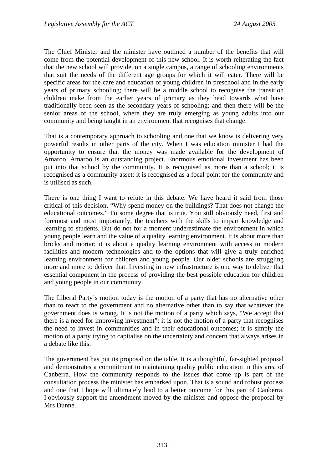The Chief Minister and the minister have outlined a number of the benefits that will come from the potential development of this new school. It is worth reiterating the fact that the new school will provide, on a single campus, a range of schooling environments that suit the needs of the different age groups for which it will cater. There will be specific areas for the care and education of young children in preschool and in the early years of primary schooling; there will be a middle school to recognise the transition children make from the earlier years of primary as they head towards what have traditionally been seen as the secondary years of schooling; and then there will be the senior areas of the school, where they are truly emerging as young adults into our community and being taught in an environment that recognises that change.

That is a contemporary approach to schooling and one that we know is delivering very powerful results in other parts of the city. When I was education minister I had the opportunity to ensure that the money was made available for the development of Amaroo. Amaroo is an outstanding project. Enormous emotional investment has been put into that school by the community. It is recognised as more than a school; it is recognised as a community asset; it is recognised as a focal point for the community and is utilised as such.

There is one thing I want to refute in this debate. We have heard it said from those critical of this decision, "Why spend money on the buildings? That does not change the educational outcomes." To some degree that is true. You still obviously need, first and foremost and most importantly, the teachers with the skills to impart knowledge and learning to students. But do not for a moment underestimate the environment in which young people learn and the value of a quality learning environment. It is about more than bricks and mortar; it is about a quality learning environment with access to modern facilities and modern technologies and to the options that will give a truly enriched learning environment for children and young people. Our older schools are struggling more and more to deliver that. Investing in new infrastructure is one way to deliver that essential component in the process of providing the best possible education for children and young people in our community.

The Liberal Party's motion today is the motion of a party that has no alternative other than to react to the government and no alternative other than to say that whatever the government does is wrong. It is not the motion of a party which says, "We accept that there is a need for improving investment"; it is not the motion of a party that recognises the need to invest in communities and in their educational outcomes; it is simply the motion of a party trying to capitalise on the uncertainty and concern that always arises in a debate like this.

The government has put its proposal on the table. It is a thoughtful, far-sighted proposal and demonstrates a commitment to maintaining quality public education in this area of Canberra. How the community responds to the issues that come up is part of the consultation process the minister has embarked upon. That is a sound and robust process and one that I hope will ultimately lead to a better outcome for this part of Canberra. I obviously support the amendment moved by the minister and oppose the proposal by Mrs Dunne.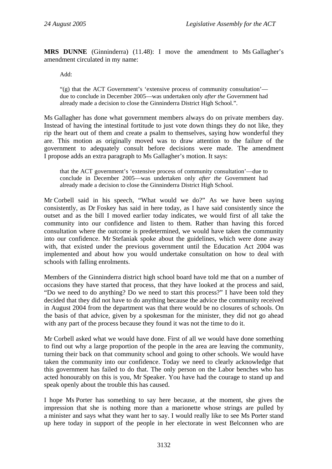**MRS DUNNE** (Ginninderra) (11.48): I move the amendment to Ms Gallagher's amendment circulated in my name:

Add:

"(g) that the ACT Government's 'extensive process of community consultation' due to conclude in December 2005—was undertaken only *after the* Government had already made a decision to close the Ginninderra District High School.".

Ms Gallagher has done what government members always do on private members day. Instead of having the intestinal fortitude to just vote down things they do not like, they rip the heart out of them and create a psalm to themselves, saying how wonderful they are. This motion as originally moved was to draw attention to the failure of the government to adequately consult before decisions were made. The amendment I propose adds an extra paragraph to Ms Gallagher's motion. It says:

that the ACT government's 'extensive process of community consultation'—due to conclude in December 2005—was undertaken only *after the* Government had already made a decision to close the Ginninderra District High School.

Mr Corbell said in his speech, "What would we do?" As we have been saying consistently, as Dr Foskey has said in here today, as I have said consistently since the outset and as the bill I moved earlier today indicates, we would first of all take the community into our confidence and listen to them. Rather than having this forced consultation where the outcome is predetermined, we would have taken the community into our confidence. Mr Stefaniak spoke about the guidelines, which were done away with, that existed under the previous government until the Education Act 2004 was implemented and about how you would undertake consultation on how to deal with schools with falling enrolments.

Members of the Ginninderra district high school board have told me that on a number of occasions they have started that process, that they have looked at the process and said, "Do we need to do anything? Do we need to start this process?" I have been told they decided that they did not have to do anything because the advice the community received in August 2004 from the department was that there would be no closures of schools. On the basis of that advice, given by a spokesman for the minister, they did not go ahead with any part of the process because they found it was not the time to do it.

Mr Corbell asked what we would have done. First of all we would have done something to find out why a large proportion of the people in the area are leaving the community, turning their back on that community school and going to other schools. We would have taken the community into our confidence. Today we need to clearly acknowledge that this government has failed to do that. The only person on the Labor benches who has acted honourably on this is you, Mr Speaker. You have had the courage to stand up and speak openly about the trouble this has caused.

I hope Ms Porter has something to say here because, at the moment, she gives the impression that she is nothing more than a marionette whose strings are pulled by a minister and says what they want her to say. I would really like to see Ms Porter stand up here today in support of the people in her electorate in west Belconnen who are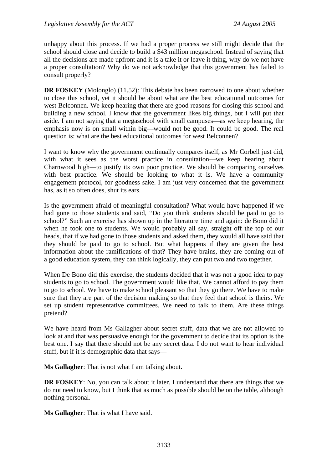unhappy about this process. If we had a proper process we still might decide that the school should close and decide to build a \$43 million megaschool. Instead of saying that all the decisions are made upfront and it is a take it or leave it thing, why do we not have a proper consultation? Why do we not acknowledge that this government has failed to consult properly?

**DR FOSKEY** (Molonglo) (11.52): This debate has been narrowed to one about whether to close this school, yet it should be about what are the best educational outcomes for west Belconnen. We keep hearing that there are good reasons for closing this school and building a new school. I know that the government likes big things, but I will put that aside. I am not saying that a megaschool with small campuses—as we keep hearing, the emphasis now is on small within big—would not be good. It could be good. The real question is: what are the best educational outcomes for west Belconnen?

I want to know why the government continually compares itself, as Mr Corbell just did, with what it sees as the worst practice in consultation—we keep hearing about Charnwood high—to justify its own poor practice. We should be comparing ourselves with best practice. We should be looking to what it is. We have a community engagement protocol, for goodness sake. I am just very concerned that the government has, as it so often does, shut its ears.

Is the government afraid of meaningful consultation? What would have happened if we had gone to those students and said, "Do you think students should be paid to go to school?" Such an exercise has shown up in the literature time and again: de Bono did it when he took one to students. We would probably all say, straight off the top of our heads, that if we had gone to those students and asked them, they would all have said that they should be paid to go to school. But what happens if they are given the best information about the ramifications of that? They have brains, they are coming out of a good education system, they can think logically, they can put two and two together.

When De Bono did this exercise, the students decided that it was not a good idea to pay students to go to school. The government would like that. We cannot afford to pay them to go to school. We have to make school pleasant so that they go there. We have to make sure that they are part of the decision making so that they feel that school is theirs. We set up student representative committees. We need to talk to them. Are these things pretend?

We have heard from Ms Gallagher about secret stuff, data that we are not allowed to look at and that was persuasive enough for the government to decide that its option is the best one. I say that there should not be any secret data. I do not want to hear individual stuff, but if it is demographic data that says—

**Ms Gallagher**: That is not what I am talking about.

**DR FOSKEY**: No, you can talk about it later. I understand that there are things that we do not need to know, but I think that as much as possible should be on the table, although nothing personal.

**Ms Gallagher**: That is what I have said.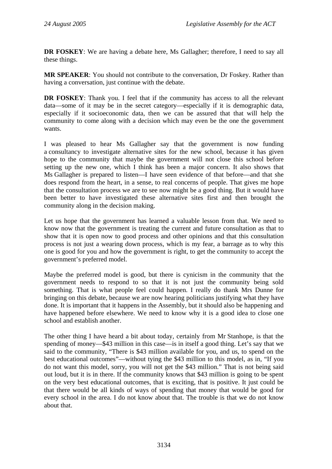**DR FOSKEY**: We are having a debate here, Ms Gallagher; therefore, I need to say all these things.

**MR SPEAKER**: You should not contribute to the conversation, Dr Foskey. Rather than having a conversation, just continue with the debate.

**DR FOSKEY**: Thank you. I feel that if the community has access to all the relevant data—some of it may be in the secret category—especially if it is demographic data, especially if it socioeconomic data, then we can be assured that that will help the community to come along with a decision which may even be the one the government wants.

I was pleased to hear Ms Gallagher say that the government is now funding a consultancy to investigate alternative sites for the new school, because it has given hope to the community that maybe the government will not close this school before setting up the new one, which I think has been a major concern. It also shows that Ms Gallagher is prepared to listen—I have seen evidence of that before—and that she does respond from the heart, in a sense, to real concerns of people. That gives me hope that the consultation process we are to see now might be a good thing. But it would have been better to have investigated these alternative sites first and then brought the community along in the decision making.

Let us hope that the government has learned a valuable lesson from that. We need to know now that the government is treating the current and future consultation as that to show that it is open now to good process and other opinions and that this consultation process is not just a wearing down process, which is my fear, a barrage as to why this one is good for you and how the government is right, to get the community to accept the government's preferred model.

Maybe the preferred model is good, but there is cynicism in the community that the government needs to respond to so that it is not just the community being sold something. That is what people feel could happen. I really do thank Mrs Dunne for bringing on this debate, because we are now hearing politicians justifying what they have done. It is important that it happens in the Assembly, but it should also be happening and have happened before elsewhere. We need to know why it is a good idea to close one school and establish another.

The other thing I have heard a bit about today, certainly from Mr Stanhope, is that the spending of money—\$43 million in this case—is in itself a good thing. Let's say that we said to the community, "There is \$43 million available for you, and us, to spend on the best educational outcomes"—without tying the \$43 million to this model, as in, "If you do not want this model, sorry, you will not get the \$43 million." That is not being said out loud, but it is in there. If the community knows that \$43 million is going to be spent on the very best educational outcomes, that is exciting, that is positive. It just could be that there would be all kinds of ways of spending that money that would be good for every school in the area. I do not know about that. The trouble is that we do not know about that.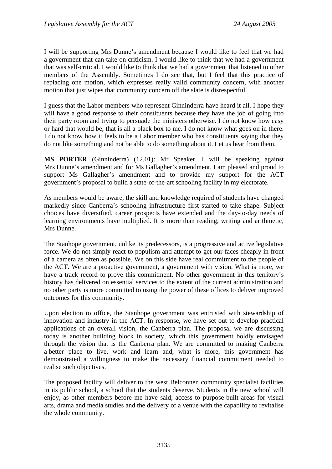I will be supporting Mrs Dunne's amendment because I would like to feel that we had a government that can take on criticism. I would like to think that we had a government that was self-critical. I would like to think that we had a government that listened to other members of the Assembly. Sometimes I do see that, but I feel that this practice of replacing one motion, which expresses really valid community concern, with another motion that just wipes that community concern off the slate is disrespectful.

I guess that the Labor members who represent Ginninderra have heard it all. I hope they will have a good response to their constituents because they have the job of going into their party room and trying to persuade the ministers otherwise. I do not know how easy or hard that would be; that is all a black box to me. I do not know what goes on in there. I do not know how it feels to be a Labor member who has constituents saying that they do not like something and not be able to do something about it. Let us hear from them.

**MS PORTER** (Ginninderra) (12.01): Mr Speaker, I will be speaking against Mrs Dunne's amendment and for Ms Gallagher's amendment. I am pleased and proud to support Ms Gallagher's amendment and to provide my support for the ACT government's proposal to build a state-of-the-art schooling facility in my electorate.

As members would be aware, the skill and knowledge required of students have changed markedly since Canberra's schooling infrastructure first started to take shape. Subject choices have diversified, career prospects have extended and the day-to-day needs of learning environments have multiplied. It is more than reading, writing and arithmetic, Mrs Dunne.

The Stanhope government, unlike its predecessors, is a progressive and active legislative force. We do not simply react to populism and attempt to get our faces cheaply in front of a camera as often as possible. We on this side have real commitment to the people of the ACT. We are a proactive government, a government with vision. What is more, we have a track record to prove this commitment. No other government in this territory's history has delivered on essential services to the extent of the current administration and no other party is more committed to using the power of these offices to deliver improved outcomes for this community.

Upon election to office, the Stanhope government was entrusted with stewardship of innovation and industry in the ACT. In response, we have set out to develop practical applications of an overall vision, the Canberra plan. The proposal we are discussing today is another building block in society, which this government boldly envisaged through the vision that is the Canberra plan. We are committed to making Canberra a better place to live, work and learn and, what is more, this government has demonstrated a willingness to make the necessary financial commitment needed to realise such objectives.

The proposed facility will deliver to the west Belconnen community specialist facilities in its public school, a school that the students deserve. Students in the new school will enjoy, as other members before me have said, access to purpose-built areas for visual arts, drama and media studies and the delivery of a venue with the capability to revitalise the whole community.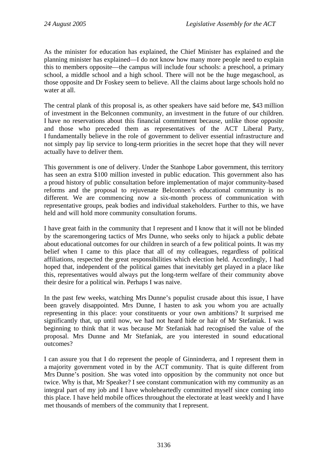As the minister for education has explained, the Chief Minister has explained and the planning minister has explained—I do not know how many more people need to explain this to members opposite—the campus will include four schools: a preschool, a primary school, a middle school and a high school. There will not be the huge megaschool, as those opposite and Dr Foskey seem to believe. All the claims about large schools hold no water at all.

The central plank of this proposal is, as other speakers have said before me, \$43 million of investment in the Belconnen community, an investment in the future of our children. I have no reservations about this financial commitment because, unlike those opposite and those who preceded them as representatives of the ACT Liberal Party, I fundamentally believe in the role of government to deliver essential infrastructure and not simply pay lip service to long-term priorities in the secret hope that they will never actually have to deliver them.

This government is one of delivery. Under the Stanhope Labor government, this territory has seen an extra \$100 million invested in public education. This government also has a proud history of public consultation before implementation of major community-based reforms and the proposal to rejuvenate Belconnen's educational community is no different. We are commencing now a six-month process of communication with representative groups, peak bodies and individual stakeholders. Further to this, we have held and will hold more community consultation forums.

I have great faith in the community that I represent and I know that it will not be blinded by the scaremongering tactics of Mrs Dunne, who seeks only to hijack a public debate about educational outcomes for our children in search of a few political points. It was my belief when I came to this place that all of my colleagues, regardless of political affiliations, respected the great responsibilities which election held. Accordingly, I had hoped that, independent of the political games that inevitably get played in a place like this, representatives would always put the long-term welfare of their community above their desire for a political win. Perhaps I was naive.

In the past few weeks, watching Mrs Dunne's populist crusade about this issue, I have been gravely disappointed. Mrs Dunne, I hasten to ask you whom you are actually representing in this place: your constituents or your own ambitions? It surprised me significantly that, up until now, we had not heard hide or hair of Mr Stefaniak. I was beginning to think that it was because Mr Stefaniak had recognised the value of the proposal. Mrs Dunne and Mr Stefaniak, are you interested in sound educational outcomes?

I can assure you that I do represent the people of Ginninderra, and I represent them in a majority government voted in by the ACT community. That is quite different from Mrs Dunne's position. She was voted into opposition by the community not once but twice. Why is that, Mr Speaker? I see constant communication with my community as an integral part of my job and I have wholeheartedly committed myself since coming into this place. I have held mobile offices throughout the electorate at least weekly and I have met thousands of members of the community that I represent.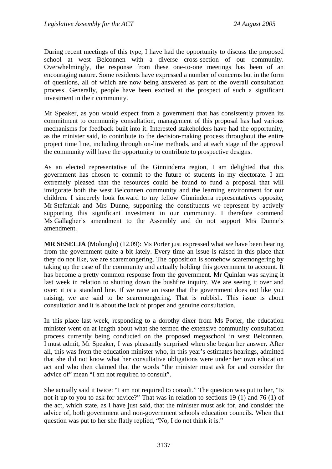During recent meetings of this type, I have had the opportunity to discuss the proposed school at west Belconnen with a diverse cross-section of our community. Overwhelmingly, the response from these one-to-one meetings has been of an encouraging nature. Some residents have expressed a number of concerns but in the form of questions, all of which are now being answered as part of the overall consultation process. Generally, people have been excited at the prospect of such a significant investment in their community.

Mr Speaker, as you would expect from a government that has consistently proven its commitment to community consultation, management of this proposal has had various mechanisms for feedback built into it. Interested stakeholders have had the opportunity, as the minister said, to contribute to the decision-making process throughout the entire project time line, including through on-line methods, and at each stage of the approval the community will have the opportunity to contribute to prospective designs.

As an elected representative of the Ginninderra region, I am delighted that this government has chosen to commit to the future of students in my electorate. I am extremely pleased that the resources could be found to fund a proposal that will invigorate both the west Belconnen community and the learning environment for our children. I sincerely look forward to my fellow Ginninderra representatives opposite, Mr Stefaniak and Mrs Dunne, supporting the constituents we represent by actively supporting this significant investment in our community. I therefore commend Ms Gallagher's amendment to the Assembly and do not support Mrs Dunne's amendment.

**MR SESELJA** (Molonglo) (12.09): Ms Porter just expressed what we have been hearing from the government quite a bit lately. Every time an issue is raised in this place that they do not like, we are scaremongering. The opposition is somehow scaremongering by taking up the case of the community and actually holding this government to account. It has become a pretty common response from the government. Mr Quinlan was saying it last week in relation to shutting down the bushfire inquiry. We are seeing it over and over; it is a standard line. If we raise an issue that the government does not like you raising, we are said to be scaremongering. That is rubbish. This issue is about consultation and it is about the lack of proper and genuine consultation.

In this place last week, responding to a dorothy dixer from Ms Porter, the education minister went on at length about what she termed the extensive community consultation process currently being conducted on the proposed megaschool in west Belconnen. I must admit, Mr Speaker, I was pleasantly surprised when she began her answer. After all, this was from the education minister who, in this year's estimates hearings, admitted that she did not know what her consultative obligations were under her own education act and who then claimed that the words "the minister must ask for and consider the advice of" mean "I am not required to consult".

She actually said it twice: "I am not required to consult." The question was put to her, "Is not it up to you to ask for advice?" That was in relation to sections 19 (1) and 76 (1) of the act, which state, as I have just said, that the minister must ask for, and consider the advice of, both government and non-government schools education councils. When that question was put to her she flatly replied, "No, I do not think it is."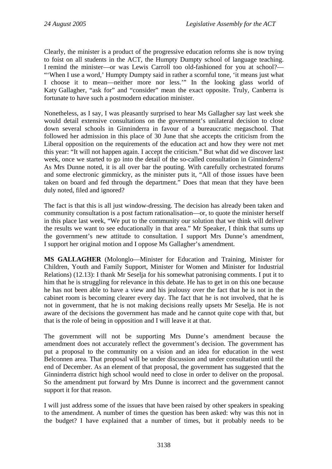Clearly, the minister is a product of the progressive education reforms she is now trying to foist on all students in the ACT, the Humpty Dumpty school of language teaching. I remind the minister—or was Lewis Carroll too old-fashioned for you at school?— "When I use a word,' Humpty Dumpty said in rather a scornful tone, 'it means just what I choose it to mean—neither more nor less.'" In the looking glass world of Katy Gallagher, "ask for" and "consider" mean the exact opposite. Truly, Canberra is fortunate to have such a postmodern education minister.

Nonetheless, as I say, I was pleasantly surprised to hear Ms Gallagher say last week she would detail extensive consultations on the government's unilateral decision to close down several schools in Ginninderra in favour of a bureaucratic megaschool. That followed her admission in this place of 30 June that she accepts the criticism from the Liberal opposition on the requirements of the education act and how they were not met this year: "It will not happen again. I accept the criticism." But what did we discover last week, once we started to go into the detail of the so-called consultation in Ginninderra? As Mrs Dunne noted, it is all over bar the pouting. With carefully orchestrated forums and some electronic gimmickry, as the minister puts it, "All of those issues have been taken on board and fed through the department." Does that mean that they have been duly noted, filed and ignored?

The fact is that this is all just window-dressing. The decision has already been taken and community consultation is a post factum rationalisation—or, to quote the minister herself in this place last week, "We put to the community our solution that we think will deliver the results we want to see educationally in that area." Mr Speaker, I think that sums up the government's new attitude to consultation. I support Mrs Dunne's amendment, I support her original motion and I oppose Ms Gallagher's amendment.

**MS GALLAGHER** (Molonglo—Minister for Education and Training, Minister for Children, Youth and Family Support, Minister for Women and Minister for Industrial Relations) (12.13): I thank Mr Seselja for his somewhat patronising comments. I put it to him that he is struggling for relevance in this debate. He has to get in on this one because he has not been able to have a view and his jealousy over the fact that he is not in the cabinet room is becoming clearer every day. The fact that he is not involved, that he is not in government, that he is not making decisions really upsets Mr Seselja. He is not aware of the decisions the government has made and he cannot quite cope with that, but that is the role of being in opposition and I will leave it at that.

The government will not be supporting Mrs Dunne's amendment because the amendment does not accurately reflect the government's decision. The government has put a proposal to the community on a vision and an idea for education in the west Belconnen area. That proposal will be under discussion and under consultation until the end of December. As an element of that proposal, the government has suggested that the Ginninderra district high school would need to close in order to deliver on the proposal. So the amendment put forward by Mrs Dunne is incorrect and the government cannot support it for that reason.

I will just address some of the issues that have been raised by other speakers in speaking to the amendment. A number of times the question has been asked: why was this not in the budget? I have explained that a number of times, but it probably needs to be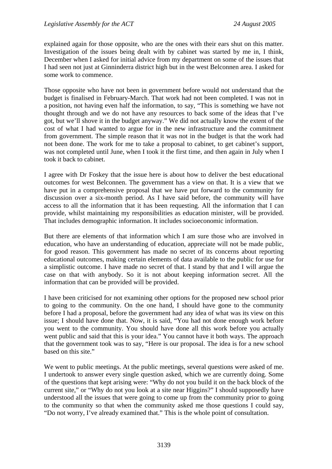explained again for those opposite, who are the ones with their ears shut on this matter. Investigation of the issues being dealt with by cabinet was started by me in, I think, December when I asked for initial advice from my department on some of the issues that I had seen not just at Ginninderra district high but in the west Belconnen area. I asked for some work to commence.

Those opposite who have not been in government before would not understand that the budget is finalised in February-March. That work had not been completed. I was not in a position, not having even half the information, to say, "This is something we have not thought through and we do not have any resources to back some of the ideas that I've got, but we'll shove it in the budget anyway." We did not actually know the extent of the cost of what I had wanted to argue for in the new infrastructure and the commitment from government. The simple reason that it was not in the budget is that the work had not been done. The work for me to take a proposal to cabinet, to get cabinet's support, was not completed until June, when I took it the first time, and then again in July when I took it back to cabinet.

I agree with Dr Foskey that the issue here is about how to deliver the best educational outcomes for west Belconnen. The government has a view on that. It is a view that we have put in a comprehensive proposal that we have put forward to the community for discussion over a six-month period. As I have said before, the community will have access to all the information that it has been requesting. All the information that I can provide, whilst maintaining my responsibilities as education minister, will be provided. That includes demographic information. It includes socioeconomic information.

But there are elements of that information which I am sure those who are involved in education, who have an understanding of education, appreciate will not be made public, for good reason. This government has made no secret of its concerns about reporting educational outcomes, making certain elements of data available to the public for use for a simplistic outcome. I have made no secret of that. I stand by that and I will argue the case on that with anybody. So it is not about keeping information secret. All the information that can be provided will be provided.

I have been criticised for not examining other options for the proposed new school prior to going to the community. On the one hand, I should have gone to the community before I had a proposal, before the government had any idea of what was its view on this issue; I should have done that. Now, it is said, "You had not done enough work before you went to the community. You should have done all this work before you actually went public and said that this is your idea." You cannot have it both ways. The approach that the government took was to say, "Here is our proposal. The idea is for a new school based on this site."

We went to public meetings. At the public meetings, several questions were asked of me. I undertook to answer every single question asked, which we are currently doing. Some of the questions that kept arising were: "Why do not you build it on the back block of the current site," or "Why do not you look at a site near Higgins?" I should supposedly have understood all the issues that were going to come up from the community prior to going to the community so that when the community asked me those questions I could say, "Do not worry, I've already examined that." This is the whole point of consultation.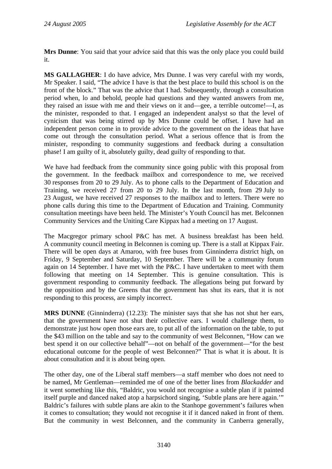**Mrs Dunne**: You said that your advice said that this was the only place you could build it.

**MS GALLAGHER**: I do have advice, Mrs Dunne. I was very careful with my words, Mr Speaker. I said, "The advice I have is that the best place to build this school is on the front of the block." That was the advice that I had. Subsequently, through a consultation period when, lo and behold, people had questions and they wanted answers from me, they raised an issue with me and their views on it and—gee, a terrible outcome!—I, as the minister, responded to that. I engaged an independent analyst so that the level of cynicism that was being stirred up by Mrs Dunne could be offset. I have had an independent person come in to provide advice to the government on the ideas that have come out through the consultation period. What a serious offence that is from the minister, responding to community suggestions and feedback during a consultation phase! I am guilty of it, absolutely guilty, dead guilty of responding to that.

We have had feedback from the community since going public with this proposal from the government. In the feedback mailbox and correspondence to me, we received 30 responses from 20 to 29 July. As to phone calls to the Department of Education and Training, we received 27 from 20 to 29 July. In the last month, from 29 July to 23 August, we have received 27 responses to the mailbox and to letters. There were no phone calls during this time to the Department of Education and Training. Community consultation meetings have been held. The Minister's Youth Council has met. Belconnen Community Services and the Uniting Care Kippax had a meeting on 17 August.

The Macgregor primary school P&C has met. A business breakfast has been held. A community council meeting in Belconnen is coming up. There is a stall at Kippax Fair. There will be open days at Amaroo, with free buses from Ginninderra district high, on Friday, 9 September and Saturday, 10 September. There will be a community forum again on 14 September. I have met with the P&C. I have undertaken to meet with them following that meeting on 14 September. This is genuine consultation. This is government responding to community feedback. The allegations being put forward by the opposition and by the Greens that the government has shut its ears, that it is not responding to this process, are simply incorrect.

**MRS DUNNE** (Ginninderra) (12.23): The minister says that she has not shut her ears, that the government have not shut their collective ears. I would challenge them, to demonstrate just how open those ears are, to put all of the information on the table, to put the \$43 million on the table and say to the community of west Belconnen, "How can we best spend it on our collective behalf"—not on behalf of the government—"for the best educational outcome for the people of west Belconnen?" That is what it is about. It is about consultation and it is about being open.

The other day, one of the Liberal staff members—a staff member who does not need to be named, Mr Gentleman—reminded me of one of the better lines from *Blackadder* and it went something like this, "Baldric, you would not recognise a subtle plan if it painted itself purple and danced naked atop a harpsichord singing, 'Subtle plans are here again.'" Baldric's failures with subtle plans are akin to the Stanhope government's failures when it comes to consultation; they would not recognise it if it danced naked in front of them. But the community in west Belconnen, and the community in Canberra generally,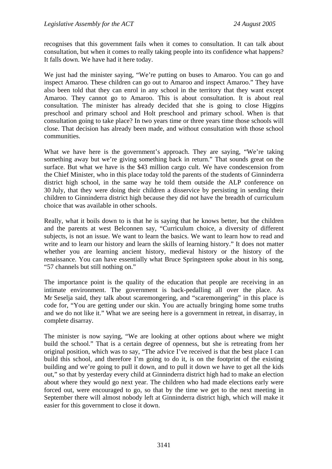recognises that this government fails when it comes to consultation. It can talk about consultation, but when it comes to really taking people into its confidence what happens? It falls down. We have had it here today.

We just had the minister saying, "We're putting on buses to Amaroo. You can go and inspect Amaroo. These children can go out to Amaroo and inspect Amaroo." They have also been told that they can enrol in any school in the territory that they want except Amaroo. They cannot go to Amaroo. This is about consultation. It is about real consultation. The minister has already decided that she is going to close Higgins preschool and primary school and Holt preschool and primary school. When is that consultation going to take place? In two years time or three years time those schools will close. That decision has already been made, and without consultation with those school communities.

What we have here is the government's approach. They are saying, "We're taking something away but we're giving something back in return." That sounds great on the surface. But what we have is the \$43 million cargo cult. We have condescension from the Chief Minister, who in this place today told the parents of the students of Ginninderra district high school, in the same way he told them outside the ALP conference on 30 July, that they were doing their children a disservice by persisting in sending their children to Ginninderra district high because they did not have the breadth of curriculum choice that was available in other schools.

Really, what it boils down to is that he is saying that he knows better, but the children and the parents at west Belconnen say, "Curriculum choice, a diversity of different subjects, is not an issue. We want to learn the basics. We want to learn how to read and write and to learn our history and learn the skills of learning history." It does not matter whether you are learning ancient history, medieval history or the history of the renaissance. You can have essentially what Bruce Springsteen spoke about in his song, "57 channels but still nothing on."

The importance point is the quality of the education that people are receiving in an intimate environment. The government is back-pedalling all over the place. As Mr Seselja said, they talk about scaremongering, and "scaremongering" in this place is code for, "You are getting under our skin. You are actually bringing home some truths and we do not like it." What we are seeing here is a government in retreat, in disarray, in complete disarray.

The minister is now saying, "We are looking at other options about where we might build the school." That is a certain degree of openness, but she is retreating from her original position, which was to say, "The advice I've received is that the best place I can build this school, and therefore I'm going to do it, is on the footprint of the existing building and we're going to pull it down, and to pull it down we have to get all the kids out," so that by yesterday every child at Ginninderra district high had to make an election about where they would go next year. The children who had made elections early were forced out, were encouraged to go, so that by the time we get to the next meeting in September there will almost nobody left at Ginninderra district high, which will make it easier for this government to close it down.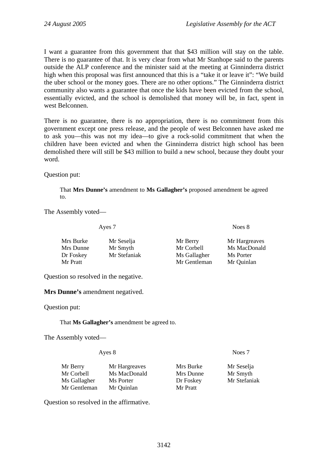I want a guarantee from this government that that \$43 million will stay on the table. There is no guarantee of that. It is very clear from what Mr Stanhope said to the parents outside the ALP conference and the minister said at the meeting at Ginninderra district high when this proposal was first announced that this is a "take it or leave it": "We build the uber school or the money goes. There are no other options." The Ginninderra district community also wants a guarantee that once the kids have been evicted from the school, essentially evicted, and the school is demolished that money will be, in fact, spent in west Belconnen.

There is no guarantee, there is no appropriation, there is no commitment from this government except one press release, and the people of west Belconnen have asked me to ask you—this was not my idea—to give a rock-solid commitment that when the children have been evicted and when the Ginninderra district high school has been demolished there will still be \$43 million to build a new school, because they doubt your word.

Question put:

That **Mrs Dunne's** amendment to **Ms Gallagher's** proposed amendment be agreed to.

The Assembly voted—

Ayes 7 Noes 8

| Mrs Burke | Mr Seselja   | Mr Berry     | Mr Hargreaves |
|-----------|--------------|--------------|---------------|
| Mrs Dunne | Mr Smyth     | Mr Corbell   | Ms MacDonald  |
| Dr Foskey | Mr Stefaniak | Ms Gallagher | Ms Porter     |
| Mr Pratt  |              | Mr Gentleman | Mr Quinlan    |
|           |              |              |               |

Question so resolved in the negative.

**Mrs Dunne's** amendment negatived.

Question put:

That **Ms Gallagher's** amendment be agreed to.

The Assembly voted—

Ayes 8 Noes 7

| Mr Berry     | Mr Hargreaves | Mrs Burke | Mr Seselja   |
|--------------|---------------|-----------|--------------|
| Mr Corbell-  | Ms MacDonald  | Mrs Dunne | Mr Smyth     |
| Ms Gallagher | Ms Porter     | Dr Foskey | Mr Stefaniak |
| Mr Gentleman | Mr Quinlan    | Mr Pratt  |              |
|              |               |           |              |

Question so resolved in the affirmative.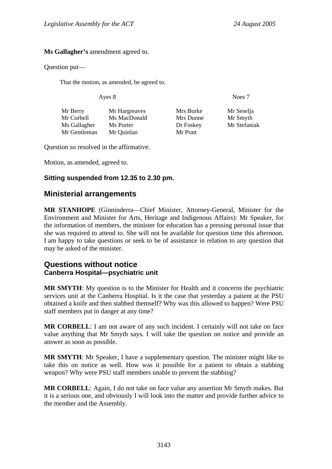#### <span id="page-34-0"></span>**Ms Gallagher's** amendment agreed to.

#### Question put—

That the motion, as amended, be agreed to.

Ayes 8 Noes 7

| Mr Berry     | Mr Hargreaves | Mrs Burke | Mr Seselja   |
|--------------|---------------|-----------|--------------|
| Mr Corbell   | Ms MacDonald  | Mrs Dunne | Mr Smyth     |
| Ms Gallagher | Ms Porter     | Dr Foskey | Mr Stefaniak |
| Mr Gentleman | Mr Quinlan    | Mr Pratt  |              |

Question so resolved in the affirmative.

Motion, as amended, agreed to.

#### **Sitting suspended from 12.35 to 2.30 pm.**

### **Ministerial arrangements**

**MR STANHOPE** (Ginninderra—Chief Minister, Attorney-General, Minister for the Environment and Minister for Arts, Heritage and Indigenous Affairs): Mr Speaker, for the information of members, the minister for education has a pressing personal issue that she was required to attend to. She will not be available for question time this afternoon. I am happy to take questions or seek to be of assistance in relation to any question that may be asked of the minister.

### **Questions without notice Canberra Hospital—psychiatric unit**

**MR SMYTH**: My question is to the Minister for Health and it concerns the psychiatric services unit at the Canberra Hospital. Is it the case that yesterday a patient at the PSU obtained a knife and then stabbed themself? Why was this allowed to happen? Were PSU staff members put in danger at any time?

**MR CORBELL**: I am not aware of any such incident. I certainly will not take on face value anything that Mr Smyth says. I will take the question on notice and provide an answer as soon as possible.

**MR SMYTH**: Mr Speaker, I have a supplementary question. The minister might like to take this on notice as well. How was it possible for a patient to obtain a stabbing weapon? Why were PSU staff members unable to prevent the stabbing?

**MR CORBELL**: Again, I do not take on face value any assertion Mr Smyth makes. But it is a serious one, and obviously I will look into the matter and provide further advice to the member and the Assembly.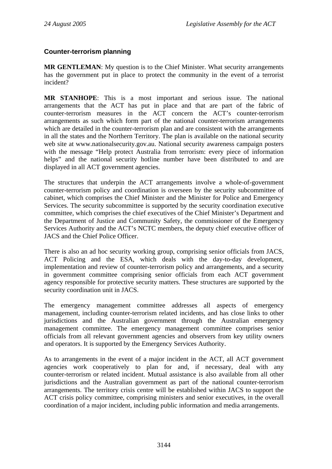### <span id="page-35-0"></span>**Counter-terrorism planning**

**MR GENTLEMAN:** My question is to the Chief Minister. What security arrangements has the government put in place to protect the community in the event of a terrorist incident?

**MR STANHOPE**: This is a most important and serious issue. The national arrangements that the ACT has put in place and that are part of the fabric of counter-terrorism measures in the ACT concern the ACT's counter-terrorism arrangements as such which form part of the national counter-terrorism arrangements which are detailed in the counter-terrorism plan and are consistent with the arrangements in all the states and the Northern Territory. The plan is available on the national security web site at www.nationalsecurity.gov.au. National security awareness campaign posters with the message "Help protect Australia from terrorism: every piece of information helps" and the national security hotline number have been distributed to and are displayed in all ACT government agencies.

The structures that underpin the ACT arrangements involve a whole-of-government counter-terrorism policy and coordination is overseen by the security subcommittee of cabinet, which comprises the Chief Minister and the Minister for Police and Emergency Services. The security subcommittee is supported by the security coordination executive committee, which comprises the chief executives of the Chief Minister's Department and the Department of Justice and Community Safety, the commissioner of the Emergency Services Authority and the ACT's NCTC members, the deputy chief executive officer of JACS and the Chief Police Officer.

There is also an ad hoc security working group, comprising senior officials from JACS, ACT Policing and the ESA, which deals with the day-to-day development, implementation and review of counter-terrorism policy and arrangements, and a security in government committee comprising senior officials from each ACT government agency responsible for protective security matters. These structures are supported by the security coordination unit in JACS.

The emergency management committee addresses all aspects of emergency management, including counter-terrorism related incidents, and has close links to other jurisdictions and the Australian government through the Australian emergency management committee. The emergency management committee comprises senior officials from all relevant government agencies and observers from key utility owners and operators. It is supported by the Emergency Services Authority.

As to arrangements in the event of a major incident in the ACT, all ACT government agencies work cooperatively to plan for and, if necessary, deal with any counter-terrorism or related incident. Mutual assistance is also available from all other jurisdictions and the Australian government as part of the national counter-terrorism arrangements. The territory crisis centre will be established within JACS to support the ACT crisis policy committee, comprising ministers and senior executives, in the overall coordination of a major incident, including public information and media arrangements.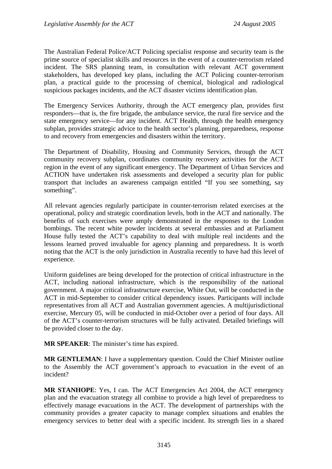The Australian Federal Police/ACT Policing specialist response and security team is the prime source of specialist skills and resources in the event of a counter-terrorism related incident. The SRS planning team, in consultation with relevant ACT government stakeholders, has developed key plans, including the ACT Policing counter-terrorism plan, a practical guide to the processing of chemical, biological and radiological suspicious packages incidents, and the ACT disaster victims identification plan.

The Emergency Services Authority, through the ACT emergency plan, provides first responders—that is, the fire brigade, the ambulance service, the rural fire service and the state emergency service—for any incident. ACT Health, through the health emergency subplan, provides strategic advice to the health sector's planning, preparedness, response to and recovery from emergencies and disasters within the territory.

The Department of Disability, Housing and Community Services, through the ACT community recovery subplan, coordinates community recovery activities for the ACT region in the event of any significant emergency. The Department of Urban Services and ACTION have undertaken risk assessments and developed a security plan for public transport that includes an awareness campaign entitled "If you see something, say something".

All relevant agencies regularly participate in counter-terrorism related exercises at the operational, policy and strategic coordination levels, both in the ACT and nationally. The benefits of such exercises were amply demonstrated in the responses to the London bombings. The recent white powder incidents at several embassies and at Parliament House fully tested the ACT's capability to deal with multiple real incidents and the lessons learned proved invaluable for agency planning and preparedness. It is worth noting that the ACT is the only jurisdiction in Australia recently to have had this level of experience.

Uniform guidelines are being developed for the protection of critical infrastructure in the ACT, including national infrastructure, which is the responsibility of the national government. A major critical infrastructure exercise, White Out, will be conducted in the ACT in mid-September to consider critical dependency issues. Participants will include representatives from all ACT and Australian government agencies. A multijurisdictional exercise, Mercury 05, will be conducted in mid-October over a period of four days. All of the ACT's counter-terrorism structures will be fully activated. Detailed briefings will be provided closer to the day.

**MR SPEAKER**: The minister's time has expired.

**MR GENTLEMAN**: I have a supplementary question. Could the Chief Minister outline to the Assembly the ACT government's approach to evacuation in the event of an incident?

**MR STANHOPE**: Yes, I can. The ACT Emergencies Act 2004, the ACT emergency plan and the evacuation strategy all combine to provide a high level of preparedness to effectively manage evacuations in the ACT. The development of partnerships with the community provides a greater capacity to manage complex situations and enables the emergency services to better deal with a specific incident. Its strength lies in a shared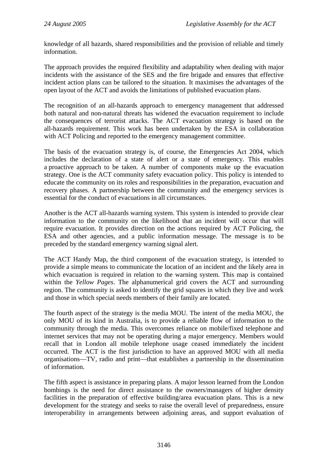knowledge of all hazards, shared responsibilities and the provision of reliable and timely information.

The approach provides the required flexibility and adaptability when dealing with major incidents with the assistance of the SES and the fire brigade and ensures that effective incident action plans can be tailored to the situation. It maximises the advantages of the open layout of the ACT and avoids the limitations of published evacuation plans.

The recognition of an all-hazards approach to emergency management that addressed both natural and non-natural threats has widened the evacuation requirement to include the consequences of terrorist attacks. The ACT evacuation strategy is based on the all-hazards requirement. This work has been undertaken by the ESA in collaboration with ACT Policing and reported to the emergency management committee.

The basis of the evacuation strategy is, of course, the Emergencies Act 2004, which includes the declaration of a state of alert or a state of emergency. This enables a proactive approach to be taken. A number of components make up the evacuation strategy. One is the ACT community safety evacuation policy. This policy is intended to educate the community on its roles and responsibilities in the preparation, evacuation and recovery phases. A partnership between the community and the emergency services is essential for the conduct of evacuations in all circumstances.

Another is the ACT all-hazards warning system. This system is intended to provide clear information to the community on the likelihood that an incident will occur that will require evacuation. It provides direction on the actions required by ACT Policing, the ESA and other agencies, and a public information message. The message is to be preceded by the standard emergency warning signal alert.

The ACT Handy Map, the third component of the evacuation strategy, is intended to provide a simple means to communicate the location of an incident and the likely area in which evacuation is required in relation to the warning system. This map is contained within the *Yellow Pages*. The alphanumerical grid covers the ACT and surrounding region. The community is asked to identify the grid squares in which they live and work and those in which special needs members of their family are located.

The fourth aspect of the strategy is the media MOU. The intent of the media MOU, the only MOU of its kind in Australia, is to provide a reliable flow of information to the community through the media. This overcomes reliance on mobile/fixed telephone and internet services that may not be operating during a major emergency. Members would recall that in London all mobile telephone usage ceased immediately the incident occurred. The ACT is the first jurisdiction to have an approved MOU with all media organisations—TV, radio and print—that establishes a partnership in the dissemination of information.

The fifth aspect is assistance in preparing plans. A major lesson learned from the London bombings is the need for direct assistance to the owners/managers of higher density facilities in the preparation of effective building/area evacuation plans. This is a new development for the strategy and seeks to raise the overall level of preparedness, ensure interoperability in arrangements between adjoining areas, and support evaluation of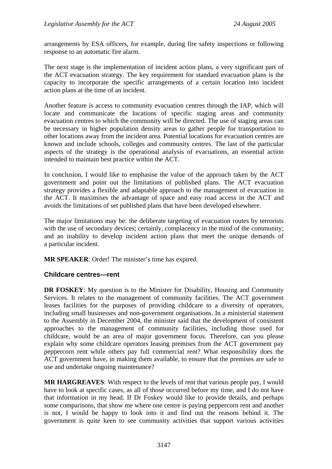arrangements by ESA officers, for example, during fire safety inspections or following response to an automatic fire alarm.

The next stage is the implementation of incident action plans, a very significant part of the ACT evacuation strategy. The key requirement for standard evacuation plans is the capacity to incorporate the specific arrangements of a certain location into incident action plans at the time of an incident.

Another feature is access to community evacuation centres through the IAP, which will locate and communicate the locations of specific staging areas and community evacuation centres to which the community will be directed. The use of staging areas can be necessary in higher population density areas to gather people for transportation to other locations away from the incident area. Potential locations for evacuation centres are known and include schools, colleges and community centres. The last of the particular aspects of the strategy is the operational analysis of evacuations, an essential action intended to maintain best practice within the ACT.

In conclusion, I would like to emphasise the value of the approach taken by the ACT government and point out the limitations of published plans. The ACT evacuation strategy provides a flexible and adaptable approach to the management of evacuation in the ACT. It maximises the advantage of space and easy road access in the ACT and avoids the limitations of set published plans that have been developed elsewhere.

The major limitations may be: the deliberate targeting of evacuation routes by terrorists with the use of secondary devices; certainly, complacency in the mind of the community; and an inability to develop incident action plans that meet the unique demands of a particular incident.

**MR SPEAKER**: Order! The minister's time has expired.

#### **Childcare centres—rent**

**DR FOSKEY:** My question is to the Minister for Disability, Housing and Community Services. It relates to the management of community facilities. The ACT government leases facilities for the purposes of providing childcare to a diversity of operators, including small businesses and non-government organisations. In a ministerial statement to the Assembly in December 2004, the minister said that the development of consistent approaches to the management of community facilities, including those used for childcare, would be an area of major government focus. Therefore, can you please explain why some childcare operators leasing premises from the ACT government pay peppercorn rent while others pay full commercial rent? What responsibility does the ACT government have, in making them available, to ensure that the premises are safe to use and undertake ongoing maintenance?

**MR HARGREAVES**: With respect to the levels of rent that various people pay, I would have to look at specific cases, as all of those occurred before my time, and I do not have that information in my head. If Dr Foskey would like to provide details, and perhaps some comparisons, that show me where one centre is paying peppercorn rent and another is not, I would be happy to look into it and find out the reasons behind it. The government is quite keen to see community activities that support various activities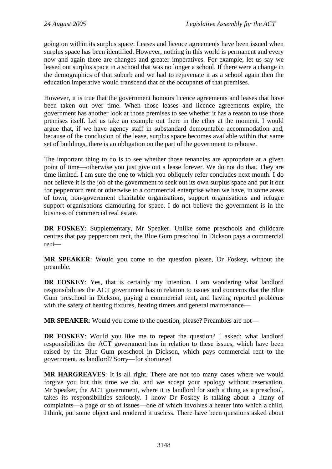going on within its surplus space. Leases and licence agreements have been issued when surplus space has been identified. However, nothing in this world is permanent and every now and again there are changes and greater imperatives. For example, let us say we leased out surplus space in a school that was no longer a school. If there were a change in the demographics of that suburb and we had to rejuvenate it as a school again then the education imperative would transcend that of the occupants of that premises.

However, it is true that the government honours licence agreements and leases that have been taken out over time. When those leases and licence agreements expire, the government has another look at those premises to see whether it has a reason to use those premises itself. Let us take an example out there in the ether at the moment. I would argue that, if we have agency staff in substandard demountable accommodation and, because of the conclusion of the lease, surplus space becomes available within that same set of buildings, there is an obligation on the part of the government to rehouse.

The important thing to do is to see whether those tenancies are appropriate at a given point of time—otherwise you just give out a lease forever. We do not do that. They are time limited. I am sure the one to which you obliquely refer concludes next month. I do not believe it is the job of the government to seek out its own surplus space and put it out for peppercorn rent or otherwise to a commercial enterprise when we have, in some areas of town, non-government charitable organisations, support organisations and refugee support organisations clamouring for space. I do not believe the government is in the business of commercial real estate.

**DR FOSKEY**: Supplementary, Mr Speaker. Unlike some preschools and childcare centres that pay peppercorn rent, the Blue Gum preschool in Dickson pays a commercial rent—

**MR SPEAKER**: Would you come to the question please, Dr Foskey, without the preamble.

**DR FOSKEY**: Yes, that is certainly my intention. I am wondering what landlord responsibilities the ACT government has in relation to issues and concerns that the Blue Gum preschool in Dickson, paying a commercial rent, and having reported problems with the safety of heating fixtures, heating timers and general maintenance—

**MR SPEAKER**: Would you come to the question, please? Preambles are not—

**DR FOSKEY**: Would you like me to repeat the question? I asked: what landlord responsibilities the ACT government has in relation to these issues, which have been raised by the Blue Gum preschool in Dickson, which pays commercial rent to the government, as landlord? Sorry—for shortness!

**MR HARGREAVES**: It is all right. There are not too many cases where we would forgive you but this time we do, and we accept your apology without reservation. Mr Speaker, the ACT government, where it is landlord for such a thing as a preschool, takes its responsibilities seriously. I know Dr Foskey is talking about a litany of complaints—a page or so of issues—one of which involves a heater into which a child, I think, put some object and rendered it useless. There have been questions asked about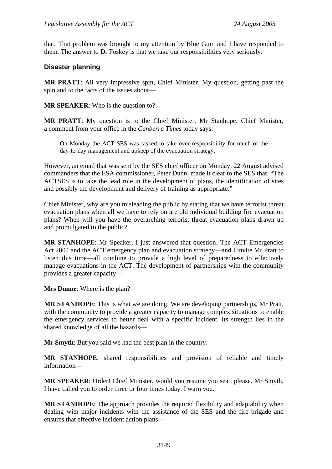that. That problem was brought to my attention by Blue Gum and I have responded to them. The answer to Dr Foskey is that we take our responsibilities very seriously.

#### **Disaster planning**

**MR PRATT**: All very impressive spin, Chief Minister. My question, getting past the spin and to the facts of the issues about—

**MR SPEAKER**: Who is the question to?

**MR PRATT**: My question is to the Chief Minister, Mr Stanhope. Chief Minister, a comment from your office in the *Canberra Times* today says:

On Monday the ACT SES was tasked to take over responsibility for much of the day-to-day management and upkeep of the evacuation strategy.

However, an email that was sent by the SES chief officer on Monday, 22 August advised commanders that the ESA commissioner, Peter Dunn, made it clear to the SES that, "The ACTSES is to take the lead role in the development of plans, the identification of sites and possibly the development and delivery of training as appropriate."

Chief Minister, why are you misleading the public by stating that we have terrorist threat evacuation plans when all we have to rely on are old individual building fire evacuation plans? When will you have the overarching terrorist threat evacuation plans drawn up and promulgated to the public?

**MR STANHOPE**: Mr Speaker, I just answered that question. The ACT Emergencies Act 2004 and the ACT emergency plan and evacuation strategy—and I invite Mr Pratt to listen this time—all combine to provide a high level of preparedness to effectively manage evacuations in the ACT. The development of partnerships with the community provides a greater capacity—

**Mrs Dunne**: Where is the plan?

**MR STANHOPE**: This is what we are doing. We are developing partnerships, Mr Pratt, with the community to provide a greater capacity to manage complex situations to enable the emergency services to better deal with a specific incident. Its strength lies in the shared knowledge of all the hazards—

**Mr Smyth**: But you said we had the best plan in the country.

**MR STANHOPE**: shared responsibilities and provision of reliable and timely information—

**MR SPEAKER**: Order! Chief Minister, would you resume you seat, please. Mr Smyth, I have called you to order three or four times today. I warn you.

**MR STANHOPE**: The approach provides the required flexibility and adaptability when dealing with major incidents with the assistance of the SES and the fire brigade and ensures that effective incident action plans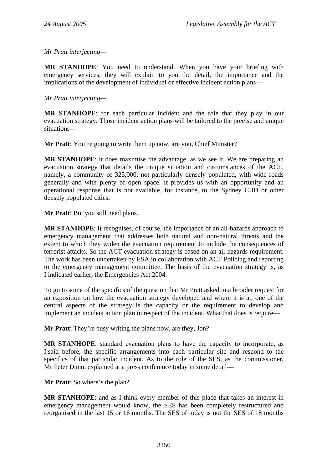*Mr Pratt interjecting—* 

**MR STANHOPE**: You need to understand. When you have your briefing with emergency services, they will explain to you the detail, the importance and the implications of the development of individual or effective incident action plans—

*Mr Pratt interjecting—* 

**MR STANHOPE**: for each particular incident and the role that they play in our evacuation strategy. Those incident action plans will be tailored to the precise and unique situations—

**Mr Pratt:** You're going to write them up now, are you, Chief Minister?

**MR STANHOPE**: It does maximise the advantage, as we see it. We are preparing an evacuation strategy that details the unique situation and circumstances of the ACT, namely, a community of 325,000, not particularly densely populated, with wide roads generally and with plenty of open space. It provides us with an opportunity and an operational response that is not available, for instance, to the Sydney CBD or other densely populated cities.

**Mr Pratt**: But you still need plans.

**MR STANHOPE**: It recognises, of course, the importance of an all-hazards approach to emergency management that addresses both natural and non-natural threats and the extent to which they widen the evacuation requirement to include the consequences of terrorist attacks. So the ACT evacuation strategy is based on an all-hazards requirement. The work has been undertaken by ESA in collaboration with ACT Policing and reporting to the emergency management committee. The basis of the evacuation strategy is, as I indicated earlier, the Emergencies Act 2004.

To go to some of the specifics of the question that Mr Pratt asked in a broader request for an exposition on how the evacuation strategy developed and where it is at, one of the central aspects of the strategy is the capacity or the requirement to develop and implement an incident action plan in respect of the incident. What that does is require—

**Mr Pratt**: They're busy writing the plans now, are they, Jon?

**MR STANHOPE**: standard evacuation plans to have the capacity to incorporate, as I said before, the specific arrangements into each particular site and respond to the specifics of that particular incident. As to the role of the SES, as the commissioner, Mr Peter Dunn, explained at a press conference today in some detail—

**Mr Pratt**: So where's the plan?

**MR STANHOPE**: and as I think every member of this place that takes an interest in emergency management would know, the SES has been completely restructured and reorganised in the last 15 or 16 months. The SES of today is not the SES of 18 months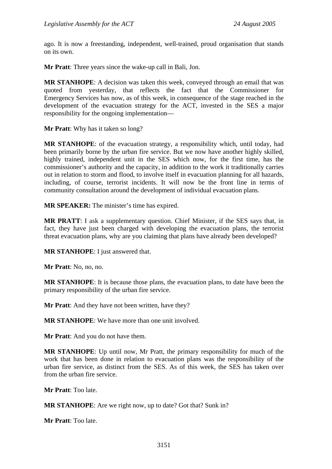ago. It is now a freestanding, independent, well-trained, proud organisation that stands on its own.

**Mr Pratt**: Three years since the wake-up call in Bali, Jon.

**MR STANHOPE**: A decision was taken this week, conveyed through an email that was quoted from yesterday, that reflects the fact that the Commissioner for Emergency Services has now, as of this week, in consequence of the stage reached in the development of the evacuation strategy for the ACT, invested in the SES a major responsibility for the ongoing implementation—

**Mr Pratt**: Why has it taken so long?

**MR STANHOPE**: of the evacuation strategy, a responsibility which, until today, had been primarily borne by the urban fire service. But we now have another highly skilled, highly trained, independent unit in the SES which now, for the first time, has the commissioner's authority and the capacity, in addition to the work it traditionally carries out in relation to storm and flood, to involve itself in evacuation planning for all hazards, including, of course, terrorist incidents. It will now be the front line in terms of community consultation around the development of individual evacuation plans.

**MR SPEAKER:** The minister's time has expired.

**MR PRATT**: I ask a supplementary question. Chief Minister, if the SES says that, in fact, they have just been charged with developing the evacuation plans, the terrorist threat evacuation plans, why are you claiming that plans have already been developed?

**MR STANHOPE**: I just answered that.

**Mr Pratt**: No, no, no.

**MR STANHOPE**: It is because those plans, the evacuation plans, to date have been the primary responsibility of the urban fire service.

**Mr Pratt**: And they have not been written, have they?

**MR STANHOPE**: We have more than one unit involved.

**Mr Pratt**: And you do not have them.

**MR STANHOPE**: Up until now, Mr Pratt, the primary responsibility for much of the work that has been done in relation to evacuation plans was the responsibility of the urban fire service, as distinct from the SES. As of this week, the SES has taken over from the urban fire service.

**Mr Pratt**: Too late.

**MR STANHOPE**: Are we right now, up to date? Got that? Sunk in?

**Mr Pratt**: Too late.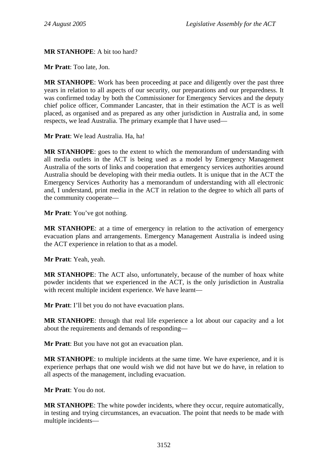#### **MR STANHOPE**: A bit too hard?

**Mr Pratt**: Too late, Jon.

**MR STANHOPE**: Work has been proceeding at pace and diligently over the past three years in relation to all aspects of our security, our preparations and our preparedness. It was confirmed today by both the Commissioner for Emergency Services and the deputy chief police officer, Commander Lancaster, that in their estimation the ACT is as well placed, as organised and as prepared as any other jurisdiction in Australia and, in some respects, we lead Australia. The primary example that I have used—

**Mr Pratt**: We lead Australia. Ha, ha!

**MR STANHOPE**: goes to the extent to which the memorandum of understanding with all media outlets in the ACT is being used as a model by Emergency Management Australia of the sorts of links and cooperation that emergency services authorities around Australia should be developing with their media outlets. It is unique that in the ACT the Emergency Services Authority has a memorandum of understanding with all electronic and, I understand, print media in the ACT in relation to the degree to which all parts of the community cooperate—

**Mr Pratt**: You've got nothing.

**MR STANHOPE**: at a time of emergency in relation to the activation of emergency evacuation plans and arrangements. Emergency Management Australia is indeed using the ACT experience in relation to that as a model.

**Mr Pratt**: Yeah, yeah.

**MR STANHOPE**: The ACT also, unfortunately, because of the number of hoax white powder incidents that we experienced in the ACT, is the only jurisdiction in Australia with recent multiple incident experience. We have learnt—

**Mr Pratt**: I'll bet you do not have evacuation plans.

**MR STANHOPE**: through that real life experience a lot about our capacity and a lot about the requirements and demands of responding—

**Mr Pratt**: But you have not got an evacuation plan.

**MR STANHOPE**: to multiple incidents at the same time. We have experience, and it is experience perhaps that one would wish we did not have but we do have, in relation to all aspects of the management, including evacuation.

**Mr Pratt**: You do not.

**MR STANHOPE**: The white powder incidents, where they occur, require automatically, in testing and trying circumstances, an evacuation. The point that needs to be made with multiple incidents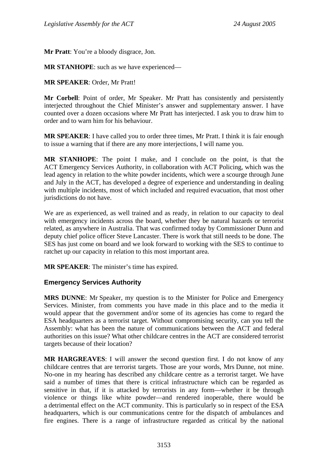**Mr Pratt**: You're a bloody disgrace, Jon.

**MR STANHOPE**: such as we have experienced—

**MR SPEAKER**: Order, Mr Pratt!

**Mr Corbell**: Point of order, Mr Speaker. Mr Pratt has consistently and persistently interjected throughout the Chief Minister's answer and supplementary answer. I have counted over a dozen occasions where Mr Pratt has interjected. I ask you to draw him to order and to warn him for his behaviour.

**MR SPEAKER**: I have called you to order three times, Mr Pratt. I think it is fair enough to issue a warning that if there are any more interjections, I will name you.

**MR STANHOPE**: The point I make, and I conclude on the point, is that the ACT Emergency Services Authority, in collaboration with ACT Policing, which was the lead agency in relation to the white powder incidents, which were a scourge through June and July in the ACT, has developed a degree of experience and understanding in dealing with multiple incidents, most of which included and required evacuation, that most other jurisdictions do not have.

We are as experienced, as well trained and as ready, in relation to our capacity to deal with emergency incidents across the board, whether they be natural hazards or terrorist related, as anywhere in Australia. That was confirmed today by Commissioner Dunn and deputy chief police officer Steve Lancaster. There is work that still needs to be done. The SES has just come on board and we look forward to working with the SES to continue to ratchet up our capacity in relation to this most important area.

**MR SPEAKER**: The minister's time has expired.

#### **Emergency Services Authority**

**MRS DUNNE**: Mr Speaker, my question is to the Minister for Police and Emergency Services. Minister, from comments you have made in this place and to the media it would appear that the government and/or some of its agencies has come to regard the ESA headquarters as a terrorist target. Without compromising security, can you tell the Assembly: what has been the nature of communications between the ACT and federal authorities on this issue? What other childcare centres in the ACT are considered terrorist targets because of their location?

**MR HARGREAVES**: I will answer the second question first. I do not know of any childcare centres that are terrorist targets. Those are your words, Mrs Dunne, not mine. No-one in my hearing has described any childcare centre as a terrorist target. We have said a number of times that there is critical infrastructure which can be regarded as sensitive in that, if it is attacked by terrorists in any form—whether it be through violence or things like white powder—and rendered inoperable, there would be a detrimental effect on the ACT community. This is particularly so in respect of the ESA headquarters, which is our communications centre for the dispatch of ambulances and fire engines. There is a range of infrastructure regarded as critical by the national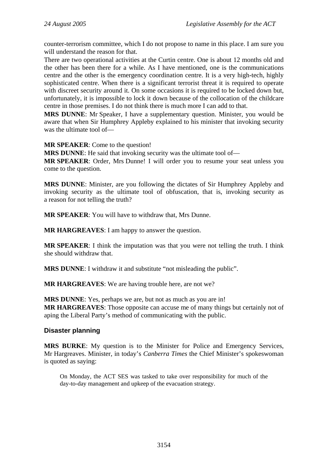counter-terrorism committee, which I do not propose to name in this place. I am sure you will understand the reason for that.

There are two operational activities at the Curtin centre. One is about 12 months old and the other has been there for a while. As I have mentioned, one is the communications centre and the other is the emergency coordination centre. It is a very high-tech, highly sophisticated centre. When there is a significant terrorist threat it is required to operate with discreet security around it. On some occasions it is required to be locked down but, unfortunately, it is impossible to lock it down because of the collocation of the childcare centre in those premises. I do not think there is much more I can add to that.

**MRS DUNNE**: Mr Speaker, I have a supplementary question. Minister, you would be aware that when Sir Humphrey Appleby explained to his minister that invoking security was the ultimate tool of—

**MR SPEAKER**: Come to the question!

**MRS DUNNE**: He said that invoking security was the ultimate tool of—

**MR SPEAKER**: Order, Mrs Dunne! I will order you to resume your seat unless you come to the question.

**MRS DUNNE**: Minister, are you following the dictates of Sir Humphrey Appleby and invoking security as the ultimate tool of obfuscation, that is, invoking security as a reason for not telling the truth?

**MR SPEAKER**: You will have to withdraw that, Mrs Dunne.

**MR HARGREAVES**: I am happy to answer the question.

**MR SPEAKER**: I think the imputation was that you were not telling the truth. I think she should withdraw that.

**MRS DUNNE**: I withdraw it and substitute "not misleading the public".

**MR HARGREAVES**: We are having trouble here, are not we?

**MRS DUNNE**: Yes, perhaps we are, but not as much as you are in! **MR HARGREAVES**: Those opposite can accuse me of many things but certainly not of aping the Liberal Party's method of communicating with the public.

#### **Disaster planning**

**MRS BURKE**: My question is to the Minister for Police and Emergency Services, Mr Hargreaves. Minister, in today's *Canberra Times* the Chief Minister's spokeswoman is quoted as saying:

On Monday, the ACT SES was tasked to take over responsibility for much of the day-to-day management and upkeep of the evacuation strategy.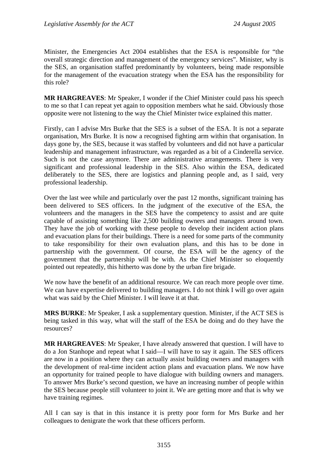Minister, the Emergencies Act 2004 establishes that the ESA is responsible for "the overall strategic direction and management of the emergency services". Minister, why is the SES, an organisation staffed predominantly by volunteers, being made responsible for the management of the evacuation strategy when the ESA has the responsibility for this role?

**MR HARGREAVES**: Mr Speaker, I wonder if the Chief Minister could pass his speech to me so that I can repeat yet again to opposition members what he said. Obviously those opposite were not listening to the way the Chief Minister twice explained this matter.

Firstly, can I advise Mrs Burke that the SES is a subset of the ESA. It is not a separate organisation, Mrs Burke. It is now a recognised fighting arm within that organisation. In days gone by, the SES, because it was staffed by volunteers and did not have a particular leadership and management infrastructure, was regarded as a bit of a Cinderella service. Such is not the case anymore. There are administrative arrangements. There is very significant and professional leadership in the SES. Also within the ESA, dedicated deliberately to the SES, there are logistics and planning people and, as I said, very professional leadership.

Over the last wee while and particularly over the past 12 months, significant training has been delivered to SES officers. In the judgment of the executive of the ESA, the volunteers and the managers in the SES have the competency to assist and are quite capable of assisting something like 2,500 building owners and managers around town. They have the job of working with these people to develop their incident action plans and evacuation plans for their buildings. There is a need for some parts of the community to take responsibility for their own evaluation plans, and this has to be done in partnership with the government. Of course, the ESA will be the agency of the government that the partnership will be with. As the Chief Minister so eloquently pointed out repeatedly, this hitherto was done by the urban fire brigade.

We now have the benefit of an additional resource. We can reach more people over time. We can have expertise delivered to building managers. I do not think I will go over again what was said by the Chief Minister. I will leave it at that.

**MRS BURKE**: Mr Speaker, I ask a supplementary question. Minister, if the ACT SES is being tasked in this way, what will the staff of the ESA be doing and do they have the resources?

**MR HARGREAVES**: Mr Speaker, I have already answered that question. I will have to do a Jon Stanhope and repeat what I said—I will have to say it again. The SES officers are now in a position where they can actually assist building owners and managers with the development of real-time incident action plans and evacuation plans. We now have an opportunity for trained people to have dialogue with building owners and managers. To answer Mrs Burke's second question, we have an increasing number of people within the SES because people still volunteer to joint it. We are getting more and that is why we have training regimes.

All I can say is that in this instance it is pretty poor form for Mrs Burke and her colleagues to denigrate the work that these officers perform.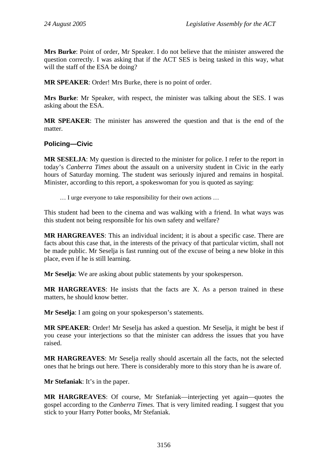**Mrs Burke**: Point of order, Mr Speaker. I do not believe that the minister answered the question correctly. I was asking that if the ACT SES is being tasked in this way, what will the staff of the ESA be doing?

**MR SPEAKER**: Order! Mrs Burke, there is no point of order.

**Mrs Burke**: Mr Speaker, with respect, the minister was talking about the SES. I was asking about the ESA.

**MR SPEAKER**: The minister has answered the question and that is the end of the matter.

#### **Policing—Civic**

**MR SESELJA**: My question is directed to the minister for police. I refer to the report in today's *Canberra Times* about the assault on a university student in Civic in the early hours of Saturday morning. The student was seriously injured and remains in hospital. Minister, according to this report, a spokeswoman for you is quoted as saying:

… I urge everyone to take responsibility for their own actions …

This student had been to the cinema and was walking with a friend. In what ways was this student not being responsible for his own safety and welfare?

**MR HARGREAVES**: This an individual incident; it is about a specific case. There are facts about this case that, in the interests of the privacy of that particular victim, shall not be made public. Mr Seselja is fast running out of the excuse of being a new bloke in this place, even if he is still learning.

**Mr Seselia:** We are asking about public statements by your spokesperson.

**MR HARGREAVES**: He insists that the facts are X. As a person trained in these matters, he should know better.

**Mr Seselja**: I am going on your spokesperson's statements.

**MR SPEAKER**: Order! Mr Seselja has asked a question. Mr Seselja, it might be best if you cease your interjections so that the minister can address the issues that you have raised.

**MR HARGREAVES**: Mr Seselja really should ascertain all the facts, not the selected ones that he brings out here. There is considerably more to this story than he is aware of.

**Mr Stefaniak**: It's in the paper.

**MR HARGREAVES**: Of course, Mr Stefaniak—interjecting yet again—quotes the gospel according to the *Canberra Times.* That is very limited reading. I suggest that you stick to your Harry Potter books, Mr Stefaniak.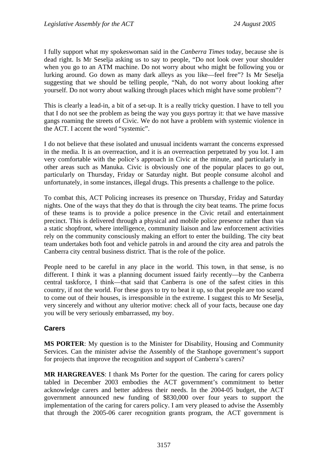I fully support what my spokeswoman said in the *Canberra Times* today, because she is dead right. Is Mr Seselja asking us to say to people, "Do not look over your shoulder when you go to an ATM machine. Do not worry about who might be following you or lurking around. Go down as many dark alleys as you like—feel free"? Is Mr Seselja suggesting that we should be telling people, "Nah, do not worry about looking after yourself. Do not worry about walking through places which might have some problem"?

This is clearly a lead-in, a bit of a set-up. It is a really tricky question. I have to tell you that I do not see the problem as being the way you guys portray it: that we have massive gangs roaming the streets of Civic. We do not have a problem with systemic violence in the ACT. I accent the word "systemic".

I do not believe that these isolated and unusual incidents warrant the concerns expressed in the media. It is an overreaction, and it is an overreaction perpetrated by you lot. I am very comfortable with the police's approach in Civic at the minute, and particularly in other areas such as Manuka. Civic is obviously one of the popular places to go out, particularly on Thursday, Friday or Saturday night. But people consume alcohol and unfortunately, in some instances, illegal drugs. This presents a challenge to the police.

To combat this, ACT Policing increases its presence on Thursday, Friday and Saturday nights. One of the ways that they do that is through the city beat teams. The prime focus of these teams is to provide a police presence in the Civic retail and entertainment precinct. This is delivered through a physical and mobile police presence rather than via a static shopfront, where intelligence, community liaison and law enforcement activities rely on the community consciously making an effort to enter the building. The city beat team undertakes both foot and vehicle patrols in and around the city area and patrols the Canberra city central business district. That is the role of the police.

People need to be careful in any place in the world. This town, in that sense, is no different. I think it was a planning document issued fairly recently—by the Canberra central taskforce, I think—that said that Canberra is one of the safest cities in this country, if not the world. For these guys to try to beat it up, so that people are too scared to come out of their houses, is irresponsible in the extreme. I suggest this to Mr Seselja, very sincerely and without any ulterior motive: check all of your facts, because one day you will be very seriously embarrassed, my boy.

#### **Carers**

**MS PORTER**: My question is to the Minister for Disability, Housing and Community Services. Can the minister advise the Assembly of the Stanhope government's support for projects that improve the recognition and support of Canberra's carers?

**MR HARGREAVES**: I thank Ms Porter for the question. The caring for carers policy tabled in December 2003 embodies the ACT government's commitment to better acknowledge carers and better address their needs. In the 2004-05 budget, the ACT government announced new funding of \$830,000 over four years to support the implementation of the caring for carers policy. I am very pleased to advise the Assembly that through the 2005-06 carer recognition grants program, the ACT government is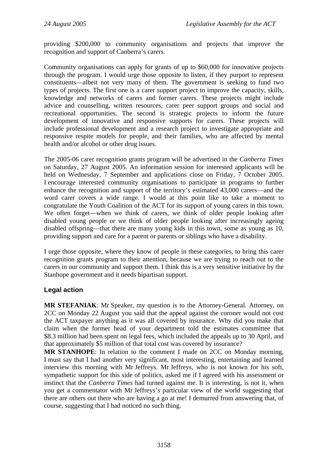providing \$200,000 to community organisations and projects that improve the recognition and support of Canberra's carers.

Community organisations can apply for grants of up to \$60,000 for innovative projects through the program. I would urge those opposite to listen, if they purport to represent constituents—albeit not very many of them. The government is seeking to fund two types of projects. The first one is a carer support project to improve the capacity, skills, knowledge and networks of carers and former carers. These projects might include advice and counselling, written resources, carer peer support groups and social and recreational opportunities. The second is strategic projects to inform the future development of innovative and responsive supports for carers. These projects will include professional development and a research project to investigate appropriate and responsive respite models for people, and their families, who are affected by mental health and/or alcohol or other drug issues.

The 2005-06 carer recognition grants program will be advertised in the *Canberra Times* on Saturday, 27 August 2005. An information session for interested applicants will be held on Wednesday, 7 September and applications close on Friday, 7 October 2005. I encourage interested community organisations to participate in programs to further enhance the recognition and support of the territory's estimated 43,000 carers—and the word carer covers a wide range. I would at this point like to take a moment to congratulate the Youth Coalition of the ACT for its support of young carers in this town. We often forget—when we think of carers, we think of older people looking after disabled young people or we think of older people looking after increasingly ageing disabled offspring—that there are many young kids in this town, some as young as 10, providing support and care for a parent or parents or siblings who have a disability.

I urge those opposite, where they know of people in these categories, to bring this carer recognition grants program to their attention, because we are trying to reach out to the carers in our community and support them. I think this is a very sensitive initiative by the Stanhope government and it needs bipartisan support.

#### **Legal action**

**MR STEFANIAK**: Mr Speaker, my question is to the Attorney-General. Attorney, on 2CC on Monday 22 August you said that the appeal against the coroner would not cost the ACT taxpayer anything as it was all covered by insurance. Why did you make that claim when the former head of your department told the estimates committee that \$8.3 million had been spent on legal fees, which included the appeals up to 30 April, and that approximately \$5 million of that total cost was covered by insurance?

**MR STANHOPE**: In relation to the comment I made on 2CC on Monday morning, I must say that I had another very significant, most interesting, entertaining and learned interview this morning with Mr Jeffreys. Mr Jeffreys, who is not known for his soft, sympathetic support for this side of politics, asked me if I agreed with his assessment or instinct that the *Canberra Times* had turned against me. It is interesting, is not it, when you get a commentator with Mr Jeffreys's particular view of the world suggesting that there are others out there who are having a go at me! I demurred from answering that, of course, suggesting that I had noticed no such thing.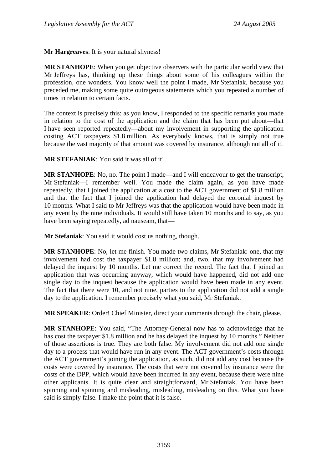**Mr Hargreaves**: It is your natural shyness!

**MR STANHOPE**: When you get objective observers with the particular world view that Mr Jeffreys has, thinking up these things about some of his colleagues within the profession, one wonders. You know well the point I made, Mr Stefaniak, because you preceded me, making some quite outrageous statements which you repeated a number of times in relation to certain facts.

The context is precisely this: as you know, I responded to the specific remarks you made in relation to the cost of the application and the claim that has been put about—that I have seen reported repeatedly—about my involvement in supporting the application costing ACT taxpayers \$1.8 million. As everybody knows, that is simply not true because the vast majority of that amount was covered by insurance, although not all of it.

**MR STEFANIAK**: You said it was all of it!

**MR STANHOPE**: No, no. The point I made—and I will endeavour to get the transcript, Mr Stefaniak—I remember well. You made the claim again, as you have made repeatedly, that I joined the application at a cost to the ACT government of \$1.8 million and that the fact that I joined the application had delayed the coronial inquest by 10 months. What I said to Mr Jeffreys was that the application would have been made in any event by the nine individuals. It would still have taken 10 months and to say, as you have been saying repeatedly, ad nauseam, that—

**Mr Stefaniak**: You said it would cost us nothing, though.

**MR STANHOPE**: No, let me finish. You made two claims, Mr Stefaniak: one, that my involvement had cost the taxpayer \$1.8 million; and, two, that my involvement had delayed the inquest by 10 months. Let me correct the record. The fact that I joined an application that was occurring anyway, which would have happened, did not add one single day to the inquest because the application would have been made in any event. The fact that there were 10, and not nine, parties to the application did not add a single day to the application. I remember precisely what you said, Mr Stefaniak.

**MR SPEAKER**: Order! Chief Minister, direct your comments through the chair, please.

**MR STANHOPE**: You said, "The Attorney-General now has to acknowledge that he has cost the taxpayer \$1.8 million and he has delayed the inquest by 10 months." Neither of those assertions is true. They are both false. My involvement did not add one single day to a process that would have run in any event. The ACT government's costs through the ACT government's joining the application, as such, did not add any cost because the costs were covered by insurance. The costs that were not covered by insurance were the costs of the DPP, which would have been incurred in any event, because there were nine other applicants. It is quite clear and straightforward, Mr Stefaniak. You have been spinning and spinning and misleading, misleading, misleading on this. What you have said is simply false. I make the point that it is false.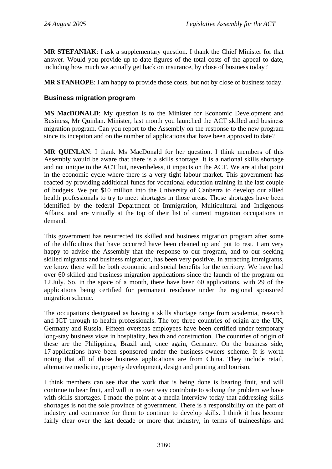**MR STEFANIAK**: I ask a supplementary question. I thank the Chief Minister for that answer. Would you provide up-to-date figures of the total costs of the appeal to date, including how much we actually get back on insurance, by close of business today?

**MR STANHOPE**: I am happy to provide those costs, but not by close of business today.

#### **Business migration program**

**MS MacDONALD**: My question is to the Minister for Economic Development and Business, Mr Quinlan. Minister, last month you launched the ACT skilled and business migration program. Can you report to the Assembly on the response to the new program since its inception and on the number of applications that have been approved to date?

**MR QUINLAN**: I thank Ms MacDonald for her question. I think members of this Assembly would be aware that there is a skills shortage. It is a national skills shortage and not unique to the ACT but, nevertheless, it impacts on the ACT. We are at that point in the economic cycle where there is a very tight labour market. This government has reacted by providing additional funds for vocational education training in the last couple of budgets. We put \$10 million into the University of Canberra to develop our allied health professionals to try to meet shortages in those areas. Those shortages have been identified by the federal Department of Immigration, Multicultural and Indigenous Affairs, and are virtually at the top of their list of current migration occupations in demand.

This government has resurrected its skilled and business migration program after some of the difficulties that have occurred have been cleaned up and put to rest. I am very happy to advise the Assembly that the response to our program, and to our seeking skilled migrants and business migration, has been very positive. In attracting immigrants, we know there will be both economic and social benefits for the territory. We have had over 60 skilled and business migration applications since the launch of the program on 12 July. So, in the space of a month, there have been 60 applications, with 29 of the applications being certified for permanent residence under the regional sponsored migration scheme.

The occupations designated as having a skills shortage range from academia, research and ICT through to health professionals. The top three countries of origin are the UK, Germany and Russia. Fifteen overseas employees have been certified under temporary long-stay business visas in hospitality, health and construction. The countries of origin of these are the Philippines, Brazil and, once again, Germany. On the business side, 17 applications have been sponsored under the business-owners scheme. It is worth noting that all of those business applications are from China. They include retail, alternative medicine, property development, design and printing and tourism.

I think members can see that the work that is being done is bearing fruit, and will continue to bear fruit, and will in its own way contribute to solving the problem we have with skills shortages. I made the point at a media interview today that addressing skills shortages is not the sole province of government. There is a responsibility on the part of industry and commerce for them to continue to develop skills. I think it has become fairly clear over the last decade or more that industry, in terms of traineeships and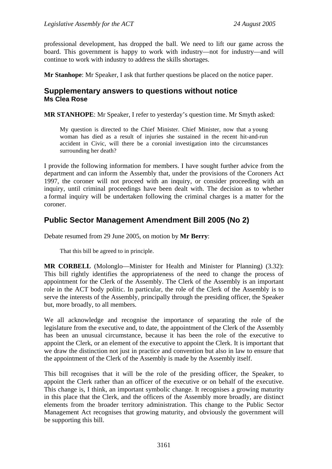professional development, has dropped the ball. We need to lift our game across the board. This government is happy to work with industry—not for industry—and will continue to work with industry to address the skills shortages.

**Mr Stanhope**: Mr Speaker, I ask that further questions be placed on the notice paper.

### **Supplementary answers to questions without notice Ms Clea Rose**

**MR STANHOPE**: Mr Speaker, I refer to yesterday's question time. Mr Smyth asked:

My question is directed to the Chief Minister. Chief Minister, now that a young woman has died as a result of injuries she sustained in the recent hit-and-run accident in Civic, will there be a coronial investigation into the circumstances surrounding her death?

I provide the following information for members. I have sought further advice from the department and can inform the Assembly that, under the provisions of the Coroners Act 1997, the coroner will not proceed with an inquiry, or consider proceeding with an inquiry, until criminal proceedings have been dealt with. The decision as to whether a formal inquiry will be undertaken following the criminal charges is a matter for the coroner.

### **Public Sector Management Amendment Bill 2005 (No 2)**

Debate resumed from 29 June 2005, on motion by **Mr Berry**:

That this bill be agreed to in principle.

**MR CORBELL** (Molonglo—Minister for Health and Minister for Planning) (3.32): This bill rightly identifies the appropriateness of the need to change the process of appointment for the Clerk of the Assembly. The Clerk of the Assembly is an important role in the ACT body politic. In particular, the role of the Clerk of the Assembly is to serve the interests of the Assembly, principally through the presiding officer, the Speaker but, more broadly, to all members.

We all acknowledge and recognise the importance of separating the role of the legislature from the executive and, to date, the appointment of the Clerk of the Assembly has been an unusual circumstance, because it has been the role of the executive to appoint the Clerk, or an element of the executive to appoint the Clerk. It is important that we draw the distinction not just in practice and convention but also in law to ensure that the appointment of the Clerk of the Assembly is made by the Assembly itself.

This bill recognises that it will be the role of the presiding officer, the Speaker, to appoint the Clerk rather than an officer of the executive or on behalf of the executive. This change is, I think, an important symbolic change. It recognises a growing maturity in this place that the Clerk, and the officers of the Assembly more broadly, are distinct elements from the broader territory administration. This change to the Public Sector Management Act recognises that growing maturity, and obviously the government will be supporting this bill.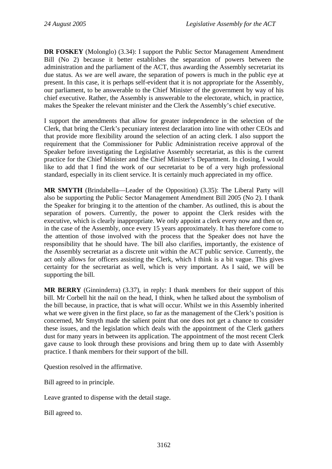**DR FOSKEY** (Molonglo) (3.34): I support the Public Sector Management Amendment Bill (No 2) because it better establishes the separation of powers between the administration and the parliament of the ACT, thus awarding the Assembly secretariat its due status. As we are well aware, the separation of powers is much in the public eye at present. In this case, it is perhaps self-evident that it is not appropriate for the Assembly, our parliament, to be answerable to the Chief Minister of the government by way of his chief executive. Rather, the Assembly is answerable to the electorate, which, in practice, makes the Speaker the relevant minister and the Clerk the Assembly's chief executive.

I support the amendments that allow for greater independence in the selection of the Clerk, that bring the Clerk's pecuniary interest declaration into line with other CEOs and that provide more flexibility around the selection of an acting clerk. I also support the requirement that the Commissioner for Public Administration receive approval of the Speaker before investigating the Legislative Assembly secretariat, as this is the current practice for the Chief Minister and the Chief Minister's Department. In closing, I would like to add that I find the work of our secretariat to be of a very high professional standard, especially in its client service. It is certainly much appreciated in my office.

**MR SMYTH** (Brindabella—Leader of the Opposition) (3.35): The Liberal Party will also be supporting the Public Sector Management Amendment Bill 2005 (No 2). I thank the Speaker for bringing it to the attention of the chamber. As outlined, this is about the separation of powers. Currently, the power to appoint the Clerk resides with the executive, which is clearly inappropriate. We only appoint a clerk every now and then or, in the case of the Assembly, once every 15 years approximately. It has therefore come to the attention of those involved with the process that the Speaker does not have the responsibility that he should have. The bill also clarifies, importantly, the existence of the Assembly secretariat as a discrete unit within the ACT public service. Currently, the act only allows for officers assisting the Clerk, which I think is a bit vague. This gives certainty for the secretariat as well, which is very important. As I said, we will be supporting the bill.

**MR BERRY** (Ginninderra) (3.37), in reply: I thank members for their support of this bill. Mr Corbell hit the nail on the head, I think, when he talked about the symbolism of the bill because, in practice, that is what will occur. Whilst we in this Assembly inherited what we were given in the first place, so far as the management of the Clerk's position is concerned, Mr Smyth made the salient point that one does not get a chance to consider these issues, and the legislation which deals with the appointment of the Clerk gathers dust for many years in between its application. The appointment of the most recent Clerk gave cause to look through these provisions and bring them up to date with Assembly practice. I thank members for their support of the bill.

Question resolved in the affirmative.

Bill agreed to in principle.

Leave granted to dispense with the detail stage.

Bill agreed to.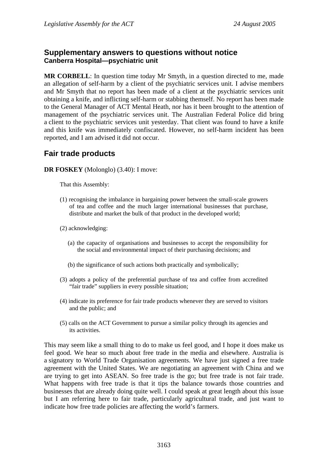### **Supplementary answers to questions without notice Canberra Hospital—psychiatric unit**

**MR CORBELL**: In question time today Mr Smyth, in a question directed to me, made an allegation of self-harm by a client of the psychiatric services unit. I advise members and Mr Smyth that no report has been made of a client at the psychiatric services unit obtaining a knife, and inflicting self-harm or stabbing themself. No report has been made to the General Manager of ACT Mental Heath, nor has it been brought to the attention of management of the psychiatric services unit. The Australian Federal Police did bring a client to the psychiatric services unit yesterday. That client was found to have a knife and this knife was immediately confiscated. However, no self-harm incident has been reported, and I am advised it did not occur.

# **Fair trade products**

**DR FOSKEY** (Molonglo) (3.40): I move:

That this Assembly:

- (1) recognising the imbalance in bargaining power between the small-scale growers of tea and coffee and the much larger international businesses that purchase, distribute and market the bulk of that product in the developed world;
- (2) acknowledging:
	- (a) the capacity of organisations and businesses to accept the responsibility for the social and environmental impact of their purchasing decisions; and
	- (b) the significance of such actions both practically and symbolically;
- (3) adopts a policy of the preferential purchase of tea and coffee from accredited "fair trade" suppliers in every possible situation;
- (4) indicate its preference for fair trade products whenever they are served to visitors and the public; and
- (5) calls on the ACT Government to pursue a similar policy through its agencies and its activities.

This may seem like a small thing to do to make us feel good, and I hope it does make us feel good. We hear so much about free trade in the media and elsewhere. Australia is a signatory to World Trade Organisation agreements. We have just signed a free trade agreement with the United States. We are negotiating an agreement with China and we are trying to get into ASEAN. So free trade is the go; but free trade is not fair trade. What happens with free trade is that it tips the balance towards those countries and businesses that are already doing quite well. I could speak at great length about this issue but I am referring here to fair trade, particularly agricultural trade, and just want to indicate how free trade policies are affecting the world's farmers.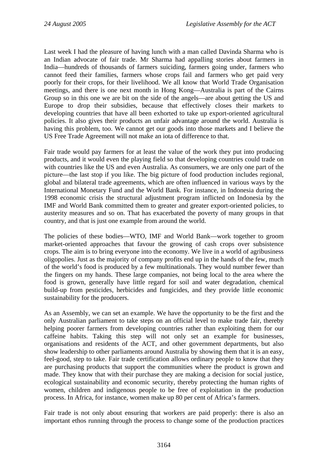Last week I had the pleasure of having lunch with a man called Davinda Sharma who is an Indian advocate of fair trade. Mr Sharma had appalling stories about farmers in India—hundreds of thousands of farmers suiciding, farmers going under, farmers who cannot feed their families, farmers whose crops fail and farmers who get paid very poorly for their crops, for their livelihood. We all know that World Trade Organisation meetings, and there is one next month in Hong Kong—Australia is part of the Cairns Group so in this one we are bit on the side of the angels—are about getting the US and Europe to drop their subsidies, because that effectively closes their markets to developing countries that have all been exhorted to take up export-oriented agricultural policies. It also gives their products an unfair advantage around the world. Australia is having this problem, too. We cannot get our goods into those markets and I believe the US Free Trade Agreement will not make an iota of difference to that.

Fair trade would pay farmers for at least the value of the work they put into producing products, and it would even the playing field so that developing countries could trade on with countries like the US and even Australia. As consumers, we are only one part of the picture—the last stop if you like. The big picture of food production includes regional, global and bilateral trade agreements, which are often influenced in various ways by the International Monetary Fund and the World Bank. For instance, in Indonesia during the 1998 economic crisis the structural adjustment program inflicted on Indonesia by the IMF and World Bank committed them to greater and greater export-oriented policies, to austerity measures and so on. That has exacerbated the poverty of many groups in that country, and that is just one example from around the world.

The policies of these bodies—WTO, IMF and World Bank—work together to groom market-oriented approaches that favour the growing of cash crops over subsistence crops. The aim is to bring everyone into the economy. We live in a world of agribusiness oligopolies. Just as the majority of company profits end up in the hands of the few, much of the world's food is produced by a few multinationals. They would number fewer than the fingers on my hands. These large companies, not being local to the area where the food is grown, generally have little regard for soil and water degradation, chemical build-up from pesticides, herbicides and fungicides, and they provide little economic sustainability for the producers.

As an Assembly, we can set an example. We have the opportunity to be the first and the only Australian parliament to take steps on an official level to make trade fair, thereby helping poorer farmers from developing countries rather than exploiting them for our caffeine habits. Taking this step will not only set an example for businesses, organisations and residents of the ACT, and other government departments, but also show leadership to other parliaments around Australia by showing them that it is an easy, feel-good, step to take. Fair trade certification allows ordinary people to know that they are purchasing products that support the communities where the product is grown and made. They know that with their purchase they are making a decision for social justice, ecological sustainability and economic security, thereby protecting the human rights of women, children and indigenous people to be free of exploitation in the production process. In Africa, for instance, women make up 80 per cent of Africa's farmers.

Fair trade is not only about ensuring that workers are paid properly: there is also an important ethos running through the process to change some of the production practices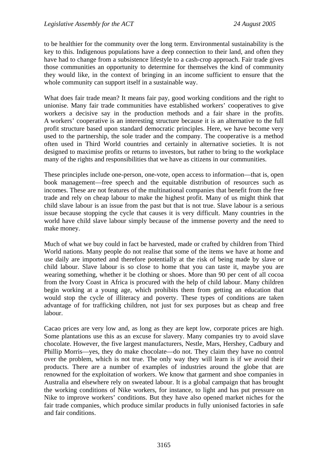to be healthier for the community over the long term. Environmental sustainability is the key to this. Indigenous populations have a deep connection to their land, and often they have had to change from a subsistence lifestyle to a cash-crop approach. Fair trade gives those communities an opportunity to determine for themselves the kind of community they would like, in the context of bringing in an income sufficient to ensure that the whole community can support itself in a sustainable way.

What does fair trade mean? It means fair pay, good working conditions and the right to unionise. Many fair trade communities have established workers' cooperatives to give workers a decisive say in the production methods and a fair share in the profits. A workers' cooperative is an interesting structure because it is an alternative to the full profit structure based upon standard democratic principles. Here, we have become very used to the partnership, the sole trader and the company. The cooperative is a method often used in Third World countries and certainly in alternative societies. It is not designed to maximise profits or returns to investors, but rather to bring to the workplace many of the rights and responsibilities that we have as citizens in our communities.

These principles include one-person, one-vote, open access to information—that is, open book management—free speech and the equitable distribution of resources such as incomes. These are not features of the multinational companies that benefit from the free trade and rely on cheap labour to make the highest profit. Many of us might think that child slave labour is an issue from the past but that is not true. Slave labour is a serious issue because stopping the cycle that causes it is very difficult. Many countries in the world have child slave labour simply because of the immense poverty and the need to make money.

Much of what we buy could in fact be harvested, made or crafted by children from Third World nations. Many people do not realise that some of the items we have at home and use daily are imported and therefore potentially at the risk of being made by slave or child labour. Slave labour is so close to home that you can taste it, maybe you are wearing something, whether it be clothing or shoes. More than 90 per cent of all cocoa from the Ivory Coast in Africa is procured with the help of child labour. Many children begin working at a young age, which prohibits them from getting an education that would stop the cycle of illiteracy and poverty. These types of conditions are taken advantage of for trafficking children, not just for sex purposes but as cheap and free labour.

Cacao prices are very low and, as long as they are kept low, corporate prices are high. Some plantations use this as an excuse for slavery. Many companies try to avoid slave chocolate. However, the five largest manufacturers, Nestle, Mars, Hershey, Cadbury and Phillip Morris—yes, they do make chocolate—do not. They claim they have no control over the problem, which is not true. The only way they will learn is if we avoid their products. There are a number of examples of industries around the globe that are renowned for the exploitation of workers. We know that garment and shoe companies in Australia and elsewhere rely on sweated labour. It is a global campaign that has brought the working conditions of Nike workers, for instance, to light and has put pressure on Nike to improve workers' conditions. But they have also opened market niches for the fair trade companies, which produce similar products in fully unionised factories in safe and fair conditions.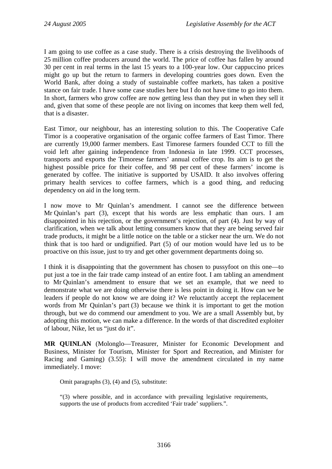I am going to use coffee as a case study. There is a crisis destroying the livelihoods of 25 million coffee producers around the world. The price of coffee has fallen by around 30 per cent in real terms in the last 15 years to a 100-year low. Our cappuccino prices might go up but the return to farmers in developing countries goes down. Even the World Bank, after doing a study of sustainable coffee markets, has taken a positive stance on fair trade. I have some case studies here but I do not have time to go into them. In short, farmers who grow coffee are now getting less than they put in when they sell it and, given that some of these people are not living on incomes that keep them well fed, that is a disaster.

East Timor, our neighbour, has an interesting solution to this. The Cooperative Cafe Timor is a cooperative organisation of the organic coffee farmers of East Timor. There are currently 19,000 farmer members. East Timorese farmers founded CCT to fill the void left after gaining independence from Indonesia in late 1999. CCT processes, transports and exports the Timorese farmers' annual coffee crop. Its aim is to get the highest possible price for their coffee, and 98 per cent of these farmers' income is generated by coffee. The initiative is supported by USAID. It also involves offering primary health services to coffee farmers, which is a good thing, and reducing dependency on aid in the long term.

I now move to Mr Quinlan's amendment. I cannot see the difference between Mr Quinlan's part (3), except that his words are less emphatic than ours. I am disappointed in his rejection, or the government's rejection, of part (4). Just by way of clarification, when we talk about letting consumers know that they are being served fair trade products, it might be a little notice on the table or a sticker near the urn. We do not think that is too hard or undignified. Part (5) of our motion would have led us to be proactive on this issue, just to try and get other government departments doing so.

I think it is disappointing that the government has chosen to pussyfoot on this one—to put just a toe in the fair trade camp instead of an entire foot. I am tabling an amendment to Mr Quinlan's amendment to ensure that we set an example, that we need to demonstrate what we are doing otherwise there is less point in doing it. How can we be leaders if people do not know we are doing it? We reluctantly accept the replacement words from Mr Quinlan's part (3) because we think it is important to get the motion through, but we do commend our amendment to you. We are a small Assembly but, by adopting this motion, we can make a difference. In the words of that discredited exploiter of labour, Nike, let us "just do it".

**MR QUINLAN** (Molonglo—Treasurer, Minister for Economic Development and Business, Minister for Tourism, Minister for Sport and Recreation, and Minister for Racing and Gaming) (3.55): I will move the amendment circulated in my name immediately. I move:

Omit paragraphs (3), (4) and (5), substitute:

"(3) where possible, and in accordance with prevailing legislative requirements, supports the use of products from accredited 'Fair trade' suppliers.".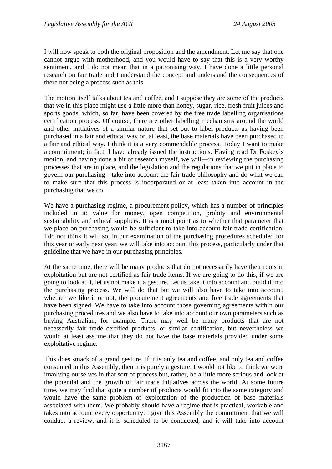I will now speak to both the original proposition and the amendment. Let me say that one cannot argue with motherhood, and you would have to say that this is a very worthy sentiment, and I do not mean that in a patronising way. I have done a little personal research on fair trade and I understand the concept and understand the consequences of there not being a process such as this.

The motion itself talks about tea and coffee, and I suppose they are some of the products that we in this place might use a little more than honey, sugar, rice, fresh fruit juices and sports goods, which, so far, have been covered by the free trade labelling organisations certification process. Of course, there are other labelling mechanisms around the world and other initiatives of a similar nature that set out to label products as having been purchased in a fair and ethical way or, at least, the base materials have been purchased in a fair and ethical way. I think it is a very commendable process. Today I want to make a commitment; in fact, I have already issued the instructions. Having read Dr Foskey's motion, and having done a bit of research myself, we will—in reviewing the purchasing processes that are in place, and the legislation and the regulations that we put in place to govern our purchasing—take into account the fair trade philosophy and do what we can to make sure that this process is incorporated or at least taken into account in the purchasing that we do.

We have a purchasing regime, a procurement policy, which has a number of principles included in it: value for money, open competition, probity and environmental sustainability and ethical suppliers. It is a moot point as to whether that parameter that we place on purchasing would be sufficient to take into account fair trade certification. I do not think it will so, in our examination of the purchasing procedures scheduled for this year or early next year, we will take into account this process, particularly under that guideline that we have in our purchasing principles.

At the same time, there will be many products that do not necessarily have their roots in exploitation but are not certified as fair trade items. If we are going to do this, if we are going to look at it, let us not make it a gesture. Let us take it into account and build it into the purchasing process. We will do that but we will also have to take into account, whether we like it or not, the procurement agreements and free trade agreements that have been signed. We have to take into account those governing agreements within our purchasing procedures and we also have to take into account our own parameters such as buying Australian, for example. There may well be many products that are not necessarily fair trade certified products, or similar certification, but nevertheless we would at least assume that they do not have the base materials provided under some exploitative regime.

This does smack of a grand gesture. If it is only tea and coffee, and only tea and coffee consumed in this Assembly, then it is purely a gesture. I would not like to think we were involving ourselves in that sort of process but, rather, be a little more serious and look at the potential and the growth of fair trade initiatives across the world. At some future time, we may find that quite a number of products would fit into the same category and would have the same problem of exploitation of the production of base materials associated with them. We probably should have a regime that is practical, workable and takes into account every opportunity. I give this Assembly the commitment that we will conduct a review, and it is scheduled to be conducted, and it will take into account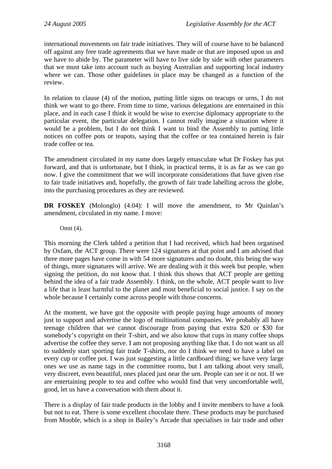international movements on fair trade initiatives. They will of course have to be balanced off against any free trade agreements that we have made or that are imposed upon us and we have to abide by. The parameter will have to live side by side with other parameters that we must take into account such as buying Australian and supporting local industry where we can. Those other guidelines in place may be changed as a function of the review.

In relation to clause (4) of the motion, putting little signs on teacups or urns, I do not think we want to go there. From time to time, various delegations are entertained in this place, and in each case I think it would be wise to exercise diplomacy appropriate to the particular event, the particular delegation. I cannot really imagine a situation where it would be a problem, but I do not think I want to bind the Assembly to putting little notices on coffee pots or teapots, saying that the coffee or tea contained herein is fair trade coffee or tea.

The amendment circulated in my name does largely emasculate what Dr Foskey has put forward, and that is unfortunate, but I think, in practical terms, it is as far as we can go now. I give the commitment that we will incorporate considerations that have given rise to fair trade initiatives and, hopefully, the growth of fair trade labelling across the globe, into the purchasing procedures as they are reviewed.

**DR FOSKEY** (Molonglo) (4.04): I will move the amendment, to Mr Quinlan's amendment, circulated in my name. I move:

Omit (4).

This morning the Clerk tabled a petition that I had received, which had been organised by Oxfam, the ACT group. There were 124 signatures at that point and I am advised that three more pages have come in with 54 more signatures and no doubt, this being the way of things, more signatures will arrive. We are dealing with it this week but people, when signing the petition, do not know that. I think this shows that ACT people are getting behind the idea of a fair trade Assembly. I think, on the whole, ACT people want to live a life that is least harmful to the planet and most beneficial to social justice. I say on the whole because I certainly come across people with those concerns.

At the moment, we have got the opposite with people paying huge amounts of money just to support and advertise the logo of multinational companies. We probably all have teenage children that we cannot discourage from paying that extra \$20 or \$30 for somebody's copyright on their T-shirt, and we also know that cups in many coffee shops advertise the coffee they serve. I am not proposing anything like that. I do not want us all to suddenly start sporting fair trade T-shirts, nor do I think we need to have a label on every cup or coffee pot. I was just suggesting a little cardboard thing; we have very large ones we use as name tags in the committee rooms, but I am talking about very small, very discreet, even beautiful, ones placed just near the urn. People can see it or not. If we are entertaining people to tea and coffee who would find that very uncomfortable well, good, let us have a conversation with them about it.

There is a display of fair trade products in the lobby and I invite members to have a look but not to eat. There is some excellent chocolate there. These products may be purchased from Mooble, which is a shop in Bailey's Arcade that specialises in fair trade and other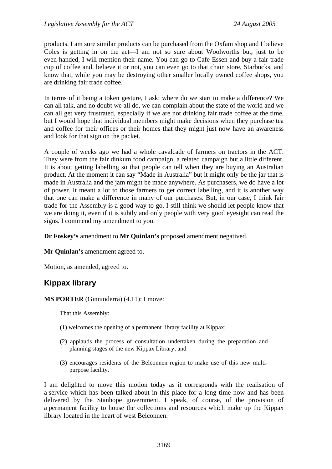products. I am sure similar products can be purchased from the Oxfam shop and I believe Coles is getting in on the act—I am not so sure about Woolworths but, just to be even-handed, I will mention their name. You can go to Cafe Essen and buy a fair trade cup of coffee and, believe it or not, you can even go to that chain store, Starbucks, and know that, while you may be destroying other smaller locally owned coffee shops, you are drinking fair trade coffee.

In terms of it being a token gesture, I ask: where do we start to make a difference? We can all talk, and no doubt we all do, we can complain about the state of the world and we can all get very frustrated, especially if we are not drinking fair trade coffee at the time, but I would hope that individual members might make decisions when they purchase tea and coffee for their offices or their homes that they might just now have an awareness and look for that sign on the packet.

A couple of weeks ago we had a whole cavalcade of farmers on tractors in the ACT. They were from the fair dinkum food campaign, a related campaign but a little different. It is about getting labelling so that people can tell when they are buying an Australian product. At the moment it can say "Made in Australia" but it might only be the jar that is made in Australia and the jam might be made anywhere. As purchasers, we do have a lot of power. It meant a lot to those farmers to get correct labelling, and it is another way that one can make a difference in many of our purchases. But, in our case, I think fair trade for the Assembly is a good way to go. I still think we should let people know that we are doing it, even if it is subtly and only people with very good eyesight can read the signs. I commend my amendment to you.

**Dr Foskey's** amendment to **Mr Quinlan's** proposed amendment negatived.

**Mr Quinlan's** amendment agreed to.

Motion, as amended, agreed to.

## **Kippax library**

#### **MS PORTER** (Ginninderra) (4.11): I move:

That this Assembly:

- (1) welcomes the opening of a permanent library facility at Kippax;
- (2) applauds the process of consultation undertaken during the preparation and planning stages of the new Kippax Library; and
- (3) encourages residents of the Belconnen region to make use of this new multipurpose facility.

I am delighted to move this motion today as it corresponds with the realisation of a service which has been talked about in this place for a long time now and has been delivered by the Stanhope government. I speak, of course, of the provision of a permanent facility to house the collections and resources which make up the Kippax library located in the heart of west Belconnen.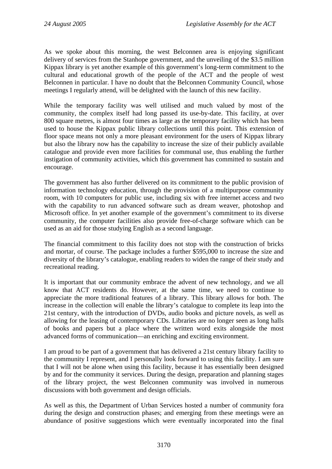As we spoke about this morning, the west Belconnen area is enjoying significant delivery of services from the Stanhope government, and the unveiling of the \$3.5 million Kippax library is yet another example of this government's long-term commitment to the cultural and educational growth of the people of the ACT and the people of west Belconnen in particular. I have no doubt that the Belconnen Community Council, whose meetings I regularly attend, will be delighted with the launch of this new facility.

While the temporary facility was well utilised and much valued by most of the community, the complex itself had long passed its use-by-date. This facility, at over 800 square metres, is almost four times as large as the temporary facility which has been used to house the Kippax public library collections until this point. This extension of floor space means not only a more pleasant environment for the users of Kippax library but also the library now has the capability to increase the size of their publicly available catalogue and provide even more facilities for communal use, thus enabling the further instigation of community activities, which this government has committed to sustain and encourage.

The government has also further delivered on its commitment to the public provision of information technology education, through the provision of a multipurpose community room, with 10 computers for public use, including six with free internet access and two with the capability to run advanced software such as dream weaver, photoshop and Microsoft office. In yet another example of the government's commitment to its diverse community, the computer facilities also provide free-of-charge software which can be used as an aid for those studying English as a second language.

The financial commitment to this facility does not stop with the construction of bricks and mortar, of course. The package includes a further \$595,000 to increase the size and diversity of the library's catalogue, enabling readers to widen the range of their study and recreational reading.

It is important that our community embrace the advent of new technology, and we all know that ACT residents do. However, at the same time, we need to continue to appreciate the more traditional features of a library. This library allows for both. The increase in the collection will enable the library's catalogue to complete its leap into the 21st century, with the introduction of DVDs, audio books and picture novels, as well as allowing for the leasing of contemporary CDs. Libraries are no longer seen as long halls of books and papers but a place where the written word exits alongside the most advanced forms of communication—an enriching and exciting environment.

I am proud to be part of a government that has delivered a 21st century library facility to the community I represent, and I personally look forward to using this facility. I am sure that I will not be alone when using this facility, because it has essentially been designed by and for the community it services. During the design, preparation and planning stages of the library project, the west Belconnen community was involved in numerous discussions with both government and design officials.

As well as this, the Department of Urban Services hosted a number of community fora during the design and construction phases; and emerging from these meetings were an abundance of positive suggestions which were eventually incorporated into the final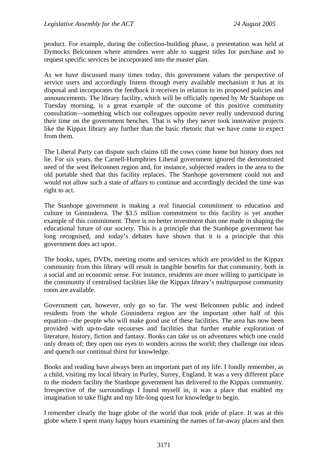product. For example, during the collection-building phase, a presentation was held at Dymocks Belconnen where attendees were able to suggest titles for purchase and to request specific services be incorporated into the master plan.

As we have discussed many times today, this government values the perspective of service users and accordingly listens through every available mechanism it has at its disposal and incorporates the feedback it receives in relation to its proposed policies and announcements. The library facility, which will be officially opened by Mr Stanhope on Tuesday morning, is a great example of the outcome of this positive community consultation—something which our colleagues opposite never really understood during their time on the government benches. That is why they never took innovative projects like the Kippax library any further than the basic rhetoric that we have come to expect from them.

The Liberal Party can dispute such claims till the cows come home but history does not lie. For six years, the Carnell-Humphries Liberal government ignored the demonstrated need of the west Belconnen region and, for instance, subjected readers in the area to the old portable shed that this facility replaces. The Stanhope government could not and would not allow such a state of affairs to continue and accordingly decided the time was right to act.

The Stanhope government is making a real financial commitment to education and culture in Ginninderra. The \$3.5 million commitment to this facility is yet another example of this commitment. There is no better investment than one made in shaping the educational future of our society. This is a principle that the Stanhope government has long recognised, and today's debates have shown that it is a principle that this government does act upon.

The books, tapes, DVDs, meeting rooms and services which are provided to the Kippax community from this library will result in tangible benefits for that community, both in a social and an economic sense. For instance, residents are more willing to participate in the community if centralised facilities like the Kippax library's multipurpose community room are available.

Government can, however, only go so far. The west Belconnen public and indeed residents from the whole Ginninderra region are the important other half of this equation—the people who will make good use of these facilities. The area has now been provided with up-to-date recourses and facilities that further enable exploration of literature, history, fiction and fantasy. Books can take us on adventures which one could only dream of; they open our eyes to wonders across the world; they challenge our ideas and quench our continual thirst for knowledge.

Books and reading have always been an important part of my life. I fondly remember, as a child, visiting my local library in Purley, Surrey, England. It was a very different place to the modern facility the Stanhope government has delivered to the Kippax community. Irrespective of the surroundings I found myself in, it was a place that enabled my imagination to take flight and my life-long quest for knowledge to begin.

I remember clearly the huge globe of the world that took pride of place. It was at this globe where I spent many happy hours examining the names of far-away places and then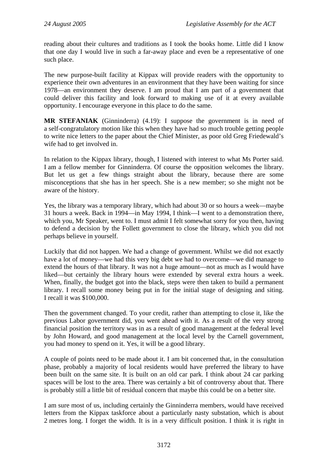reading about their cultures and traditions as I took the books home. Little did I know that one day I would live in such a far-away place and even be a representative of one such place.

The new purpose-built facility at Kippax will provide readers with the opportunity to experience their own adventures in an environment that they have been waiting for since 1978—an environment they deserve. I am proud that I am part of a government that could deliver this facility and look forward to making use of it at every available opportunity. I encourage everyone in this place to do the same.

**MR STEFANIAK** (Ginninderra) (4.19): I suppose the government is in need of a self-congratulatory motion like this when they have had so much trouble getting people to write nice letters to the paper about the Chief Minister, as poor old Greg Friedewald's wife had to get involved in.

In relation to the Kippax library, though, I listened with interest to what Ms Porter said. I am a fellow member for Ginninderra. Of course the opposition welcomes the library. But let us get a few things straight about the library, because there are some misconceptions that she has in her speech. She is a new member; so she might not be aware of the history.

Yes, the library was a temporary library, which had about 30 or so hours a week—maybe 31 hours a week. Back in 1994—in May 1994, I think—I went to a demonstration there, which you, Mr Speaker, went to. I must admit I felt somewhat sorry for you then, having to defend a decision by the Follett government to close the library, which you did not perhaps believe in yourself.

Luckily that did not happen. We had a change of government. Whilst we did not exactly have a lot of money—we had this very big debt we had to overcome—we did manage to extend the hours of that library. It was not a huge amount—not as much as I would have liked—but certainly the library hours were extended by several extra hours a week. When, finally, the budget got into the black, steps were then taken to build a permanent library. I recall some money being put in for the initial stage of designing and siting. I recall it was \$100,000.

Then the government changed. To your credit, rather than attempting to close it, like the previous Labor government did, you went ahead with it. As a result of the very strong financial position the territory was in as a result of good management at the federal level by John Howard, and good management at the local level by the Carnell government, you had money to spend on it. Yes, it will be a good library.

A couple of points need to be made about it. I am bit concerned that, in the consultation phase, probably a majority of local residents would have preferred the library to have been built on the same site. It is built on an old car park. I think about 24 car parking spaces will be lost to the area. There was certainly a bit of controversy about that. There is probably still a little bit of residual concern that maybe this could be on a better site.

I am sure most of us, including certainly the Ginninderra members, would have received letters from the Kippax taskforce about a particularly nasty substation, which is about 2 metres long. I forget the width. It is in a very difficult position. I think it is right in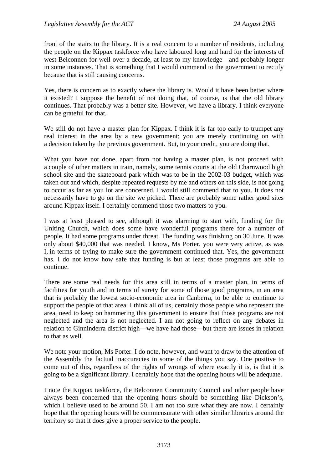front of the stairs to the library. It is a real concern to a number of residents, including the people on the Kippax taskforce who have laboured long and hard for the interests of west Belconnen for well over a decade, at least to my knowledge—and probably longer in some instances. That is something that I would commend to the government to rectify because that is still causing concerns.

Yes, there is concern as to exactly where the library is. Would it have been better where it existed? I suppose the benefit of not doing that, of course, is that the old library continues. That probably was a better site. However, we have a library. I think everyone can be grateful for that.

We still do not have a master plan for Kippax. I think it is far too early to trumpet any real interest in the area by a new government; you are merely continuing on with a decision taken by the previous government. But, to your credit, you are doing that.

What you have not done, apart from not having a master plan, is not proceed with a couple of other matters in train, namely, some tennis courts at the old Charnwood high school site and the skateboard park which was to be in the 2002-03 budget, which was taken out and which, despite repeated requests by me and others on this side, is not going to occur as far as you lot are concerned. I would still commend that to you. It does not necessarily have to go on the site we picked. There are probably some rather good sites around Kippax itself. I certainly commend those two matters to you.

I was at least pleased to see, although it was alarming to start with, funding for the Uniting Church, which does some have wonderful programs there for a number of people. It had some programs under threat. The funding was finishing on 30 June. It was only about \$40,000 that was needed. I know, Ms Porter, you were very active, as was I, in terms of trying to make sure the government continued that. Yes, the government has. I do not know how safe that funding is but at least those programs are able to continue.

There are some real needs for this area still in terms of a master plan, in terms of facilities for youth and in terms of surety for some of those good programs, in an area that is probably the lowest socio-economic area in Canberra, to be able to continue to support the people of that area. I think all of us, certainly those people who represent the area, need to keep on hammering this government to ensure that those programs are not neglected and the area is not neglected. I am not going to reflect on any debates in relation to Ginninderra district high—we have had those—but there are issues in relation to that as well.

We note your motion, Ms Porter. I do note, however, and want to draw to the attention of the Assembly the factual inaccuracies in some of the things you say. One positive to come out of this, regardless of the rights of wrongs of where exactly it is, is that it is going to be a significant library. I certainly hope that the opening hours will be adequate.

I note the Kippax taskforce, the Belconnen Community Council and other people have always been concerned that the opening hours should be something like Dickson's, which I believe used to be around 50. I am not too sure what they are now. I certainly hope that the opening hours will be commensurate with other similar libraries around the territory so that it does give a proper service to the people.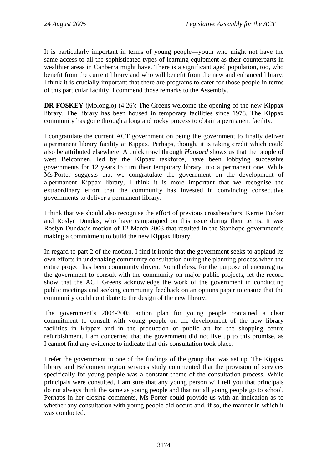It is particularly important in terms of young people—youth who might not have the same access to all the sophisticated types of learning equipment as their counterparts in wealthier areas in Canberra might have. There is a significant aged population, too, who benefit from the current library and who will benefit from the new and enhanced library. I think it is crucially important that there are programs to cater for those people in terms of this particular facility. I commend those remarks to the Assembly.

**DR FOSKEY** (Molonglo) (4.26): The Greens welcome the opening of the new Kippax library. The library has been housed in temporary facilities since 1978. The Kippax community has gone through a long and rocky process to obtain a permanent facility.

I congratulate the current ACT government on being the government to finally deliver a permanent library facility at Kippax. Perhaps, though, it is taking credit which could also be attributed elsewhere. A quick trawl through *Hansard* shows us that the people of west Belconnen, led by the Kippax taskforce, have been lobbying successive governments for 12 years to turn their temporary library into a permanent one. While Ms Porter suggests that we congratulate the government on the development of a permanent Kippax library, I think it is more important that we recognise the extraordinary effort that the community has invested in convincing consecutive governments to deliver a permanent library.

I think that we should also recognise the effort of previous crossbenchers, Kerrie Tucker and Roslyn Dundas, who have campaigned on this issue during their terms. It was Roslyn Dundas's motion of 12 March 2003 that resulted in the Stanhope government's making a commitment to build the new Kippax library.

In regard to part 2 of the motion, I find it ironic that the government seeks to applaud its own efforts in undertaking community consultation during the planning process when the entire project has been community driven. Nonetheless, for the purpose of encouraging the government to consult with the community on major public projects, let the record show that the ACT Greens acknowledge the work of the government in conducting public meetings and seeking community feedback on an options paper to ensure that the community could contribute to the design of the new library.

The government's 2004-2005 action plan for young people contained a clear commitment to consult with young people on the development of the new library facilities in Kippax and in the production of public art for the shopping centre refurbishment. I am concerned that the government did not live up to this promise, as I cannot find any evidence to indicate that this consultation took place.

I refer the government to one of the findings of the group that was set up. The Kippax library and Belconnen region services study commented that the provision of services specifically for young people was a constant theme of the consultation process. While principals were consulted, I am sure that any young person will tell you that principals do not always think the same as young people and that not all young people go to school. Perhaps in her closing comments, Ms Porter could provide us with an indication as to whether any consultation with young people did occur; and, if so, the manner in which it was conducted.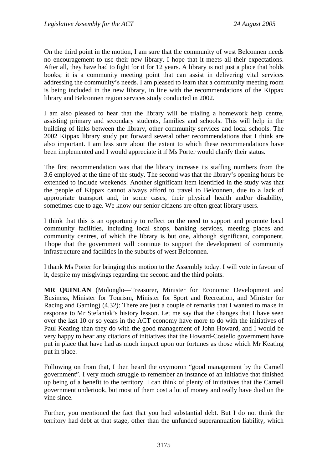On the third point in the motion, I am sure that the community of west Belconnen needs no encouragement to use their new library. I hope that it meets all their expectations. After all, they have had to fight for it for 12 years. A library is not just a place that holds books; it is a community meeting point that can assist in delivering vital services addressing the community's needs. I am pleased to learn that a community meeting room is being included in the new library, in line with the recommendations of the Kippax library and Belconnen region services study conducted in 2002.

I am also pleased to hear that the library will be trialing a homework help centre, assisting primary and secondary students, families and schools. This will help in the building of links between the library, other community services and local schools. The 2002 Kippax library study put forward several other recommendations that I think are also important. I am less sure about the extent to which these recommendations have been implemented and I would appreciate it if Ms Porter would clarify their status.

The first recommendation was that the library increase its staffing numbers from the 3.6 employed at the time of the study. The second was that the library's opening hours be extended to include weekends. Another significant item identified in the study was that the people of Kippax cannot always afford to travel to Belconnen, due to a lack of appropriate transport and, in some cases, their physical health and/or disability, sometimes due to age. We know our senior citizens are often great library users.

I think that this is an opportunity to reflect on the need to support and promote local community facilities, including local shops, banking services, meeting places and community centres, of which the library is but one, although significant, component. I hope that the government will continue to support the development of community infrastructure and facilities in the suburbs of west Belconnen.

I thank Ms Porter for bringing this motion to the Assembly today. I will vote in favour of it, despite my misgivings regarding the second and the third points.

**MR QUINLAN** (Molonglo—Treasurer, Minister for Economic Development and Business, Minister for Tourism, Minister for Sport and Recreation, and Minister for Racing and Gaming) (4.32): There are just a couple of remarks that I wanted to make in response to Mr Stefaniak's history lesson. Let me say that the changes that I have seen over the last 10 or so years in the ACT economy have more to do with the initiatives of Paul Keating than they do with the good management of John Howard, and I would be very happy to hear any citations of initiatives that the Howard-Costello government have put in place that have had as much impact upon our fortunes as those which Mr Keating put in place.

Following on from that, I then heard the oxymoron "good management by the Carnell government". I very much struggle to remember an instance of an initiative that finished up being of a benefit to the territory. I can think of plenty of initiatives that the Carnell government undertook, but most of them cost a lot of money and really have died on the vine since.

Further, you mentioned the fact that you had substantial debt. But I do not think the territory had debt at that stage, other than the unfunded superannuation liability, which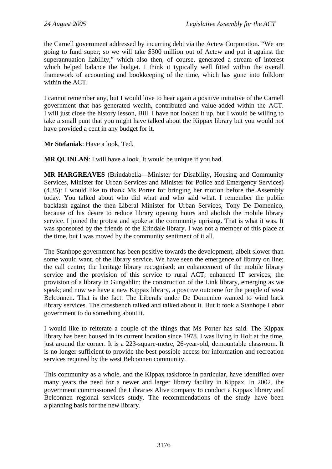the Carnell government addressed by incurring debt via the Actew Corporation. "We are going to fund super; so we will take \$300 million out of Actew and put it against the superannuation liability," which also then, of course, generated a stream of interest which helped balance the budget. I think it typically well fitted within the overall framework of accounting and bookkeeping of the time, which has gone into folklore within the ACT.

I cannot remember any, but I would love to hear again a positive initiative of the Carnell government that has generated wealth, contributed and value-added within the ACT. I will just close the history lesson, Bill. I have not looked it up, but I would be willing to take a small punt that you might have talked about the Kippax library but you would not have provided a cent in any budget for it.

**Mr Stefaniak**: Have a look, Ted.

**MR QUINLAN**: I will have a look. It would be unique if you had.

**MR HARGREAVES** (Brindabella—Minister for Disability, Housing and Community Services, Minister for Urban Services and Minister for Police and Emergency Services) (4.35): I would like to thank Ms Porter for bringing her motion before the Assembly today. You talked about who did what and who said what. I remember the public backlash against the then Liberal Minister for Urban Services, Tony De Domenico, because of his desire to reduce library opening hours and abolish the mobile library service. I joined the protest and spoke at the community uprising. That is what it was. It was sponsored by the friends of the Erindale library. I was not a member of this place at the time, but I was moved by the community sentiment of it all.

The Stanhope government has been positive towards the development, albeit slower than some would want, of the library service. We have seen the emergence of library on line; the call centre; the heritage library recognised; an enhancement of the mobile library service and the provision of this service to rural ACT; enhanced IT services; the provision of a library in Gungahlin; the construction of the Link library, emerging as we speak; and now we have a new Kippax library, a positive outcome for the people of west Belconnen. That is the fact. The Liberals under De Domenico wanted to wind back library services. The crossbench talked and talked about it. But it took a Stanhope Labor government to do something about it.

I would like to reiterate a couple of the things that Ms Porter has said. The Kippax library has been housed in its current location since 1978. I was living in Holt at the time, just around the corner. It is a 223-square-metre, 26-year-old, demountable classroom. It is no longer sufficient to provide the best possible access for information and recreation services required by the west Belconnen community.

This community as a whole, and the Kippax taskforce in particular, have identified over many years the need for a newer and larger library facility in Kippax. In 2002, the government commissioned the Libraries Alive company to conduct a Kippax library and Belconnen regional services study. The recommendations of the study have been a planning basis for the new library.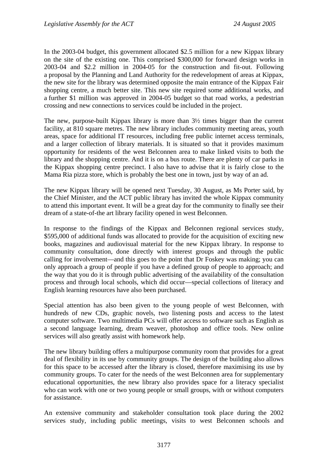In the 2003-04 budget, this government allocated \$2.5 million for a new Kippax library on the site of the existing one. This comprised \$300,000 for forward design works in 2003-04 and \$2.2 million in 2004-05 for the construction and fit-out. Following a proposal by the Planning and Land Authority for the redevelopment of areas at Kippax, the new site for the library was determined opposite the main entrance of the Kippax Fair shopping centre, a much better site. This new site required some additional works, and a further \$1 million was approved in 2004-05 budget so that road works, a pedestrian crossing and new connections to services could be included in the project.

The new, purpose-built Kippax library is more than 3½ times bigger than the current facility, at 810 square metres. The new library includes community meeting areas, youth areas, space for additional IT resources, including free public internet access terminals, and a larger collection of library materials. It is situated so that it provides maximum opportunity for residents of the west Belconnen area to make linked visits to both the library and the shopping centre. And it is on a bus route. There are plenty of car parks in the Kippax shopping centre precinct. I also have to advise that it is fairly close to the Mama Ria pizza store, which is probably the best one in town, just by way of an ad.

The new Kippax library will be opened next Tuesday, 30 August, as Ms Porter said, by the Chief Minister, and the ACT public library has invited the whole Kippax community to attend this important event. It will be a great day for the community to finally see their dream of a state-of-the art library facility opened in west Belconnen.

In response to the findings of the Kippax and Belconnen regional services study, \$595,000 of additional funds was allocated to provide for the acquisition of exciting new books, magazines and audiovisual material for the new Kippax library. In response to community consultation, done directly with interest groups and through the public calling for involvement—and this goes to the point that Dr Foskey was making; you can only approach a group of people if you have a defined group of people to approach; and the way that you do it is through public advertising of the availability of the consultation process and through local schools, which did occur—special collections of literacy and English learning resources have also been purchased.

Special attention has also been given to the young people of west Belconnen, with hundreds of new CDs, graphic novels, two listening posts and access to the latest computer software. Two multimedia PCs will offer access to software such as English as a second language learning, dream weaver, photoshop and office tools. New online services will also greatly assist with homework help.

The new library building offers a multipurpose community room that provides for a great deal of flexibility in its use by community groups. The design of the building also allows for this space to be accessed after the library is closed, therefore maximising its use by community groups. To cater for the needs of the west Belconnen area for supplementary educational opportunities, the new library also provides space for a literacy specialist who can work with one or two young people or small groups, with or without computers for assistance.

An extensive community and stakeholder consultation took place during the 2002 services study, including public meetings, visits to west Belconnen schools and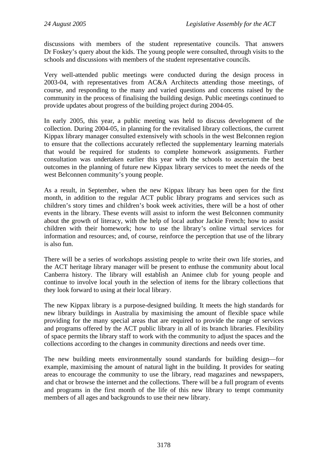discussions with members of the student representative councils. That answers Dr Foskey's query about the kids. The young people were consulted, through visits to the schools and discussions with members of the student representative councils.

Very well-attended public meetings were conducted during the design process in 2003-04, with representatives from AC&A Architects attending those meetings, of course, and responding to the many and varied questions and concerns raised by the community in the process of finalising the building design. Public meetings continued to provide updates about progress of the building project during 2004-05.

In early 2005, this year, a public meeting was held to discuss development of the collection. During 2004-05, in planning for the revitalised library collections, the current Kippax library manager consulted extensively with schools in the west Belconnen region to ensure that the collections accurately reflected the supplementary learning materials that would be required for students to complete homework assignments. Further consultation was undertaken earlier this year with the schools to ascertain the best outcomes in the planning of future new Kippax library services to meet the needs of the west Belconnen community's young people.

As a result, in September, when the new Kippax library has been open for the first month, in addition to the regular ACT public library programs and services such as children's story times and children's book week activities, there will be a host of other events in the library. These events will assist to inform the west Belconnen community about the growth of literacy, with the help of local author Jackie French; how to assist children with their homework; how to use the library's online virtual services for information and resources; and, of course, reinforce the perception that use of the library is also fun.

There will be a series of workshops assisting people to write their own life stories, and the ACT heritage library manager will be present to enthuse the community about local Canberra history. The library will establish an Animee club for young people and continue to involve local youth in the selection of items for the library collections that they look forward to using at their local library.

The new Kippax library is a purpose-designed building. It meets the high standards for new library buildings in Australia by maximising the amount of flexible space while providing for the many special areas that are required to provide the range of services and programs offered by the ACT public library in all of its branch libraries. Flexibility of space permits the library staff to work with the community to adjust the spaces and the collections according to the changes in community directions and needs over time.

The new building meets environmentally sound standards for building design—for example, maximising the amount of natural light in the building. It provides for seating areas to encourage the community to use the library, read magazines and newspapers, and chat or browse the internet and the collections. There will be a full program of events and programs in the first month of the life of this new library to tempt community members of all ages and backgrounds to use their new library.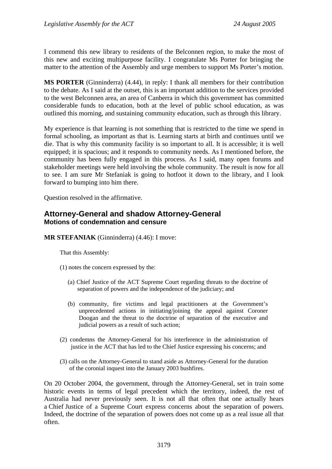I commend this new library to residents of the Belconnen region, to make the most of this new and exciting multipurpose facility. I congratulate Ms Porter for bringing the matter to the attention of the Assembly and urge members to support Ms Porter's motion.

**MS PORTER** (Ginninderra) (4.44), in reply: I thank all members for their contribution to the debate. As I said at the outset, this is an important addition to the services provided to the west Belconnen area, an area of Canberra in which this government has committed considerable funds to education, both at the level of public school education, as was outlined this morning, and sustaining community education, such as through this library.

My experience is that learning is not something that is restricted to the time we spend in formal schooling, as important as that is. Learning starts at birth and continues until we die. That is why this community facility is so important to all. It is accessible; it is well equipped; it is spacious; and it responds to community needs. As I mentioned before, the community has been fully engaged in this process. As I said, many open forums and stakeholder meetings were held involving the whole community. The result is now for all to see. I am sure Mr Stefaniak is going to hotfoot it down to the library, and I look forward to bumping into him there.

Question resolved in the affirmative.

### **Attorney-General and shadow Attorney-General Motions of condemnation and censure**

**MR STEFANIAK** (Ginninderra) (4.46): I move:

That this Assembly:

- (1) notes the concern expressed by the:
	- (a) Chief Justice of the ACT Supreme Court regarding threats to the doctrine of separation of powers and the independence of the judiciary; and
	- (b) community, fire victims and legal practitioners at the Government's unprecedented actions in initiating/joining the appeal against Coroner Doogan and the threat to the doctrine of separation of the executive and judicial powers as a result of such action;
- (2) condemns the Attorney-General for his interference in the administration of justice in the ACT that has led to the Chief Justice expressing his concerns; and
- (3) calls on the Attorney-General to stand aside as Attorney-General for the duration of the coronial inquest into the January 2003 bushfires.

On 20 October 2004, the government, through the Attorney-General, set in train some historic events in terms of legal precedent which the territory, indeed, the rest of Australia had never previously seen. It is not all that often that one actually hears a Chief Justice of a Supreme Court express concerns about the separation of powers. Indeed, the doctrine of the separation of powers does not come up as a real issue all that often.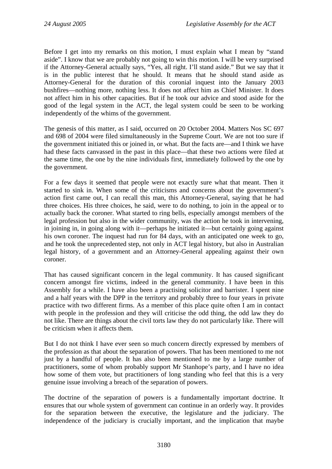Before I get into my remarks on this motion, I must explain what I mean by "stand aside". I know that we are probably not going to win this motion. I will be very surprised if the Attorney-General actually says, "Yes, all right. I'll stand aside." But we say that it is in the public interest that he should. It means that he should stand aside as Attorney-General for the duration of this coronial inquest into the January 2003 bushfires—nothing more, nothing less. It does not affect him as Chief Minister. It does not affect him in his other capacities. But if he took our advice and stood aside for the good of the legal system in the ACT, the legal system could be seen to be working independently of the whims of the government.

The genesis of this matter, as I said, occurred on 20 October 2004. Matters Nos SC 697 and 698 of 2004 were filed simultaneously in the Supreme Court. We are not too sure if the government initiated this or joined in, or what. But the facts are—and I think we have had these facts canvassed in the past in this place—that these two actions were filed at the same time, the one by the nine individuals first, immediately followed by the one by the government.

For a few days it seemed that people were not exactly sure what that meant. Then it started to sink in. When some of the criticisms and concerns about the government's action first came out, I can recall this man, this Attorney-General, saying that he had three choices. His three choices, he said, were to do nothing, to join in the appeal or to actually back the coroner. What started to ring bells, especially amongst members of the legal profession but also in the wider community, was the action he took in intervening, in joining in, in going along with it—perhaps he initiated it—but certainly going against his own coroner. The inquest had run for 84 days, with an anticipated one week to go, and he took the unprecedented step, not only in ACT legal history, but also in Australian legal history, of a government and an Attorney-General appealing against their own coroner.

That has caused significant concern in the legal community. It has caused significant concern amongst fire victims, indeed in the general community. I have been in this Assembly for a while. I have also been a practising solicitor and barrister. I spent nine and a half years with the DPP in the territory and probably three to four years in private practice with two different firms. As a member of this place quite often I am in contact with people in the profession and they will criticise the odd thing, the odd law they do not like. There are things about the civil torts law they do not particularly like. There will be criticism when it affects them.

But I do not think I have ever seen so much concern directly expressed by members of the profession as that about the separation of powers. That has been mentioned to me not just by a handful of people. It has also been mentioned to me by a large number of practitioners, some of whom probably support Mr Stanhope's party, and I have no idea how some of them vote, but practitioners of long standing who feel that this is a very genuine issue involving a breach of the separation of powers.

The doctrine of the separation of powers is a fundamentally important doctrine. It ensures that our whole system of government can continue in an orderly way. It provides for the separation between the executive, the legislature and the judiciary. The independence of the judiciary is crucially important, and the implication that maybe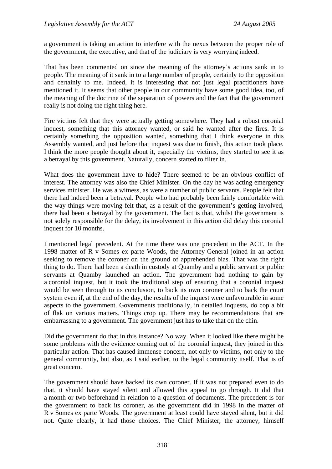a government is taking an action to interfere with the nexus between the proper role of the government, the executive, and that of the judiciary is very worrying indeed.

That has been commented on since the meaning of the attorney's actions sank in to people. The meaning of it sank in to a large number of people, certainly to the opposition and certainly to me. Indeed, it is interesting that not just legal practitioners have mentioned it. It seems that other people in our community have some good idea, too, of the meaning of the doctrine of the separation of powers and the fact that the government really is not doing the right thing here.

Fire victims felt that they were actually getting somewhere. They had a robust coronial inquest, something that this attorney wanted, or said he wanted after the fires. It is certainly something the opposition wanted, something that I think everyone in this Assembly wanted, and just before that inquest was due to finish, this action took place. I think the more people thought about it, especially the victims, they started to see it as a betrayal by this government. Naturally, concern started to filter in.

What does the government have to hide? There seemed to be an obvious conflict of interest. The attorney was also the Chief Minister. On the day he was acting emergency services minister. He was a witness, as were a number of public servants. People felt that there had indeed been a betrayal. People who had probably been fairly comfortable with the way things were moving felt that, as a result of the government's getting involved, there had been a betrayal by the government. The fact is that, whilst the government is not solely responsible for the delay, its involvement in this action did delay this coronial inquest for 10 months.

I mentioned legal precedent. At the time there was one precedent in the ACT. In the 1998 matter of R v Somes ex parte Woods, the Attorney-General joined in an action seeking to remove the coroner on the ground of apprehended bias. That was the right thing to do. There had been a death in custody at Quamby and a public servant or public servants at Quamby launched an action. The government had nothing to gain by a coronial inquest, but it took the traditional step of ensuring that a coronial inquest would be seen through to its conclusion, to back its own coroner and to back the court system even if, at the end of the day, the results of the inquest were unfavourable in some aspects to the government. Governments traditionally, in detailed inquests, do cop a bit of flak on various matters. Things crop up. There may be recommendations that are embarrassing to a government. The government just has to take that on the chin.

Did the government do that in this instance? No way. When it looked like there might be some problems with the evidence coming out of the coronial inquest, they joined in this particular action. That has caused immense concern, not only to victims, not only to the general community, but also, as I said earlier, to the legal community itself. That is of great concern.

The government should have backed its own coroner. If it was not prepared even to do that, it should have stayed silent and allowed this appeal to go through. It did that a month or two beforehand in relation to a question of documents. The precedent is for the government to back its coroner, as the government did in 1998 in the matter of R v Somes ex parte Woods. The government at least could have stayed silent, but it did not. Quite clearly, it had those choices. The Chief Minister, the attorney, himself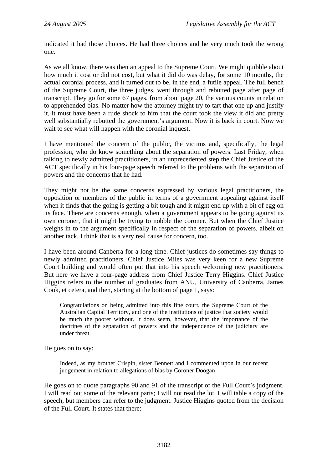indicated it had those choices. He had three choices and he very much took the wrong one.

As we all know, there was then an appeal to the Supreme Court. We might quibble about how much it cost or did not cost, but what it did do was delay, for some 10 months, the actual coronial process, and it turned out to be, in the end, a futile appeal. The full bench of the Supreme Court, the three judges, went through and rebutted page after page of transcript. They go for some 67 pages, from about page 20, the various counts in relation to apprehended bias. No matter how the attorney might try to tart that one up and justify it, it must have been a rude shock to him that the court took the view it did and pretty well substantially rebutted the government's argument. Now it is back in court. Now we wait to see what will happen with the coronial inquest.

I have mentioned the concern of the public, the victims and, specifically, the legal profession, who do know something about the separation of powers. Last Friday, when talking to newly admitted practitioners, in an unprecedented step the Chief Justice of the ACT specifically in his four-page speech referred to the problems with the separation of powers and the concerns that he had.

They might not be the same concerns expressed by various legal practitioners, the opposition or members of the public in terms of a government appealing against itself when it finds that the going is getting a bit tough and it might end up with a bit of egg on its face. There are concerns enough, when a government appears to be going against its own coroner, that it might be trying to nobble the coroner. But when the Chief Justice weighs in to the argument specifically in respect of the separation of powers, albeit on another tack, I think that is a very real cause for concern, too.

I have been around Canberra for a long time. Chief justices do sometimes say things to newly admitted practitioners. Chief Justice Miles was very keen for a new Supreme Court building and would often put that into his speech welcoming new practitioners. But here we have a four-page address from Chief Justice Terry Higgins. Chief Justice Higgins refers to the number of graduates from ANU, University of Canberra, James Cook, et cetera, and then, starting at the bottom of page 1, says:

Congratulations on being admitted into this fine court, the Supreme Court of the Australian Capital Territory, and one of the institutions of justice that society would be much the poorer without. It does seem, however, that the importance of the doctrines of the separation of powers and the independence of the judiciary are under threat.

He goes on to say:

Indeed, as my brother Crispin, sister Bennett and I commented upon in our recent judgement in relation to allegations of bias by Coroner Doogan—

He goes on to quote paragraphs 90 and 91 of the transcript of the Full Court's judgment. I will read out some of the relevant parts; I will not read the lot. I will table a copy of the speech, but members can refer to the judgment. Justice Higgins quoted from the decision of the Full Court. It states that there: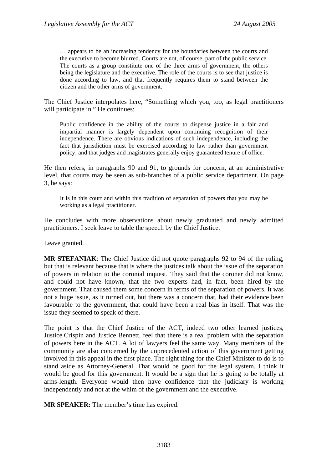… appears to be an increasing tendency for the boundaries between the courts and the executive to become blurred. Courts are not, of course, part of the public service. The courts as a group constitute one of the three arms of government, the others being the legislature and the executive. The role of the courts is to see that justice is done according to law, and that frequently requires them to stand between the citizen and the other arms of government.

The Chief Justice interpolates here, "Something which you, too, as legal practitioners will participate in." He continues:

Public confidence in the ability of the courts to dispense justice in a fair and impartial manner is largely dependent upon continuing recognition of their independence. There are obvious indications of such independence, including the fact that jurisdiction must be exercised according to law rather than government policy, and that judges and magistrates generally enjoy guaranteed tenure of office.

He then refers, in paragraphs 90 and 91, to grounds for concern, at an administrative level, that courts may be seen as sub-branches of a public service department. On page 3, he says:

It is in this court and within this tradition of separation of powers that you may be working as a legal practitioner.

He concludes with more observations about newly graduated and newly admitted practitioners. I seek leave to table the speech by the Chief Justice.

Leave granted.

**MR STEFANIAK**: The Chief Justice did not quote paragraphs 92 to 94 of the ruling, but that is relevant because that is where the justices talk about the issue of the separation of powers in relation to the coronial inquest. They said that the coroner did not know, and could not have known, that the two experts had, in fact, been hired by the government. That caused them some concern in terms of the separation of powers. It was not a huge issue, as it turned out, but there was a concern that, had their evidence been favourable to the government, that could have been a real bias in itself. That was the issue they seemed to speak of there.

The point is that the Chief Justice of the ACT, indeed two other learned justices, Justice Crispin and Justice Bennett, feel that there is a real problem with the separation of powers here in the ACT. A lot of lawyers feel the same way. Many members of the community are also concerned by the unprecedented action of this government getting involved in this appeal in the first place. The right thing for the Chief Minister to do is to stand aside as Attorney-General. That would be good for the legal system. I think it would be good for this government. It would be a sign that he is going to be totally at arms-length. Everyone would then have confidence that the judiciary is working independently and not at the whim of the government and the executive.

**MR SPEAKER:** The member's time has expired.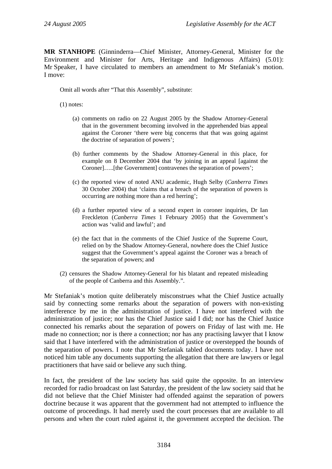**MR STANHOPE** (Ginninderra—Chief Minister, Attorney-General, Minister for the Environment and Minister for Arts, Heritage and Indigenous Affairs) (5.01): Mr Speaker, I have circulated to members an amendment to Mr Stefaniak's motion. I move:

Omit all words after "That this Assembly", substitute:

(1) notes:

- (a) comments on radio on 22 August 2005 by the Shadow Attorney-General that in the government becoming involved in the apprehended bias appeal against the Coroner 'there were big concerns that that was going against the doctrine of separation of powers';
- (b) further comments by the Shadow Attorney-General in this place, for example on 8 December 2004 that 'by joining in an appeal [against the Coroner]…..[the Government] contravenes the separation of powers';
- (c) the reported view of noted ANU academic, Hugh Selby (*Canberra Times* 30 October 2004) that 'claims that a breach of the separation of powers is occurring are nothing more than a red herring';
- (d) a further reported view of a second expert in coroner inquiries, Dr Ian Freckleton (*Canberra Times* 1 February 2005) that the Government's action was 'valid and lawful'; and
- (e) the fact that in the comments of the Chief Justice of the Supreme Court, relied on by the Shadow Attorney-General, nowhere does the Chief Justice suggest that the Government's appeal against the Coroner was a breach of the separation of powers; and
- (2) censures the Shadow Attorney-General for his blatant and repeated misleading of the people of Canberra and this Assembly.".

Mr Stefaniak's motion quite deliberately misconstrues what the Chief Justice actually said by connecting some remarks about the separation of powers with non-existing interference by me in the administration of justice. I have not interfered with the administration of justice; nor has the Chief Justice said I did; nor has the Chief Justice connected his remarks about the separation of powers on Friday of last with me. He made no connection; nor is there a connection; nor has any practising lawyer that I know said that I have interfered with the administration of justice or overstepped the bounds of the separation of powers. I note that Mr Stefaniak tabled documents today. I have not noticed him table any documents supporting the allegation that there are lawyers or legal practitioners that have said or believe any such thing.

In fact, the president of the law society has said quite the opposite. In an interview recorded for radio broadcast on last Saturday, the president of the law society said that he did not believe that the Chief Minister had offended against the separation of powers doctrine because it was apparent that the government had not attempted to influence the outcome of proceedings. It had merely used the court processes that are available to all persons and when the court ruled against it, the government accepted the decision. The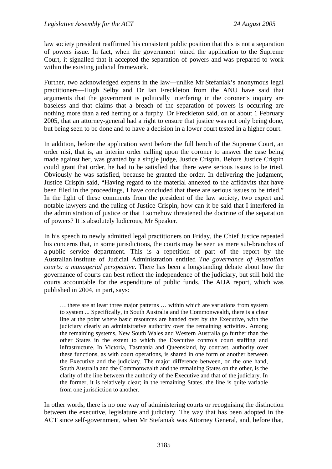law society president reaffirmed his consistent public position that this is not a separation of powers issue. In fact, when the government joined the application to the Supreme Court, it signalled that it accepted the separation of powers and was prepared to work within the existing judicial framework.

Further, two acknowledged experts in the law—unlike Mr Stefaniak's anonymous legal practitioners—Hugh Selby and Dr Ian Freckleton from the ANU have said that arguments that the government is politically interfering in the coroner's inquiry are baseless and that claims that a breach of the separation of powers is occurring are nothing more than a red herring or a furphy. Dr Freckleton said, on or about 1 February 2005, that an attorney-general had a right to ensure that justice was not only being done, but being seen to be done and to have a decision in a lower court tested in a higher court.

In addition, before the application went before the full bench of the Supreme Court, an order nisi, that is, an interim order calling upon the coroner to answer the case being made against her, was granted by a single judge, Justice Crispin. Before Justice Crispin could grant that order, he had to be satisfied that there were serious issues to be tried. Obviously he was satisfied, because he granted the order. In delivering the judgment, Justice Crispin said, "Having regard to the material annexed to the affidavits that have been filed in the proceedings, I have concluded that there are serious issues to be tried." In the light of these comments from the president of the law society, two expert and notable lawyers and the ruling of Justice Crispin, how can it be said that I interfered in the administration of justice or that I somehow threatened the doctrine of the separation of powers? It is absolutely ludicrous, Mr Speaker.

In his speech to newly admitted legal practitioners on Friday, the Chief Justice repeated his concerns that, in some jurisdictions, the courts may be seen as mere sub-branches of a public service department. This is a repetition of part of the report by the Australian Institute of Judicial Administration entitled *The governance of Australian courts: a managerial perspective*. There has been a longstanding debate about how the governance of courts can best reflect the independence of the judiciary, but still hold the courts accountable for the expenditure of public funds. The AIJA report, which was published in 2004, in part, says:

… there are at least three major patterns … within which are variations from system to system ... Specifically, in South Australia and the Commonwealth, there is a clear line at the point where basic resources are handed over by the Executive, with the judiciary clearly an administrative authority over the remaining activities. Among the remaining systems, New South Wales and Western Australia go further than the other States in the extent to which the Executive controls court staffing and infrastructure. In Victoria, Tasmania and Queensland, by contrast, authority over these functions, as with court operations, is shared in one form or another between the Executive and the judiciary. The major difference between, on the one hand, South Australia and the Commonwealth and the remaining States on the other, is the clarity of the line between the authority of the Executive and that of the judiciary. In the former, it is relatively clear; in the remaining States, the line is quite variable from one jurisdiction to another.

In other words, there is no one way of administering courts or recognising the distinction between the executive, legislature and judiciary. The way that has been adopted in the ACT since self-government, when Mr Stefaniak was Attorney General, and, before that,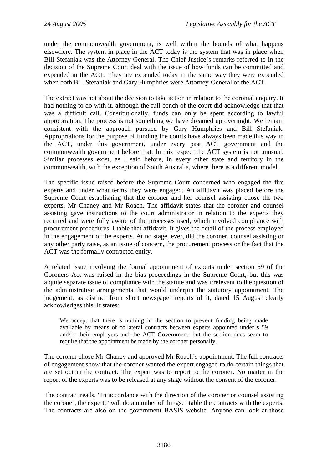under the commonwealth government, is well within the bounds of what happens elsewhere. The system in place in the ACT today is the system that was in place when Bill Stefaniak was the Attorney-General. The Chief Justice's remarks referred to in the decision of the Supreme Court deal with the issue of how funds can be committed and expended in the ACT. They are expended today in the same way they were expended when both Bill Stefaniak and Gary Humphries were Attorney-General of the ACT.

The extract was not about the decision to take action in relation to the coronial enquiry. It had nothing to do with it, although the full bench of the court did acknowledge that that was a difficult call. Constitutionally, funds can only be spent according to lawful appropriation. The process is not something we have dreamed up overnight. We remain consistent with the approach pursued by Gary Humphries and Bill Stefaniak. Appropriations for the purpose of funding the courts have always been made this way in the ACT, under this government, under every past ACT government and the commonwealth government before that. In this respect the ACT system is not unusual. Similar processes exist, as I said before, in every other state and territory in the commonwealth, with the exception of South Australia, where there is a different model.

The specific issue raised before the Supreme Court concerned who engaged the fire experts and under what terms they were engaged. An affidavit was placed before the Supreme Court establishing that the coroner and her counsel assisting chose the two experts, Mr Chaney and Mr Roach. The affidavit states that the coroner and counsel assisting gave instructions to the court administrator in relation to the experts they required and were fully aware of the processes used, which involved compliance with procurement procedures. I table that affidavit. It gives the detail of the process employed in the engagement of the experts. At no stage, ever, did the coroner, counsel assisting or any other party raise, as an issue of concern, the procurement process or the fact that the ACT was the formally contracted entity.

A related issue involving the formal appointment of experts under section 59 of the Coroners Act was raised in the bias proceedings in the Supreme Court, but this was a quite separate issue of compliance with the statute and was irrelevant to the question of the administrative arrangements that would underpin the statutory appointment. The judgement, as distinct from short newspaper reports of it, dated 15 August clearly acknowledges this. It states:

We accept that there is nothing in the section to prevent funding being made available by means of collateral contracts between experts appointed under s 59 and/or their employers and the ACT Government, but the section does seem to require that the appointment be made by the coroner personally.

The coroner chose Mr Chaney and approved Mr Roach's appointment. The full contracts of engagement show that the coroner wanted the expert engaged to do certain things that are set out in the contract. The expert was to report to the coroner. No matter in the report of the experts was to be released at any stage without the consent of the coroner.

The contract reads, "In accordance with the direction of the coroner or counsel assisting the coroner, the expert," will do a number of things. I table the contracts with the experts. The contracts are also on the government BASIS website. Anyone can look at those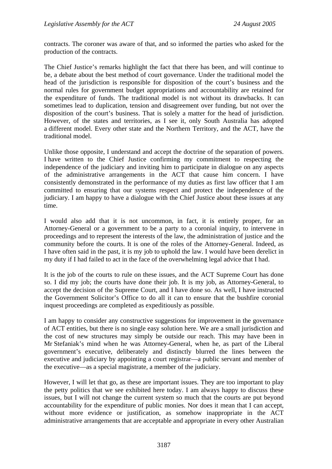contracts. The coroner was aware of that, and so informed the parties who asked for the production of the contracts.

The Chief Justice's remarks highlight the fact that there has been, and will continue to be, a debate about the best method of court governance. Under the traditional model the head of the jurisdiction is responsible for disposition of the court's business and the normal rules for government budget appropriations and accountability are retained for the expenditure of funds. The traditional model is not without its drawbacks. It can sometimes lead to duplication, tension and disagreement over funding, but not over the disposition of the court's business. That is solely a matter for the head of jurisdiction. However, of the states and territories, as I see it, only South Australia has adopted a different model. Every other state and the Northern Territory, and the ACT, have the traditional model.

Unlike those opposite, I understand and accept the doctrine of the separation of powers. I have written to the Chief Justice confirming my commitment to respecting the independence of the judiciary and inviting him to participate in dialogue on any aspects of the administrative arrangements in the ACT that cause him concern. I have consistently demonstrated in the performance of my duties as first law officer that I am committed to ensuring that our systems respect and protect the independence of the judiciary. I am happy to have a dialogue with the Chief Justice about these issues at any time.

I would also add that it is not uncommon, in fact, it is entirely proper, for an Attorney-General or a government to be a party to a coronial inquiry, to intervene in proceedings and to represent the interests of the law, the administration of justice and the community before the courts. It is one of the roles of the Attorney-General. Indeed, as I have often said in the past, it is my job to uphold the law. I would have been derelict in my duty if I had failed to act in the face of the overwhelming legal advice that I had.

It is the job of the courts to rule on these issues, and the ACT Supreme Court has done so. I did my job; the courts have done their job. It is my job, as Attorney-General, to accept the decision of the Supreme Court, and I have done so. As well, I have instructed the Government Solicitor's Office to do all it can to ensure that the bushfire coronial inquest proceedings are completed as expeditiously as possible.

I am happy to consider any constructive suggestions for improvement in the governance of ACT entities, but there is no single easy solution here. We are a small jurisdiction and the cost of new structures may simply be outside our reach. This may have been in Mr Stefaniak's mind when he was Attorney-General, when he, as part of the Liberal government's executive, deliberately and distinctly blurred the lines between the executive and judiciary by appointing a court registrar—a public servant and member of the executive—as a special magistrate, a member of the judiciary.

However, I will let that go, as these are important issues. They are too important to play the petty politics that we see exhibited here today. I am always happy to discuss these issues, but I will not change the current system so much that the courts are put beyond accountability for the expenditure of public monies. Nor does it mean that I can accept, without more evidence or justification, as somehow inappropriate in the ACT administrative arrangements that are acceptable and appropriate in every other Australian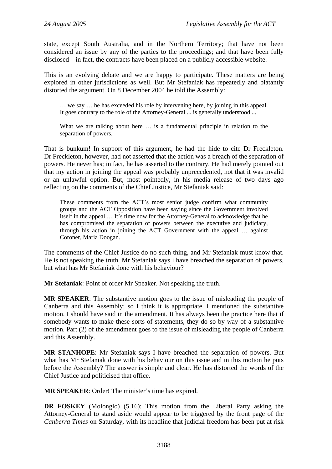state, except South Australia, and in the Northern Territory; that have not been considered an issue by any of the parties to the proceedings; and that have been fully disclosed—in fact, the contracts have been placed on a publicly accessible website.

This is an evolving debate and we are happy to participate. These matters are being explored in other jurisdictions as well. But Mr Stefaniak has repeatedly and blatantly distorted the argument. On 8 December 2004 he told the Assembly:

… we say … he has exceeded his role by intervening here, by joining in this appeal. It goes contrary to the role of the Attorney-General ... is generally understood ...

What we are talking about here ... is a fundamental principle in relation to the separation of powers.

That is bunkum! In support of this argument, he had the hide to cite Dr Freckleton. Dr Freckleton, however, had not asserted that the action was a breach of the separation of powers. He never has; in fact, he has asserted to the contrary. He had merely pointed out that my action in joining the appeal was probably unprecedented, not that it was invalid or an unlawful option. But, most pointedly, in his media release of two days ago reflecting on the comments of the Chief Justice, Mr Stefaniak said:

These comments from the ACT's most senior judge confirm what community groups and the ACT Opposition have been saying since the Government involved itself in the appeal … It's time now for the Attorney-General to acknowledge that he has compromised the separation of powers between the executive and judiciary, through his action in joining the ACT Government with the appeal … against Coroner, Maria Doogan.

The comments of the Chief Justice do no such thing, and Mr Stefaniak must know that. He is not speaking the truth. Mr Stefaniak says I have breached the separation of powers, but what has Mr Stefaniak done with his behaviour?

**Mr Stefaniak**: Point of order Mr Speaker. Not speaking the truth.

**MR SPEAKER**: The substantive motion goes to the issue of misleading the people of Canberra and this Assembly; so I think it is appropriate. I mentioned the substantive motion. I should have said in the amendment. It has always been the practice here that if somebody wants to make these sorts of statements, they do so by way of a substantive motion. Part (2) of the amendment goes to the issue of misleading the people of Canberra and this Assembly.

**MR STANHOPE**: Mr Stefaniak says I have breached the separation of powers. But what has Mr Stefaniak done with his behaviour on this issue and in this motion he puts before the Assembly? The answer is simple and clear. He has distorted the words of the Chief Justice and politicised that office.

**MR SPEAKER**: Order! The minister's time has expired.

**DR FOSKEY** (Molonglo) (5.16): This motion from the Liberal Party asking the Attorney-General to stand aside would appear to be triggered by the front page of the *Canberra Times* on Saturday, with its headline that judicial freedom has been put at risk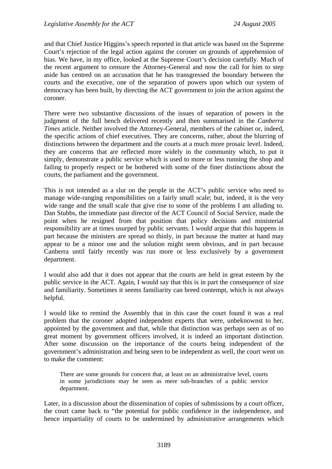and that Chief Justice Higgins's speech reported in that article was based on the Supreme Court's rejection of the legal action against the coroner on grounds of apprehension of bias. We have, in my office, looked at the Supreme Court's decision carefully. Much of the recent argument to censure the Attorney-General and now the call for him to step aside has centred on an accusation that he has transgressed the boundary between the courts and the executive, one of the separation of powers upon which our system of democracy has been built, by directing the ACT government to join the action against the coroner.

There were two substantive discussions of the issues of separation of powers in the judgment of the full bench delivered recently and then summarised in the *Canberra Times* article. Neither involved the Attorney-General, members of the cabinet or, indeed, the specific actions of chief executives. They are concerns, rather, about the blurring of distinctions between the department and the courts at a much more prosaic level. Indeed, they are concerns that are reflected more widely in the community which, to put it simply, demonstrate a public service which is used to more or less running the shop and failing to properly respect or be bothered with some of the finer distinctions about the courts, the parliament and the government.

This is not intended as a slur on the people in the ACT's public service who need to manage wide-ranging responsibilities on a fairly small scale; but, indeed, it is the very wide range and the small scale that give rise to some of the problems I am alluding to. Dan Stubbs, the immediate past director of the ACT Council of Social Service, made the point when he resigned from that position that policy decisions and ministerial responsibility are at times usurped by public servants. I would argue that this happens in part because the ministers are spread so thinly, in part because the matter at hand may appear to be a minor one and the solution might seem obvious, and in part because Canberra until fairly recently was run more or less exclusively by a government department.

I would also add that it does not appear that the courts are held in great esteem by the public service in the ACT. Again, I would say that this is in part the consequence of size and familiarity. Sometimes it seems familiarity can breed contempt, which is not always helpful.

I would like to remind the Assembly that in this case the court found it was a real problem that the coroner adopted independent experts that were, unbeknownst to her, appointed by the government and that, while that distinction was perhaps seen as of no great moment by government officers involved, it is indeed an important distinction. After some discussion on the importance of the courts being independent of the government's administration and being seen to be independent as well, the court went on to make the comment:

There are some grounds for concern that, at least on an administrative level, courts in some jurisdictions may be seen as mere sub-branches of a public service department.

Later, in a discussion about the dissemination of copies of submissions by a court officer, the court came back to "the potential for public confidence in the independence, and hence impartiality of courts to be undermined by administrative arrangements which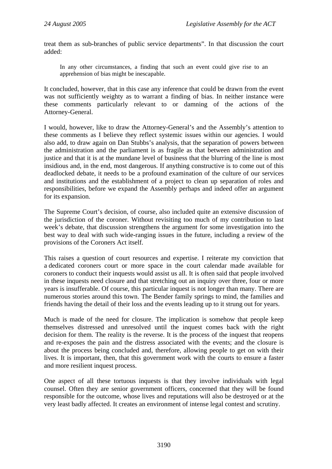treat them as sub-branches of public service departments". In that discussion the court added:

In any other circumstances, a finding that such an event could give rise to an apprehension of bias might be inescapable.

It concluded, however, that in this case any inference that could be drawn from the event was not sufficiently weighty as to warrant a finding of bias. In neither instance were these comments particularly relevant to or damning of the actions of the Attorney-General.

I would, however, like to draw the Attorney-General's and the Assembly's attention to these comments as I believe they reflect systemic issues within our agencies. I would also add, to draw again on Dan Stubbs's analysis, that the separation of powers between the administration and the parliament is as fragile as that between administration and justice and that it is at the mundane level of business that the blurring of the line is most insidious and, in the end, most dangerous. If anything constructive is to come out of this deadlocked debate, it needs to be a profound examination of the culture of our services and institutions and the establishment of a project to clean up separation of roles and responsibilities, before we expand the Assembly perhaps and indeed offer an argument for its expansion.

The Supreme Court's decision, of course, also included quite an extensive discussion of the jurisdiction of the coroner. Without revisiting too much of my contribution to last week's debate, that discussion strengthens the argument for some investigation into the best way to deal with such wide-ranging issues in the future, including a review of the provisions of the Coroners Act itself.

This raises a question of court resources and expertise. I reiterate my conviction that a dedicated coroners court or more space in the court calendar made available for coroners to conduct their inquests would assist us all. It is often said that people involved in these inquests need closure and that stretching out an inquiry over three, four or more years is insufferable. Of course, this particular inquest is not longer than many. There are numerous stories around this town. The Bender family springs to mind, the families and friends having the detail of their loss and the events leading up to it strung out for years.

Much is made of the need for closure. The implication is somehow that people keep themselves distressed and unresolved until the inquest comes back with the right decision for them. The reality is the reverse. It is the process of the inquest that reopens and re-exposes the pain and the distress associated with the events; and the closure is about the process being concluded and, therefore, allowing people to get on with their lives. It is important, then, that this government work with the courts to ensure a faster and more resilient inquest process.

One aspect of all these tortuous inquests is that they involve individuals with legal counsel. Often they are senior government officers, concerned that they will be found responsible for the outcome, whose lives and reputations will also be destroyed or at the very least badly affected. It creates an environment of intense legal contest and scrutiny.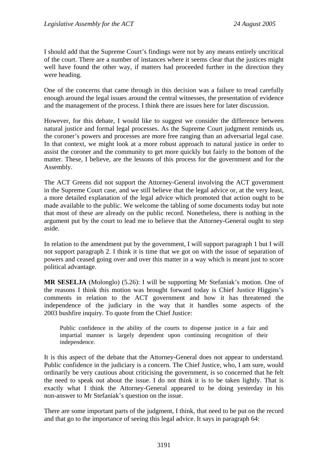I should add that the Supreme Court's findings were not by any means entirely uncritical of the court. There are a number of instances where it seems clear that the justices might well have found the other way, if matters had proceeded further in the direction they were heading.

One of the concerns that came through in this decision was a failure to tread carefully enough around the legal issues around the central witnesses, the presentation of evidence and the management of the process. I think there are issues here for later discussion.

However, for this debate, I would like to suggest we consider the difference between natural justice and formal legal processes. As the Supreme Court judgment reminds us, the coroner's powers and processes are more free ranging than an adversarial legal case. In that context, we might look at a more robust approach to natural justice in order to assist the coroner and the community to get more quickly but fairly to the bottom of the matter. These, I believe, are the lessons of this process for the government and for the Assembly.

The ACT Greens did not support the Attorney-General involving the ACT government in the Supreme Court case, and we still believe that the legal advice or, at the very least, a more detailed explanation of the legal advice which promoted that action ought to be made available to the public. We welcome the tabling of some documents today but note that most of these are already on the public record. Nonetheless, there is nothing in the argument put by the court to lead me to believe that the Attorney-General ought to step aside.

In relation to the amendment put by the government, I will support paragraph 1 but I will not support paragraph 2. I think it is time that we got on with the issue of separation of powers and ceased going over and over this matter in a way which is meant just to score political advantage.

**MR SESELJA** (Molonglo) (5.26): I will be supporting Mr Stefaniak's motion. One of the reasons I think this motion was brought forward today is Chief Justice Higgins's comments in relation to the ACT government and how it has threatened the independence of the judiciary in the way that it handles some aspects of the 2003 bushfire inquiry. To quote from the Chief Justice:

Public confidence in the ability of the courts to dispense justice in a fair and impartial manner is largely dependent upon continuing recognition of their independence.

It is this aspect of the debate that the Attorney-General does not appear to understand. Public confidence in the judiciary is a concern. The Chief Justice, who, I am sure, would ordinarily be very cautious about criticising the government, is so concerned that he felt the need to speak out about the issue. I do not think it is to be taken lightly. That is exactly what I think the Attorney-General appeared to be doing yesterday in his non-answer to Mr Stefaniak's question on the issue.

There are some important parts of the judgment, I think, that need to be put on the record and that go to the importance of seeing this legal advice. It says in paragraph 64: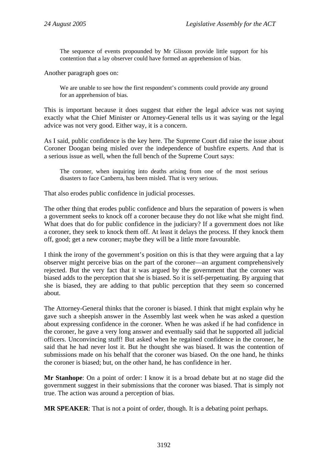The sequence of events propounded by Mr Glisson provide little support for his contention that a lay observer could have formed an apprehension of bias.

Another paragraph goes on:

We are unable to see how the first respondent's comments could provide any ground for an apprehension of bias.

This is important because it does suggest that either the legal advice was not saying exactly what the Chief Minister or Attorney-General tells us it was saying or the legal advice was not very good. Either way, it is a concern.

As I said, public confidence is the key here. The Supreme Court did raise the issue about Coroner Doogan being misled over the independence of bushfire experts. And that is a serious issue as well, when the full bench of the Supreme Court says:

The coroner, when inquiring into deaths arising from one of the most serious disasters to face Canberra, has been misled. That is very serious.

That also erodes public confidence in judicial processes.

The other thing that erodes public confidence and blurs the separation of powers is when a government seeks to knock off a coroner because they do not like what she might find. What does that do for public confidence in the judiciary? If a government does not like a coroner, they seek to knock them off. At least it delays the process. If they knock them off, good; get a new coroner; maybe they will be a little more favourable.

I think the irony of the government's position on this is that they were arguing that a lay observer might perceive bias on the part of the coroner—an argument comprehensively rejected. But the very fact that it was argued by the government that the coroner was biased adds to the perception that she is biased. So it is self-perpetuating. By arguing that she is biased, they are adding to that public perception that they seem so concerned about.

The Attorney-General thinks that the coroner is biased. I think that might explain why he gave such a sheepish answer in the Assembly last week when he was asked a question about expressing confidence in the coroner. When he was asked if he had confidence in the coroner, he gave a very long answer and eventually said that he supported all judicial officers. Unconvincing stuff! But asked when he regained confidence in the coroner, he said that he had never lost it. But he thought she was biased. It was the contention of submissions made on his behalf that the coroner was biased. On the one hand, he thinks the coroner is biased; but, on the other hand, he has confidence in her.

**Mr Stanhope**: On a point of order: I know it is a broad debate but at no stage did the government suggest in their submissions that the coroner was biased. That is simply not true. The action was around a perception of bias.

**MR SPEAKER**: That is not a point of order, though. It is a debating point perhaps.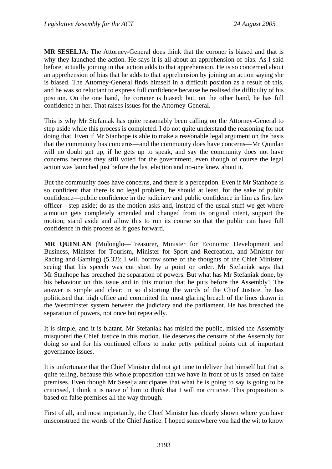**MR SESELJA**: The Attorney-General does think that the coroner is biased and that is why they launched the action. He says it is all about an apprehension of bias. As I said before, actually joining in that action adds to that apprehension. He is so concerned about an apprehension of bias that he adds to that apprehension by joining an action saying she is biased. The Attorney-General finds himself in a difficult position as a result of this, and he was so reluctant to express full confidence because he realised the difficulty of his position. On the one hand, the coroner is biased; but, on the other hand, he has full confidence in her. That raises issues for the Attorney-General.

This is why Mr Stefaniak has quite reasonably been calling on the Attorney-General to step aside while this process is completed. I do not quite understand the reasoning for not doing that. Even if Mr Stanhope is able to make a reasonable legal argument on the basis that the community has concerns—and the community does have concerns—Mr Quinlan will no doubt get up, if he gets up to speak, and say the community does not have concerns because they still voted for the government, even though of course the legal action was launched just before the last election and no-one knew about it.

But the community does have concerns, and there is a perception. Even if Mr Stanhope is so confident that there is no legal problem, he should at least, for the sake of public confidence—public confidence in the judiciary and public confidence in him as first law officer—step aside; do as the motion asks and, instead of the usual stuff we get where a motion gets completely amended and changed from its original intent, support the motion; stand aside and allow this to run its course so that the public can have full confidence in this process as it goes forward.

**MR QUINLAN** (Molonglo—Treasurer, Minister for Economic Development and Business, Minister for Tourism, Minister for Sport and Recreation, and Minister for Racing and Gaming) (5.32): I will borrow some of the thoughts of the Chief Minister, seeing that his speech was cut short by a point or order. Mr Stefaniak says that Mr Stanhope has breached the separation of powers. But what has Mr Stefaniak done, by his behaviour on this issue and in this motion that he puts before the Assembly? The answer is simple and clear: in so distorting the words of the Chief Justice, he has politicised that high office and committed the most glaring breach of the lines drawn in the Westminster system between the judiciary and the parliament. He has breached the separation of powers, not once but repeatedly.

It is simple, and it is blatant. Mr Stefaniak has misled the public, misled the Assembly misquoted the Chief Justice in this motion. He deserves the censure of the Assembly for doing so and for his continued efforts to make petty political points out of important governance issues.

It is unfortunate that the Chief Minister did not get time to deliver that himself but that is quite telling, because this whole proposition that we have in front of us is based on false premises. Even though Mr Seselja anticipates that what he is going to say is going to be criticised, I think it is naive of him to think that I will not criticise. This proposition is based on false premises all the way through.

First of all, and most importantly, the Chief Minister has clearly shown where you have misconstrued the words of the Chief Justice. I hoped somewhere you had the wit to know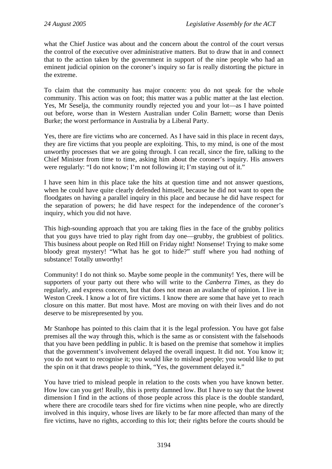what the Chief Justice was about and the concern about the control of the court versus the control of the executive over administrative matters. But to draw that in and connect that to the action taken by the government in support of the nine people who had an eminent judicial opinion on the coroner's inquiry so far is really distorting the picture in the extreme.

To claim that the community has major concern: you do not speak for the whole community. This action was on foot; this matter was a public matter at the last election. Yes, Mr Seselja, the community roundly rejected you and your lot—as I have pointed out before, worse than in Western Australian under Colin Barnett; worse than Denis Burke; the worst performance in Australia by a Liberal Party.

Yes, there are fire victims who are concerned. As I have said in this place in recent days, they are fire victims that you people are exploiting. This, to my mind, is one of the most unworthy processes that we are going through. I can recall, since the fire, talking to the Chief Minister from time to time, asking him about the coroner's inquiry. His answers were regularly: "I do not know; I'm not following it; I'm staying out of it."

I have seen him in this place take the hits at question time and not answer questions, when he could have quite clearly defended himself, because he did not want to open the floodgates on having a parallel inquiry in this place and because he did have respect for the separation of powers; he did have respect for the independence of the coroner's inquiry, which you did not have.

This high-sounding approach that you are taking flies in the face of the grubby politics that you guys have tried to play right from day one—grubby, the grubbiest of politics. This business about people on Red Hill on Friday night! Nonsense! Trying to make some bloody great mystery! "What has he got to hide?" stuff where you had nothing of substance! Totally unworthy!

Community! I do not think so. Maybe some people in the community! Yes, there will be supporters of your party out there who will write to the *Canberra Times*, as they do regularly, and express concern, but that does not mean an avalanche of opinion. I live in Weston Creek. I know a lot of fire victims. I know there are some that have yet to reach closure on this matter. But most have. Most are moving on with their lives and do not deserve to be misrepresented by you.

Mr Stanhope has pointed to this claim that it is the legal profession. You have got false premises all the way through this, which is the same as or consistent with the falsehoods that you have been peddling in public. It is based on the premise that somehow it implies that the government's involvement delayed the overall inquest. It did not. You know it; you do not want to recognise it; you would like to mislead people; you would like to put the spin on it that draws people to think, "Yes, the government delayed it."

You have tried to mislead people in relation to the costs when you have known better. How low can you get! Really, this is pretty damned low. But I have to say that the lowest dimension I find in the actions of those people across this place is the double standard, where there are crocodile tears shed for fire victims when nine people, who are directly involved in this inquiry, whose lives are likely to be far more affected than many of the fire victims, have no rights, according to this lot; their rights before the courts should be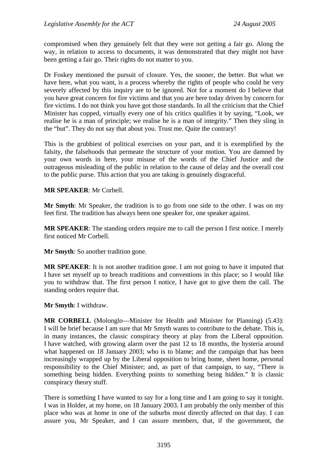compromised when they genuinely felt that they were not getting a fair go. Along the way, in relation to access to documents, it was demonstrated that they might not have been getting a fair go. Their rights do not matter to you.

Dr Foskey mentioned the pursuit of closure. Yes, the sooner, the better. But what we have here, what you want, is a process whereby the rights of people who could be very severely affected by this inquiry are to be ignored. Not for a moment do I believe that you have great concern for fire victims and that you are here today driven by concern for fire victims. I do not think you have got those standards. In all the criticism that the Chief Minister has copped, virtually every one of his critics qualifies it by saying, "Look, we realise he is a man of principle; we realise he is a man of integrity." Then they sling in the "but". They do not say that about you. Trust me. Quite the contrary!

This is the grubbiest of political exercises on your part, and it is exemplified by the falsity, the falsehoods that permeate the structure of your motion. You are damned by your own words in here, your misuse of the words of the Chief Justice and the outrageous misleading of the public in relation to the cause of delay and the overall cost to the public purse. This action that you are taking is genuinely disgraceful.

#### **MR SPEAKER**: Mr Corbell.

**Mr Smyth**: Mr Speaker, the tradition is to go from one side to the other. I was on my feet first. The tradition has always been one speaker for, one speaker against.

**MR SPEAKER**: The standing orders require me to call the person I first notice. I merely first noticed Mr Corbell.

**Mr Smyth**: So another tradition gone.

**MR SPEAKER**: It is not another tradition gone. I am not going to have it imputed that I have set myself up to breach traditions and conventions in this place; so I would like you to withdraw that. The first person I notice, I have got to give them the call. The standing orders require that.

**Mr Smyth**: I withdraw.

**MR CORBELL** (Molonglo—Minister for Health and Minister for Planning) (5.43): I will be brief because I am sure that Mr Smyth wants to contribute to the debate. This is, in many instances, the classic conspiracy theory at play from the Liberal opposition. I have watched, with growing alarm over the past 12 to 18 months, the hysteria around what happened on 18 January 2003; who is to blame; and the campaign that has been increasingly wrapped up by the Liberal opposition to bring home, sheet home, personal responsibility to the Chief Minister; and, as part of that campaign, to say, "There is something being hidden. Everything points to something being hidden." It is classic conspiracy theory stuff.

There is something I have wanted to say for a long time and I am going to say it tonight. I was in Holder, at my home, on 18 January 2003. I am probably the only member of this place who was at home in one of the suburbs most directly affected on that day. I can assure you, Mr Speaker, and I can assure members, that, if the government, the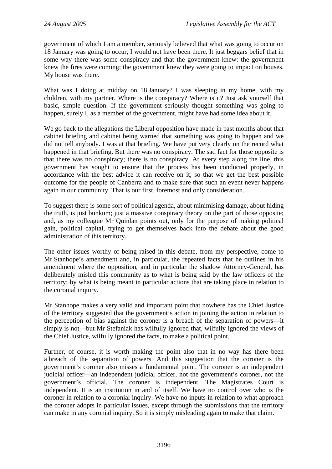government of which I am a member, seriously believed that what was going to occur on 18 January was going to occur, I would not have been there. It just beggars belief that in some way there was some conspiracy and that the government knew: the government knew the fires were coming; the government knew they were going to impact on houses. My house was there.

What was I doing at midday on 18 January? I was sleeping in my home, with my children, with my partner. Where is the conspiracy? Where is it? Just ask yourself that basic, simple question. If the government seriously thought something was going to happen, surely I, as a member of the government, might have had some idea about it.

We go back to the allegations the Liberal opposition have made in past months about that cabinet briefing and cabinet being warned that something was going to happen and we did not tell anybody. I was at that briefing. We have put very clearly on the record what happened in that briefing. But there was no conspiracy. The sad fact for those opposite is that there was no conspiracy; there is no conspiracy. At every step along the line, this government has sought to ensure that the process has been conducted properly, in accordance with the best advice it can receive on it, so that we get the best possible outcome for the people of Canberra and to make sure that such an event never happens again in our community. That is our first, foremost and only consideration.

To suggest there is some sort of political agenda, about minimising damage, about hiding the truth, is just bunkum; just a massive conspiracy theory on the part of those opposite; and, as my colleague Mr Quinlan points out, only for the purpose of making political gain, political capital, trying to get themselves back into the debate about the good administration of this territory.

The other issues worthy of being raised in this debate, from my perspective, come to Mr Stanhope's amendment and, in particular, the repeated facts that he outlines in his amendment where the opposition, and in particular the shadow Attorney-General, has deliberately misled this community as to what is being said by the law officers of the territory; by what is being meant in particular actions that are taking place in relation to the coronial inquiry.

Mr Stanhope makes a very valid and important point that nowhere has the Chief Justice of the territory suggested that the government's action in joining the action in relation to the perception of bias against the coroner is a breach of the separation of powers—it simply is not—but Mr Stefaniak has wilfully ignored that, wilfully ignored the views of the Chief Justice, wilfully ignored the facts, to make a political point.

Further, of course, it is worth making the point also that in no way has there been a breach of the separation of powers. And this suggestion that the coroner is the government's coroner also misses a fundamental point. The coroner is an independent judicial officer—an independent judicial officer, not the government's coroner, not the government's official. The coroner is independent. The Magistrates Court is independent. It is an institution in and of itself. We have no control over who is the coroner in relation to a coronial inquiry. We have no inputs in relation to what approach the coroner adopts in particular issues, except through the submissions that the territory can make in any coronial inquiry. So it is simply misleading again to make that claim.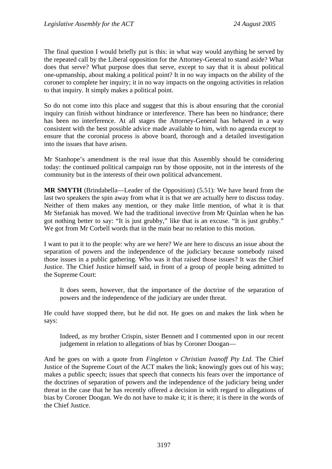The final question I would briefly put is this: in what way would anything be served by the repeated call by the Liberal opposition for the Attorney-General to stand aside? What does that serve? What purpose does that serve, except to say that it is about political one-upmanship, about making a political point? It in no way impacts on the ability of the coroner to complete her inquiry; it in no way impacts on the ongoing activities in relation to that inquiry. It simply makes a political point.

So do not come into this place and suggest that this is about ensuring that the coronial inquiry can finish without hindrance or interference. There has been no hindrance; there has been no interference. At all stages the Attorney-General has behaved in a way consistent with the best possible advice made available to him, with no agenda except to ensure that the coronial process is above board, thorough and a detailed investigation into the issues that have arisen.

Mr Stanhope's amendment is the real issue that this Assembly should be considering today: the continued political campaign run by those opposite, not in the interests of the community but in the interests of their own political advancement.

**MR SMYTH** (Brindabella—Leader of the Opposition) (5.51): We have heard from the last two speakers the spin away from what it is that we are actually here to discuss today. Neither of them makes any mention, or they make little mention, of what it is that Mr Stefaniak has moved. We had the traditional invective from Mr Quinlan when he has got nothing better to say: "It is just grubby," like that is an excuse. "It is just grubby." We got from Mr Corbell words that in the main bear no relation to this motion.

I want to put it to the people: why are we here? We are here to discuss an issue about the separation of powers and the independence of the judiciary because somebody raised those issues in a public gathering. Who was it that raised those issues? It was the Chief Justice. The Chief Justice himself said, in front of a group of people being admitted to the Supreme Court:

It does seem, however, that the importance of the doctrine of the separation of powers and the independence of the judiciary are under threat.

He could have stopped there, but he did not. He goes on and makes the link when he says:

Indeed, as my brother Crispin, sister Bennett and I commented upon in our recent judgement in relation to allegations of bias by Coroner Doogan—

And he goes on with a quote from *Fingleton v Christian Ivanoff Pty Ltd*. The Chief Justice of the Supreme Court of the ACT makes the link; knowingly goes out of his way; makes a public speech; issues that speech that connects his fears over the importance of the doctrines of separation of powers and the independence of the judiciary being under threat in the case that he has recently offered a decision in with regard to allegations of bias by Coroner Doogan. We do not have to make it; it is there; it is there in the words of the Chief Justice.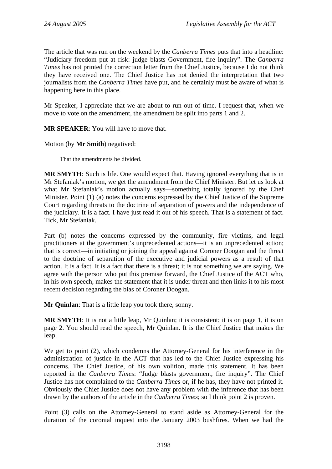The article that was run on the weekend by the *Canberra Times* puts that into a headline: "Judiciary freedom put at risk: judge blasts Government, fire inquiry". The *Canberra Times* has not printed the correction letter from the Chief Justice, because I do not think they have received one. The Chief Justice has not denied the interpretation that two journalists from the *Canberra Times* have put, and he certainly must be aware of what is happening here in this place.

Mr Speaker, I appreciate that we are about to run out of time. I request that, when we move to vote on the amendment, the amendment be split into parts 1 and 2.

**MR SPEAKER**: You will have to move that.

Motion (by **Mr Smith**) negatived:

That the amendments be divided.

**MR SMYTH**: Such is life. One would expect that. Having ignored everything that is in Mr Stefaniak's motion, we get the amendment from the Chief Minister. But let us look at what Mr Stefaniak's motion actually says—something totally ignored by the Chef Minister. Point (1) (a) notes the concerns expressed by the Chief Justice of the Supreme Court regarding threats to the doctrine of separation of powers and the independence of the judiciary. It is a fact. I have just read it out of his speech. That is a statement of fact. Tick, Mr Stefaniak.

Part (b) notes the concerns expressed by the community, fire victims, and legal practitioners at the government's unprecedented actions—it is an unprecedented action; that is correct—in initiating or joining the appeal against Coroner Doogan and the threat to the doctrine of separation of the executive and judicial powers as a result of that action. It is a fact. It is a fact that there is a threat; it is not something we are saying. We agree with the person who put this premise forward, the Chief Justice of the ACT who, in his own speech, makes the statement that it is under threat and then links it to his most recent decision regarding the bias of Coroner Doogan.

**Mr Quinlan**: That is a little leap you took there, sonny.

**MR SMYTH**: It is not a little leap, Mr Quinlan; it is consistent; it is on page 1, it is on page 2. You should read the speech, Mr Quinlan. It is the Chief Justice that makes the leap.

We get to point (2), which condemns the Attorney-General for his interference in the administration of justice in the ACT that has led to the Chief Justice expressing his concerns. The Chief Justice, of his own volition, made this statement. It has been reported in the *Canberra Times*: "Judge blasts government, fire inquiry". The Chief Justice has not complained to the *Canberra Times* or, if he has, they have not printed it. Obviously the Chief Justice does not have any problem with the inference that has been drawn by the authors of the article in the *Canberra Times*; so I think point 2 is proven.

Point (3) calls on the Attorney-General to stand aside as Attorney-General for the duration of the coronial inquest into the January 2003 bushfires. When we had the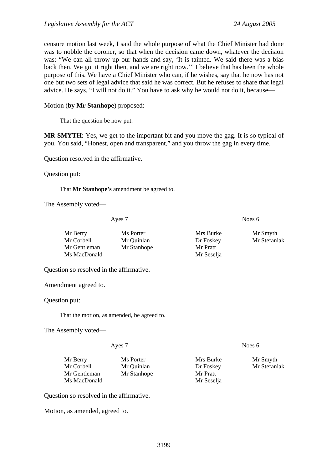censure motion last week, I said the whole purpose of what the Chief Minister had done was to nobble the coroner, so that when the decision came down, whatever the decision was: "We can all throw up our hands and say, 'It is tainted. We said there was a bias back then. We got it right then, and we are right now.'" I believe that has been the whole purpose of this. We have a Chief Minister who can, if he wishes, say that he now has not one but two sets of legal advice that said he was correct. But he refuses to share that legal advice. He says, "I will not do it." You have to ask why he would not do it, because—

Motion (**by Mr Stanhope**) proposed:

That the question be now put.

**MR SMYTH**: Yes, we get to the important bit and you move the gag. It is so typical of you. You said, "Honest, open and transparent," and you throw the gag in every time.

Question resolved in the affirmative.

Question put:

That **Mr Stanhope's** amendment be agreed to.

The Assembly voted—

Ayes 7 Noes 6

Mr Berry Ms Porter Mrs Burke Mr Smyth Mr Corbell Mr Quinlan Dr Foskey Mr Stefaniak Mr Gentleman Mr Stanhope Mr Pratt Ms MacDonald Mr Seselja

Question so resolved in the affirmative.

Amendment agreed to.

Question put:

That the motion, as amended, be agreed to.

The Assembly voted—

| Ayes 7       |             | Noes $6$   |              |
|--------------|-------------|------------|--------------|
| Mr Berry     | Ms Porter   | Mrs Burke  | Mr Smyth     |
| Mr Corbell   | Mr Quinlan  | Dr Foskey  | Mr Stefaniak |
| Mr Gentleman | Mr Stanhope | Mr Pratt   |              |
| Ms MacDonald |             | Mr Seselja |              |

Question so resolved in the affirmative.

Motion, as amended, agreed to.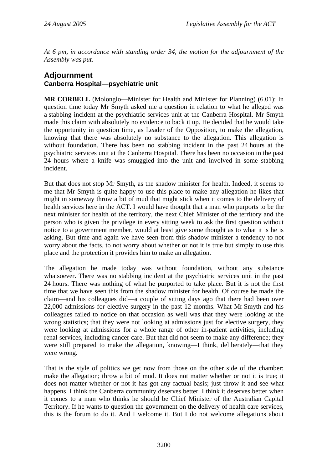*At 6 pm, in accordance with standing order 34, the motion for the adjournment of the Assembly was put.* 

# **Adjournment Canberra Hospital—psychiatric unit**

**MR CORBELL** (Molonglo—Minister for Health and Minister for Planning) (6.01): In question time today Mr Smyth asked me a question in relation to what he alleged was a stabbing incident at the psychiatric services unit at the Canberra Hospital. Mr Smyth made this claim with absolutely no evidence to back it up. He decided that he would take the opportunity in question time, as Leader of the Opposition, to make the allegation, knowing that there was absolutely no substance to the allegation. This allegation is without foundation. There has been no stabbing incident in the past 24 hours at the psychiatric services unit at the Canberra Hospital. There has been no occasion in the past 24 hours where a knife was smuggled into the unit and involved in some stabbing incident.

But that does not stop Mr Smyth, as the shadow minister for health. Indeed, it seems to me that Mr Smyth is quite happy to use this place to make any allegation he likes that might in someway throw a bit of mud that might stick when it comes to the delivery of health services here in the ACT. I would have thought that a man who purports to be the next minister for health of the territory, the next Chief Minister of the territory and the person who is given the privilege in every sitting week to ask the first question without notice to a government member, would at least give some thought as to what it is he is asking. But time and again we have seen from this shadow minister a tendency to not worry about the facts, to not worry about whether or not it is true but simply to use this place and the protection it provides him to make an allegation.

The allegation he made today was without foundation, without any substance whatsoever. There was no stabbing incident at the psychiatric services unit in the past 24 hours. There was nothing of what he purported to take place. But it is not the first time that we have seen this from the shadow minister for health. Of course he made the claim—and his colleagues did—a couple of sitting days ago that there had been over 22,000 admissions for elective surgery in the past 12 months. What Mr Smyth and his colleagues failed to notice on that occasion as well was that they were looking at the wrong statistics; that they were not looking at admissions just for elective surgery, they were looking at admissions for a whole range of other in-patient activities, including renal services, including cancer care. But that did not seem to make any difference; they were still prepared to make the allegation, knowing—I think, deliberately—that they were wrong.

That is the style of politics we get now from those on the other side of the chamber: make the allegation; throw a bit of mud. It does not matter whether or not it is true; it does not matter whether or not it has got any factual basis; just throw it and see what happens. I think the Canberra community deserves better. I think it deserves better when it comes to a man who thinks he should be Chief Minister of the Australian Capital Territory. If he wants to question the government on the delivery of health care services, this is the forum to do it. And I welcome it. But I do not welcome allegations about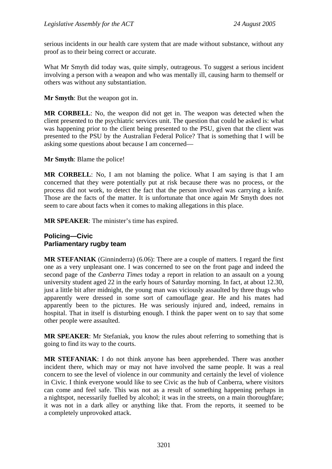serious incidents in our health care system that are made without substance, without any proof as to their being correct or accurate.

What Mr Smyth did today was, quite simply, outrageous. To suggest a serious incident involving a person with a weapon and who was mentally ill, causing harm to themself or others was without any substantiation.

**Mr Smyth**: But the weapon got in.

**MR CORBELL**: No, the weapon did not get in. The weapon was detected when the client presented to the psychiatric services unit. The question that could be asked is: what was happening prior to the client being presented to the PSU, given that the client was presented to the PSU by the Australian Federal Police? That is something that I will be asking some questions about because I am concerned—

**Mr Smyth**: Blame the police!

**MR CORBELL**: No, I am not blaming the police. What I am saying is that I am concerned that they were potentially put at risk because there was no process, or the process did not work, to detect the fact that the person involved was carrying a knife. Those are the facts of the matter. It is unfortunate that once again Mr Smyth does not seem to care about facts when it comes to making allegations in this place.

**MR SPEAKER**: The minister's time has expired.

#### **Policing—Civic Parliamentary rugby team**

**MR STEFANIAK** (Ginninderra) (6.06): There are a couple of matters. I regard the first one as a very unpleasant one. I was concerned to see on the front page and indeed the second page of the *Canberra Times* today a report in relation to an assault on a young university student aged 22 in the early hours of Saturday morning. In fact, at about 12.30, just a little bit after midnight, the young man was viciously assaulted by three thugs who apparently were dressed in some sort of camouflage gear. He and his mates had apparently been to the pictures. He was seriously injured and, indeed, remains in hospital. That in itself is disturbing enough. I think the paper went on to say that some other people were assaulted.

**MR SPEAKER**: Mr Stefaniak, you know the rules about referring to something that is going to find its way to the courts.

**MR STEFANIAK**: I do not think anyone has been apprehended. There was another incident there, which may or may not have involved the same people. It was a real concern to see the level of violence in our community and certainly the level of violence in Civic. I think everyone would like to see Civic as the hub of Canberra, where visitors can come and feel safe. This was not as a result of something happening perhaps in a nightspot, necessarily fuelled by alcohol; it was in the streets, on a main thoroughfare; it was not in a dark alley or anything like that. From the reports, it seemed to be a completely unprovoked attack.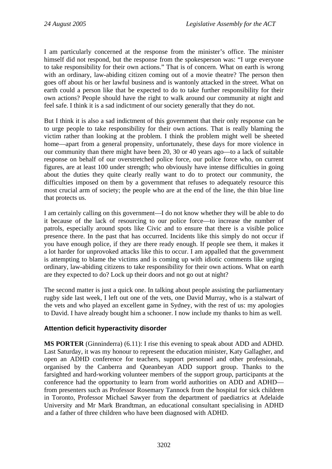I am particularly concerned at the response from the minister's office. The minister himself did not respond, but the response from the spokesperson was: "I urge everyone to take responsibility for their own actions." That is of concern. What on earth is wrong with an ordinary, law-abiding citizen coming out of a movie theatre? The person then goes off about his or her lawful business and is wantonly attacked in the street. What on earth could a person like that be expected to do to take further responsibility for their own actions? People should have the right to walk around our community at night and feel safe. I think it is a sad indictment of our society generally that they do not.

But I think it is also a sad indictment of this government that their only response can be to urge people to take responsibility for their own actions. That is really blaming the victim rather than looking at the problem. I think the problem might well be sheeted home—apart from a general propensity, unfortunately, these days for more violence in our community than there might have been 20, 30 or 40 years ago—to a lack of suitable response on behalf of our overstretched police force, our police force who, on current figures, are at least 100 under strength; who obviously have intense difficulties in going about the duties they quite clearly really want to do to protect our community, the difficulties imposed on them by a government that refuses to adequately resource this most crucial arm of society; the people who are at the end of the line, the thin blue line that protects us.

I am certainly calling on this government—I do not know whether they will be able to do it because of the lack of resourcing to our police force—to increase the number of patrols, especially around spots like Civic and to ensure that there is a visible police presence there. In the past that has occurred. Incidents like this simply do not occur if you have enough police, if they are there ready enough. If people see them, it makes it a lot harder for unprovoked attacks like this to occur. I am appalled that the government is attempting to blame the victims and is coming up with idiotic comments like urging ordinary, law-abiding citizens to take responsibility for their own actions. What on earth are they expected to do? Lock up their doors and not go out at night?

The second matter is just a quick one. In talking about people assisting the parliamentary rugby side last week, I left out one of the vets, one David Murray, who is a stalwart of the vets and who played an excellent game in Sydney, with the rest of us: my apologies to David. I have already bought him a schooner. I now include my thanks to him as well.

## **Attention deficit hyperactivity disorder**

**MS PORTER** (Ginninderra) (6.11): I rise this evening to speak about ADD and ADHD. Last Saturday, it was my honour to represent the education minister, Katy Gallagher, and open an ADHD conference for teachers, support personnel and other professionals, organised by the Canberra and Queanbeyan ADD support group. Thanks to the farsighted and hard-working volunteer members of the support group, participants at the conference had the opportunity to learn from world authorities on ADD and ADHD from presenters such as Professor Rosemary Tannock from the hospital for sick children in Toronto, Professor Michael Sawyer from the department of paediatrics at Adelaide University and Mr Mark Brandtman, an educational consultant specialising in ADHD and a father of three children who have been diagnosed with ADHD.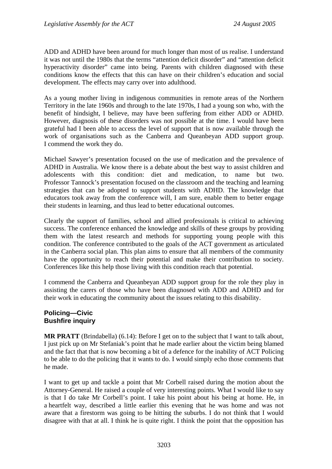ADD and ADHD have been around for much longer than most of us realise. I understand it was not until the 1980s that the terms "attention deficit disorder" and "attention deficit hyperactivity disorder" came into being. Parents with children diagnosed with these conditions know the effects that this can have on their children's education and social development. The effects may carry over into adulthood.

As a young mother living in indigenous communities in remote areas of the Northern Territory in the late 1960s and through to the late 1970s, I had a young son who, with the benefit of hindsight, I believe, may have been suffering from either ADD or ADHD. However, diagnosis of these disorders was not possible at the time. I would have been grateful had I been able to access the level of support that is now available through the work of organisations such as the Canberra and Queanbeyan ADD support group. I commend the work they do.

Michael Sawyer's presentation focused on the use of medication and the prevalence of ADHD in Australia. We know there is a debate about the best way to assist children and adolescents with this condition: diet and medication, to name but two. Professor Tannock's presentation focused on the classroom and the teaching and learning strategies that can be adopted to support students with ADHD. The knowledge that educators took away from the conference will, I am sure, enable them to better engage their students in learning, and thus lead to better educational outcomes.

Clearly the support of families, school and allied professionals is critical to achieving success. The conference enhanced the knowledge and skills of these groups by providing them with the latest research and methods for supporting young people with this condition. The conference contributed to the goals of the ACT government as articulated in the Canberra social plan. This plan aims to ensure that all members of the community have the opportunity to reach their potential and make their contribution to society. Conferences like this help those living with this condition reach that potential.

I commend the Canberra and Queanbeyan ADD support group for the role they play in assisting the carers of those who have been diagnosed with ADD and ADHD and for their work in educating the community about the issues relating to this disability.

#### **Policing—Civic Bushfire inquiry**

**MR PRATT** (Brindabella) (6.14): Before I get on to the subject that I want to talk about, I just pick up on Mr Stefaniak's point that he made earlier about the victim being blamed and the fact that that is now becoming a bit of a defence for the inability of ACT Policing to be able to do the policing that it wants to do. I would simply echo those comments that he made.

I want to get up and tackle a point that Mr Corbell raised during the motion about the Attorney-General. He raised a couple of very interesting points. What I would like to say is that I do take Mr Corbell's point. I take his point about his being at home. He, in a heartfelt way, described a little earlier this evening that he was home and was not aware that a firestorm was going to be hitting the suburbs. I do not think that I would disagree with that at all. I think he is quite right. I think the point that the opposition has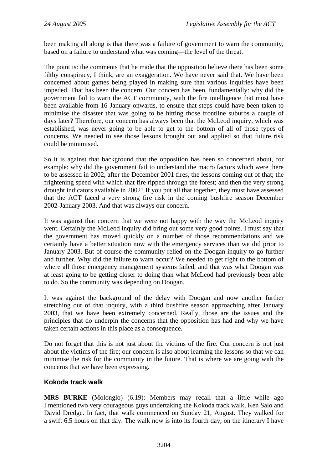been making all along is that there was a failure of government to warn the community, based on a failure to understand what was coming—the level of the threat.

The point is: the comments that he made that the opposition believe there has been some filthy conspiracy, I think, are an exaggeration. We have never said that. We have been concerned about games being played in making sure that various inquiries have been impeded. That has been the concern. Our concern has been, fundamentally: why did the government fail to warn the ACT community, with the fire intelligence that must have been available from 16 January onwards, to ensure that steps could have been taken to minimise the disaster that was going to be hitting those frontline suburbs a couple of days later? Therefore, our concern has always been that the McLeod inquiry, which was established, was never going to be able to get to the bottom of all of those types of concerns. We needed to see those lessons brought out and applied so that future risk could be minimised.

So it is against that background that the opposition has been so concerned about, for example: why did the government fail to understand the macro factors which were there to be assessed in 2002, after the December 2001 fires, the lessons coming out of that; the frightening speed with which that fire ripped through the forest; and then the very strong drought indicators available in 2002? If you put all that together, they must have assessed that the ACT faced a very strong fire risk in the coming bushfire season December 2002-January 2003. And that was always our concern.

It was against that concern that we were not happy with the way the McLeod inquiry went. Certainly the McLeod inquiry did bring out some very good points. I must say that the government has moved quickly on a number of those recommendations and we certainly have a better situation now with the emergency services than we did prior to January 2003. But of course the community relied on the Doogan inquiry to go further and further. Why did the failure to warn occur? We needed to get right to the bottom of where all those emergency management systems failed, and that was what Doogan was at least going to be getting closer to doing than what McLeod had previously been able to do. So the community was depending on Doogan.

It was against the background of the delay with Doogan and now another further stretching out of that inquiry, with a third bushfire season approaching after January 2003, that we have been extremely concerned. Really, those are the issues and the principles that do underpin the concerns that the opposition has had and why we have taken certain actions in this place as a consequence.

Do not forget that this is not just about the victims of the fire. Our concern is not just about the victims of the fire; our concern is also about learning the lessons so that we can minimise the risk for the community in the future. That is where we are going with the concerns that we have been expressing.

## **Kokoda track walk**

**MRS BURKE** (Molonglo) (6.19): Members may recall that a little while ago I mentioned two very courageous guys undertaking the Kokoda track walk, Ken Salo and David Dredge. In fact, that walk commenced on Sunday 21, August. They walked for a swift 6.5 hours on that day. The walk now is into its fourth day, on the itinerary I have